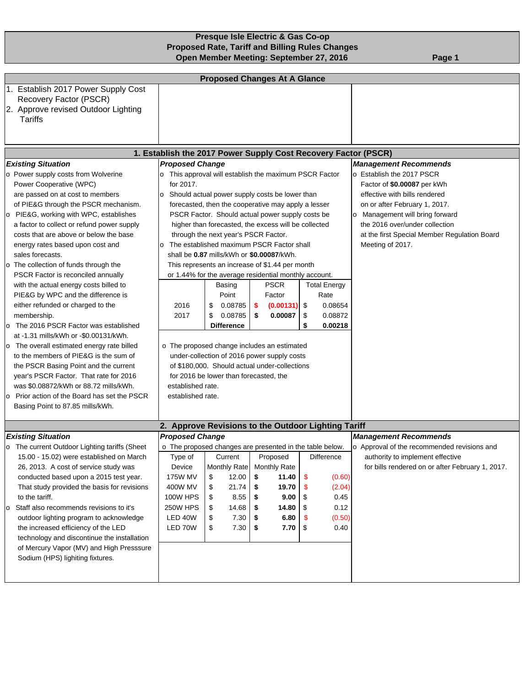# **Presque Isle Electric & Gas Co-op Proposed Rate, Tariff and Billing Rules Changes Open Member Meeting: September 27, 2016** Page 1

| <b>Proposed Changes At A Glance</b>                                              |                                                          |                                                       |      |              |    |                     |                                                  |  |
|----------------------------------------------------------------------------------|----------------------------------------------------------|-------------------------------------------------------|------|--------------|----|---------------------|--------------------------------------------------|--|
| 1. Establish 2017 Power Supply Cost                                              |                                                          |                                                       |      |              |    |                     |                                                  |  |
| Recovery Factor (PSCR)                                                           |                                                          |                                                       |      |              |    |                     |                                                  |  |
| 2. Approve revised Outdoor Lighting<br>Tariffs                                   |                                                          |                                                       |      |              |    |                     |                                                  |  |
|                                                                                  |                                                          |                                                       |      |              |    |                     |                                                  |  |
|                                                                                  |                                                          |                                                       |      |              |    |                     |                                                  |  |
| 1. Establish the 2017 Power Supply Cost Recovery Factor (PSCR)                   |                                                          |                                                       |      |              |    |                     |                                                  |  |
| <b>Existing Situation</b>                                                        | <b>Proposed Change</b>                                   |                                                       |      |              |    |                     | <b>Management Recommends</b>                     |  |
| o Power supply costs from Wolverine                                              | o This approval will establish the maximum PSCR Factor   |                                                       |      |              |    |                     | o Establish the 2017 PSCR                        |  |
| Power Cooperative (WPC)                                                          | for 2017.                                                |                                                       |      |              |    |                     | Factor of \$0.00087 per kWh                      |  |
| are passed on at cost to members                                                 | o Should actual power supply costs be lower than         |                                                       |      |              |    |                     | effective with bills rendered                    |  |
| of PIE&G through the PSCR mechanism.                                             |                                                          | forecasted, then the cooperative may apply a lesser   |      |              |    |                     | on or after February 1, 2017.                    |  |
| o PIE&G, working with WPC, establishes                                           |                                                          | PSCR Factor. Should actual power supply costs be      |      |              |    |                     | o Management will bring forward                  |  |
| a factor to collect or refund power supply                                       |                                                          | higher than forecasted, the excess will be collected  |      |              |    |                     | the 2016 over/under collection                   |  |
| costs that are above or below the base                                           |                                                          | through the next year's PSCR Factor.                  |      |              |    |                     | at the first Special Member Regulation Board     |  |
| energy rates based upon cost and                                                 | o The established maximum PSCR Factor shall              |                                                       |      |              |    |                     | Meeting of 2017.                                 |  |
| sales forecasts.                                                                 |                                                          | shall be 0.87 mills/kWh or \$0.00087/kWh.             |      |              |    |                     |                                                  |  |
| o The collection of funds through the                                            |                                                          | This represents an increase of \$1.44 per month       |      |              |    |                     |                                                  |  |
| PSCR Factor is reconciled annually                                               |                                                          | or 1.44% for the average residential monthly account. |      |              |    |                     |                                                  |  |
| with the actual energy costs billed to                                           |                                                          | Basing                                                |      | <b>PSCR</b>  |    | <b>Total Energy</b> |                                                  |  |
| PIE&G by WPC and the difference is                                               |                                                          | Point                                                 |      | Factor       |    | Rate                |                                                  |  |
| either refunded or charged to the                                                | 2016                                                     | 0.08785<br>\$                                         | -\$  | (0.00131)    | \$ | 0.08654             |                                                  |  |
| membership.                                                                      | 2017                                                     | \$<br>0.08785                                         | - \$ | 0.00087      | \$ | 0.08872             |                                                  |  |
| The 2016 PSCR Factor was established<br>0                                        |                                                          | <b>Difference</b>                                     |      |              | \$ | 0.00218             |                                                  |  |
| at -1.31 mills/kWh or -\$0.00131/kWh.                                            |                                                          |                                                       |      |              |    |                     |                                                  |  |
| o The overall estimated energy rate billed                                       | o The proposed change includes an estimated              |                                                       |      |              |    |                     |                                                  |  |
| to the members of PIE&G is the sum of                                            |                                                          | under-collection of 2016 power supply costs           |      |              |    |                     |                                                  |  |
| the PSCR Basing Point and the current                                            |                                                          | of \$180,000. Should actual under-collections         |      |              |    |                     |                                                  |  |
| year's PSCR Factor. That rate for 2016                                           |                                                          | for 2016 be lower than forecasted, the                |      |              |    |                     |                                                  |  |
| was \$0.08872/kWh or 88.72 mills/kWh.                                            | established rate.                                        |                                                       |      |              |    |                     |                                                  |  |
| o Prior action of the Board has set the PSCR<br>Basing Point to 87.85 mills/kWh. | established rate.                                        |                                                       |      |              |    |                     |                                                  |  |
|                                                                                  |                                                          |                                                       |      |              |    |                     |                                                  |  |
|                                                                                  | 2. Approve Revisions to the Outdoor Lighting Tariff      |                                                       |      |              |    |                     |                                                  |  |
| <b>Existing Situation</b>                                                        | <b>Proposed Change</b>                                   |                                                       |      |              |    |                     | <b>Management Recommends</b>                     |  |
| o The current Outdoor Lighting tariffs (Sheet                                    | o The proposed changes are presented in the table below. |                                                       |      |              |    |                     | o Approval of the recommended revisions and      |  |
| 15.00 - 15.02) were established on March                                         | Type of                                                  | Current                                               |      | Proposed     |    | <b>Difference</b>   | authority to implement effective                 |  |
| 26, 2013. A cost of service study was                                            | Device                                                   | Monthly Rate                                          |      | Monthly Rate |    |                     | for bills rendered on or after February 1, 2017. |  |
| conducted based upon a 2015 test year.                                           | 175W MV                                                  | 12.00<br>\$                                           | \$   | 11.40        | \$ | (0.60)              |                                                  |  |
| That study provided the basis for revisions                                      | 400W MV                                                  | \$<br>21.74                                           | \$   | 19.70        | \$ | (2.04)              |                                                  |  |
| to the tariff.                                                                   | 100W HPS                                                 | \$<br>8.55                                            | \$   | 9.00         | \$ | 0.45                |                                                  |  |
| Staff also recommends revisions to it's<br>о                                     | <b>250W HPS</b>                                          | \$<br>14.68                                           | - \$ | 14.80        | \$ | 0.12                |                                                  |  |
| outdoor lighting program to acknowledge                                          | LED 40W                                                  | \$<br>7.30                                            |      | 6.80         | \$ | (0.50)              |                                                  |  |
| the increased efficiency of the LED                                              | LED 70W                                                  | \$<br>7.30                                            | \$   | 7.70         | \$ | 0.40                |                                                  |  |
| technology and discontinue the installation                                      |                                                          |                                                       |      |              |    |                     |                                                  |  |
| of Mercury Vapor (MV) and High Presssure<br>Sodium (HPS) lighiting fixtures.     |                                                          |                                                       |      |              |    |                     |                                                  |  |
|                                                                                  |                                                          |                                                       |      |              |    |                     |                                                  |  |
|                                                                                  |                                                          |                                                       |      |              |    |                     |                                                  |  |
|                                                                                  |                                                          |                                                       |      |              |    |                     |                                                  |  |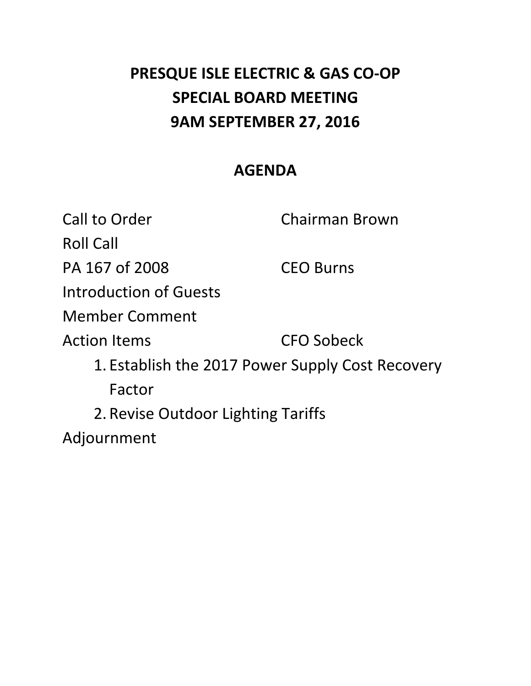# **PRESQUE ISLE ELECTRIC & GAS CO‐OP SPECIAL BOARD MEETING 9AM SEPTEMBER 27, 2016**

# **AGENDA**

Call to Order **Chairman Brown**  Roll Call PA 167 of 2008 CEO Burns Introduction of Guests **CFO Sobeck**  1. Establish the 2017 Power Supply Cost Recovery 2. Revise Outdoor Lighting Tariffs Member Comment **Action Items** Factor Adjournment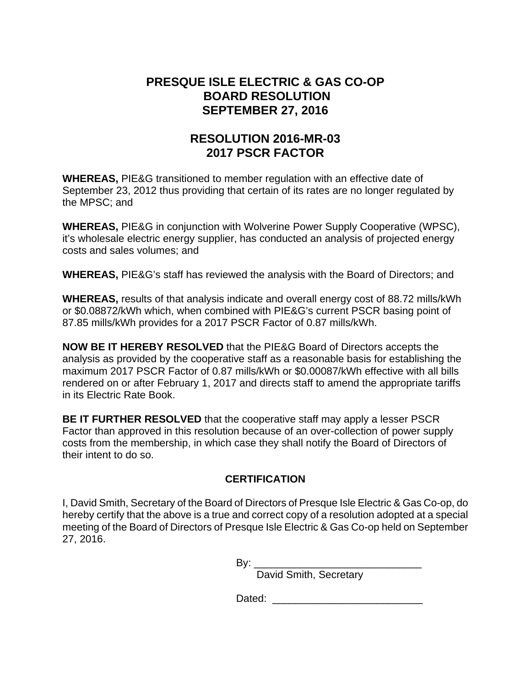# **PRESQUE ISLE ELECTRIC & GAS CO-OP BOARD RESOLUTION SEPTEMBER 27, 2016**

# **RESOLUTION 2016-MR-03 2017 PSCR FACTOR**

**WHEREAS,** PIE&G transitioned to member regulation with an effective date of September 23, 2012 thus providing that certain of its rates are no longer regulated by the MPSC; and

**WHEREAS,** PIE&G in conjunction with Wolverine Power Supply Cooperative (WPSC), it's wholesale electric energy supplier, has conducted an analysis of projected energy costs and sales volumes; and

**WHEREAS,** PIE&G's staff has reviewed the analysis with the Board of Directors; and

**WHEREAS,** results of that analysis indicate and overall energy cost of 88.72 mills/kWh or \$0.08872/kWh which, when combined with PIE&G's current PSCR basing point of 87.85 mills/kWh provides for a 2017 PSCR Factor of 0.87 mills/kWh.

**NOW BE IT HEREBY RESOLVED** that the PIE&G Board of Directors accepts the analysis as provided by the cooperative staff as a reasonable basis for establishing the maximum 2017 PSCR Factor of 0.87 mills/kWh or \$0.00087/kWh effective with all bills rendered on or after February 1, 2017 and directs staff to amend the appropriate tariffs in its Electric Rate Book.

**BE IT FURTHER RESOLVED** that the cooperative staff may apply a lesser PSCR Factor than approved in this resolution because of an over-collection of power supply costs from the membership, in which case they shall notify the Board of Directors of their intent to do so.

# **CERTIFICATION**

I, David Smith, Secretary of the Board of Directors of Presque Isle Electric & Gas Co-op, do hereby certify that the above is a true and correct copy of a resolution adopted at a special meeting of the Board of Directors of Presque Isle Electric & Gas Co-op held on September 27, 2016.

By: \_\_\_\_\_\_\_\_\_\_\_\_\_\_\_\_\_\_\_\_\_\_\_\_\_\_\_\_\_

David Smith, Secretary

Dated: \_\_\_\_\_\_\_\_\_\_\_\_\_\_\_\_\_\_\_\_\_\_\_\_\_\_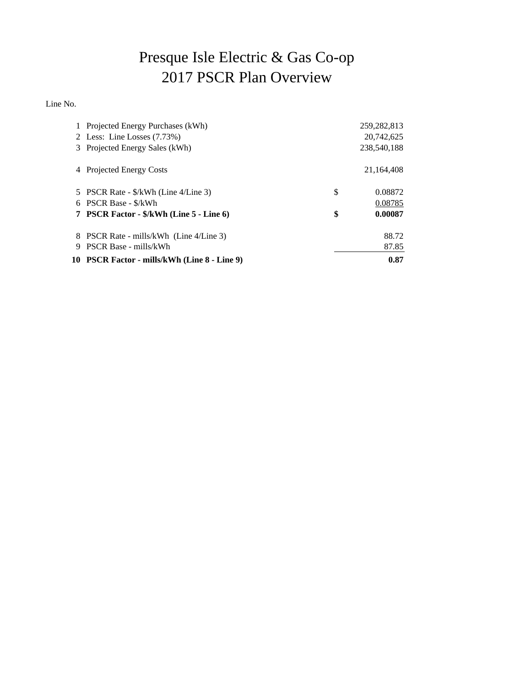# Presque Isle Electric & Gas Co-op 2017 PSCR Plan Overview

Line No.

|   | 1 Projected Energy Purchases (kWh)           | 259, 282, 813 |
|---|----------------------------------------------|---------------|
|   | 2 Less: Line Losses $(7.73%)$                | 20.742.625    |
|   | 3 Projected Energy Sales (kWh)               | 238,540,188   |
| 4 | <b>Projected Energy Costs</b>                | 21,164,408    |
|   | 5 PSCR Rate - \$/kWh (Line 4/Line 3)         | \$<br>0.08872 |
|   | 6 PSCR Base - \$/kWh                         | 0.08785       |
|   | 7 PSCR Factor - \$/kWh (Line 5 - Line 6)     | \$<br>0.00087 |
|   | 8 PSCR Rate - mills/kWh (Line 4/Line 3)      | 88.72         |
| 9 | <b>PSCR Base - mills/kWh</b>                 | 87.85         |
|   | 10 PSCR Factor - mills/kWh (Line 8 - Line 9) | 0.87          |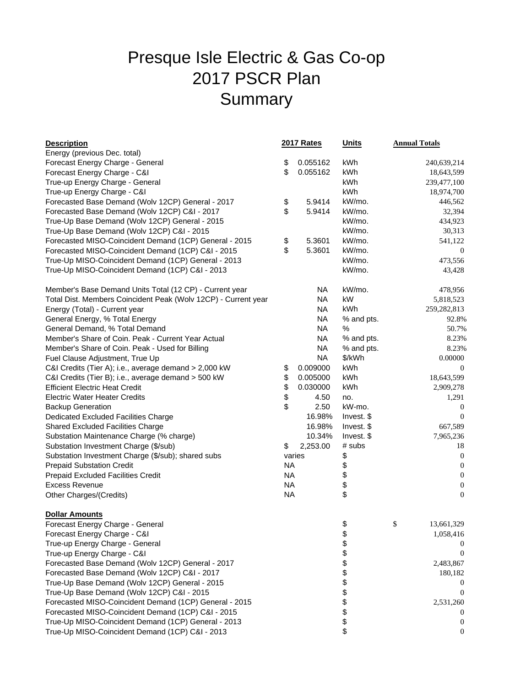# Presque Isle Electric & Gas Co-op 2017 PSCR Plan **Summary**

| <b>Description</b>                                             |           | <b>2017 Rates</b> | <b>Units</b> | <b>Annual Totals</b> |                  |
|----------------------------------------------------------------|-----------|-------------------|--------------|----------------------|------------------|
| Energy (previous Dec. total)                                   |           |                   |              |                      |                  |
| Forecast Energy Charge - General                               | \$        | 0.055162          | kWh          |                      | 240,639,214      |
| Forecast Energy Charge - C&I                                   | \$        | 0.055162          | kWh          |                      | 18,643,599       |
| True-up Energy Charge - General                                |           |                   | kWh          |                      | 239,477,100      |
| True-up Energy Charge - C&I                                    |           |                   | kWh          |                      | 18,974,700       |
| Forecasted Base Demand (Wolv 12CP) General - 2017              | \$        | 5.9414            | kW/mo.       |                      | 446,562          |
| Forecasted Base Demand (Wolv 12CP) C&I - 2017                  | \$        | 5.9414            | kW/mo.       |                      | 32,394           |
| True-Up Base Demand (Wolv 12CP) General - 2015                 |           |                   | kW/mo.       |                      | 434,923          |
| True-Up Base Demand (Wolv 12CP) C&I - 2015                     |           |                   | kW/mo.       |                      | 30,313           |
| Forecasted MISO-Coincident Demand (1CP) General - 2015         | \$        | 5.3601            | kW/mo.       |                      | 541,122          |
| Forecasted MISO-Coincident Demand (1CP) C&I - 2015             | \$        | 5.3601            | kW/mo.       |                      | $\boldsymbol{0}$ |
| True-Up MISO-Coincident Demand (1CP) General - 2013            |           |                   | kW/mo.       |                      | 473,556          |
| True-Up MISO-Coincident Demand (1CP) C&I - 2013                |           |                   | kW/mo.       |                      | 43,428           |
| Member's Base Demand Units Total (12 CP) - Current year        |           | NA                | kW/mo.       |                      | 478,956          |
| Total Dist. Members Coincident Peak (Wolv 12CP) - Current year |           | NA                | kW           |                      | 5,818,523        |
| Energy (Total) - Current year                                  |           | <b>NA</b>         | kWh          |                      | 259, 282, 813    |
| General Energy, % Total Energy                                 |           | <b>NA</b>         | % and pts.   |                      | 92.8%            |
| General Demand, % Total Demand                                 |           | <b>NA</b>         | ℅            |                      | 50.7%            |
| Member's Share of Coin. Peak - Current Year Actual             |           | NA                | % and pts.   |                      | 8.23%            |
| Member's Share of Coin. Peak - Used for Billing                |           | <b>NA</b>         | % and pts.   |                      | 8.23%            |
| Fuel Clause Adjustment, True Up                                |           | <b>NA</b>         | \$/kWh       |                      | 0.00000          |
| C&I Credits (Tier A); i.e., average demand > 2,000 kW          | \$        | 0.009000          | kWh          |                      | $\overline{0}$   |
| C&I Credits (Tier B); i.e., average demand > 500 kW            | \$        | 0.005000          | kWh          |                      | 18,643,599       |
| <b>Efficient Electric Heat Credit</b>                          | \$        | 0.030000          | kWh          |                      | 2,909,278        |
| <b>Electric Water Heater Credits</b>                           | \$        | 4.50              | no.          |                      | 1,291            |
| <b>Backup Generation</b>                                       | \$        | 2.50              | kW-mo.       |                      | $\mathbf{0}$     |
| Dedicated Excluded Facilities Charge                           |           | 16.98%            | Invest. \$   |                      | $\overline{0}$   |
| <b>Shared Excluded Facilities Charge</b>                       |           | 16.98%            | Invest. \$   |                      | 667,589          |
| Substation Maintenance Charge (% charge)                       |           | 10.34%            | Invest. \$   |                      | 7,965,236        |
| Substation Investment Charge (\$/sub)                          | \$        | 2,253.00          | # subs       |                      | 18               |
| Substation Investment Charge (\$/sub); shared subs             |           | varies            | \$           |                      | $\mathbf{0}$     |
| <b>Prepaid Substation Credit</b>                               | <b>NA</b> |                   | \$           |                      | $\mathbf{0}$     |
| Prepaid Excluded Facilities Credit                             | <b>NA</b> |                   | \$           |                      | $\boldsymbol{0}$ |
| <b>Excess Revenue</b>                                          | <b>NA</b> |                   | \$           |                      | $\boldsymbol{0}$ |
| Other Charges/(Credits)                                        | <b>NA</b> |                   | \$           |                      | $\overline{0}$   |
| <b>Dollar Amounts</b>                                          |           |                   |              |                      |                  |
| Forecast Energy Charge - General                               |           |                   | \$           | \$.                  | 13,661,329       |
| Forecast Energy Charge - C&I                                   |           |                   | \$           |                      | 1,058,416        |
| True-up Energy Charge - General                                |           |                   | \$           |                      |                  |
| True-up Energy Charge - C&I                                    |           |                   | \$           |                      | $\theta$         |
| Forecasted Base Demand (Wolv 12CP) General - 2017              |           |                   | \$           |                      | 2,483,867        |
| Forecasted Base Demand (Wolv 12CP) C&I - 2017                  |           |                   | \$           |                      | 180,182          |
| True-Up Base Demand (Wolv 12CP) General - 2015                 |           |                   | \$           |                      | $\theta$         |
| True-Up Base Demand (Wolv 12CP) C&I - 2015                     |           |                   | \$           |                      | $\theta$         |
| Forecasted MISO-Coincident Demand (1CP) General - 2015         |           |                   | \$           |                      | 2,531,260        |
| Forecasted MISO-Coincident Demand (1CP) C&I - 2015             |           |                   | \$           |                      |                  |
| True-Up MISO-Coincident Demand (1CP) General - 2013            |           |                   | \$           |                      | $\theta$         |
| True-Up MISO-Coincident Demand (1CP) C&I - 2013                |           |                   | \$           |                      | $\boldsymbol{0}$ |
|                                                                |           |                   |              |                      |                  |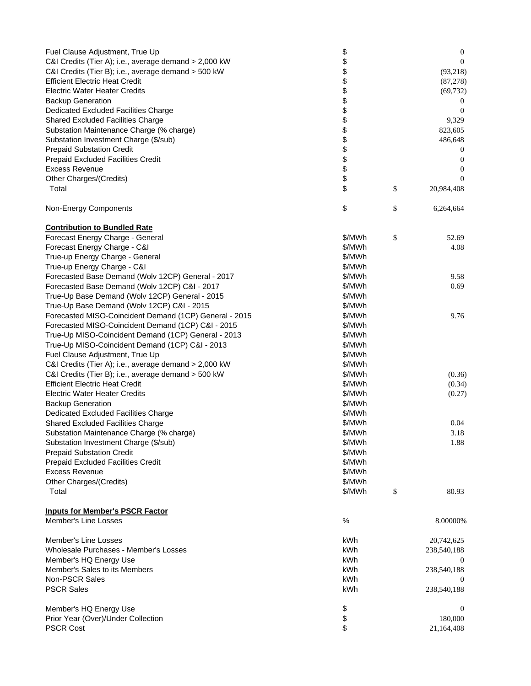| Fuel Clause Adjustment, True Up<br>C&I Credits (Tier A); i.e., average demand > 2,000 kW | \$<br>\$ | $\boldsymbol{0}$<br>$\overline{0}$ |
|------------------------------------------------------------------------------------------|----------|------------------------------------|
| C&I Credits (Tier B); i.e., average demand > 500 kW                                      | \$       |                                    |
| <b>Efficient Electric Heat Credit</b>                                                    |          | (93,218)                           |
| <b>Electric Water Heater Credits</b>                                                     | \$       | (87, 278)                          |
|                                                                                          | \$       | (69, 732)                          |
| <b>Backup Generation</b>                                                                 | \$<br>\$ | $\theta$<br>$\Omega$               |
| Dedicated Excluded Facilities Charge                                                     |          |                                    |
| Shared Excluded Facilities Charge                                                        | \$       | 9,329                              |
| Substation Maintenance Charge (% charge)                                                 | \$       | 823,605                            |
| Substation Investment Charge (\$/sub)                                                    | \$       | 486,648                            |
| <b>Prepaid Substation Credit</b>                                                         | \$       | $\boldsymbol{0}$                   |
| Prepaid Excluded Facilities Credit                                                       | \$       | $\overline{0}$                     |
| Excess Revenue                                                                           | \$       | $\overline{0}$                     |
| Other Charges/(Credits)                                                                  | \$       | $\Omega$                           |
| Total                                                                                    | \$       | \$<br>20,984,408                   |
| Non-Energy Components                                                                    | \$       | \$<br>6,264,664                    |
| <b>Contribution to Bundled Rate</b>                                                      |          |                                    |
| Forecast Energy Charge - General                                                         | \$/MWh   | \$<br>52.69                        |
| Forecast Energy Charge - C&I                                                             | \$/MWh   | 4.08                               |
| True-up Energy Charge - General                                                          | \$/MWh   |                                    |
| True-up Energy Charge - C&I                                                              | \$/MWh   |                                    |
| Forecasted Base Demand (Wolv 12CP) General - 2017                                        | \$/MWh   | 9.58                               |
| Forecasted Base Demand (Wolv 12CP) C&I - 2017                                            | \$/MWh   | 0.69                               |
| True-Up Base Demand (Wolv 12CP) General - 2015                                           | \$/MWh   |                                    |
| True-Up Base Demand (Wolv 12CP) C&I - 2015                                               | \$/MWh   |                                    |
| Forecasted MISO-Coincident Demand (1CP) General - 2015                                   | \$/MWh   | 9.76                               |
| Forecasted MISO-Coincident Demand (1CP) C&I - 2015                                       | \$/MWh   |                                    |
| True-Up MISO-Coincident Demand (1CP) General - 2013                                      | \$/MWh   |                                    |
| True-Up MISO-Coincident Demand (1CP) C&I - 2013                                          | \$/MWh   |                                    |
| Fuel Clause Adjustment, True Up                                                          | \$/MWh   |                                    |
| C&I Credits (Tier A); i.e., average demand > 2,000 kW                                    | \$/MWh   |                                    |
| C&I Credits (Tier B); i.e., average demand > 500 kW                                      | \$/MWh   | (0.36)                             |
| <b>Efficient Electric Heat Credit</b>                                                    | \$/MWh   | (0.34)                             |
| <b>Electric Water Heater Credits</b>                                                     | \$/MWh   | (0.27)                             |
| <b>Backup Generation</b>                                                                 | \$/MWh   |                                    |
| Dedicated Excluded Facilities Charge                                                     | \$/MWh   |                                    |
| <b>Shared Excluded Facilities Charge</b>                                                 | \$/MWh   | 0.04                               |
| Substation Maintenance Charge (% charge)                                                 | \$/MWh   | 3.18                               |
| Substation Investment Charge (\$/sub)                                                    | \$/MWh   | 1.88                               |
| <b>Prepaid Substation Credit</b>                                                         | \$/MWh   |                                    |
| Prepaid Excluded Facilities Credit                                                       | \$/MWh   |                                    |
| <b>Excess Revenue</b>                                                                    | \$/MWh   |                                    |
| Other Charges/(Credits)                                                                  | \$/MWh   |                                    |
| Total                                                                                    | \$/MWh   | \$<br>80.93                        |
| <b>Inputs for Member's PSCR Factor</b>                                                   |          |                                    |
| Member's Line Losses                                                                     | $\%$     | 8.00000%                           |
| Member's Line Losses                                                                     | kWh      | 20,742,625                         |
| Wholesale Purchases - Member's Losses                                                    | kWh      | 238,540,188                        |
| Member's HQ Energy Use                                                                   | kWh      | $\theta$                           |
| Member's Sales to its Members                                                            | kWh      | 238,540,188                        |
| Non-PSCR Sales                                                                           | kWh      | $\theta$                           |
| <b>PSCR Sales</b>                                                                        | kWh      | 238,540,188                        |
| Member's HQ Energy Use                                                                   | \$       | $\theta$                           |
| Prior Year (Over)/Under Collection                                                       | \$       | 180,000                            |
| <b>PSCR Cost</b>                                                                         | \$       | 21,164,408                         |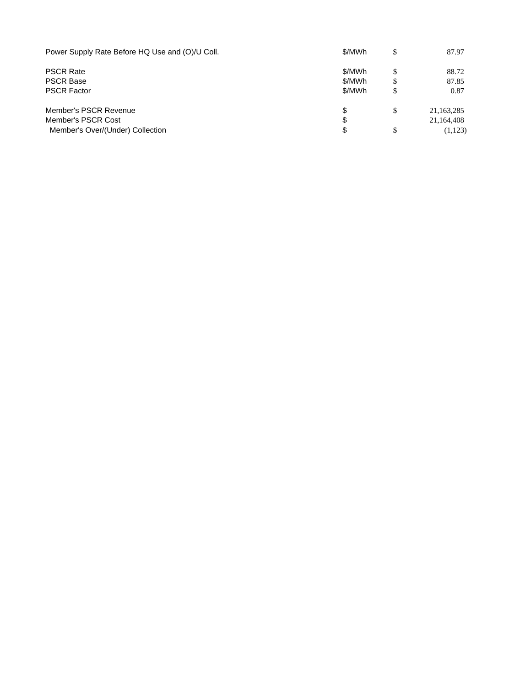| Power Supply Rate Before HQ Use and (O)/U Coll. | \$/MWh | \$<br>87.97      |
|-------------------------------------------------|--------|------------------|
| <b>PSCR Rate</b>                                | \$/MWh | \$<br>88.72      |
| <b>PSCR Base</b>                                | \$/MWh | \$<br>87.85      |
| <b>PSCR Factor</b>                              | \$/MWh | \$<br>0.87       |
| Member's PSCR Revenue                           | S      | \$<br>21,163,285 |
| Member's PSCR Cost                              | S      | 21,164,408       |
| Member's Over/(Under) Collection                | S      | \$<br>(1,123)    |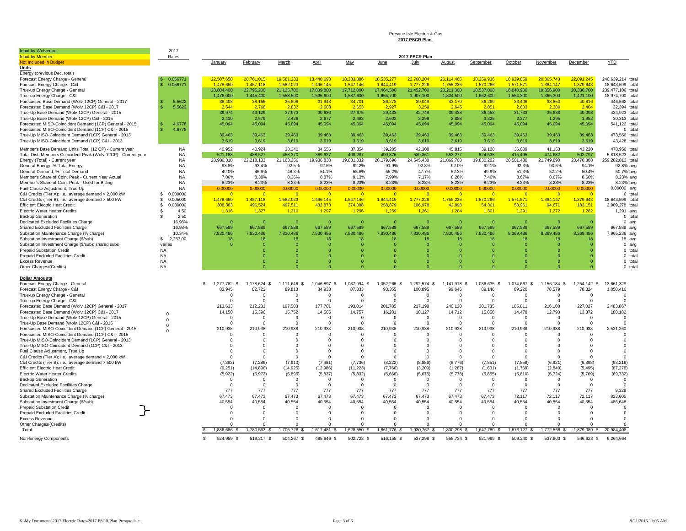#### Presque Isle Electric & Gas **2017 PSCR Plan**

| 2017 PSCR Plan<br>Rates<br><b>YTD</b><br><b>Not Included in Budget</b><br>March<br>April<br>May<br>June<br>August<br>September<br>October<br>November<br>December<br>January<br>February<br>July<br>18.440.693<br>20.114.465<br>18.259.936<br>20.365.743<br>240.639.214 total<br>0.056771<br>22.507.658<br>20.761.015<br>19.581.233<br>18.283.886<br>18.535.277<br>22.768.204<br>18.929.859<br>22.091.245<br>Forecast Energy Charge - C&I<br>0.056771<br>1.478.660<br>1.457.118<br>1.582.023<br>1.496.145<br>1.547.146<br>1.644.419<br>1,777,226<br>1.755.235<br>1.570.266<br>1.571.571<br>1.384.147<br>1.379.643<br>18,643,599 total<br>20,211,300<br>18,537,000<br>20,336,700<br>True-up Energy Charge - General<br>23,804,400<br>22,795,200<br>21,125,700<br>17,839,800<br>17,712,000<br>17,464,500<br>21,452,700<br>18,840,900<br>19,356,900<br>239,477,100 total<br>1,476,000<br>1,445,400<br>1,558,500<br>1,536,600<br>1,655,700<br>1,907,100<br>1,804,500<br>1,662,600<br>1,554,300<br>1,365,300<br>18.974.700 total<br>1,587,600<br>1,421,100<br>5.5622<br>446,562 total<br>38,408<br>38,156<br>35,508<br>31,948<br>34,701<br>36,278<br>39,049<br>43,170<br>36,269<br>33,406<br>38,853<br>40,816<br>Forecasted Base Demand (Wolv 12CP) C&I - 2017<br>5.5622<br>2.544<br>2.768<br>2.832<br>2.608<br>2.653<br>2.927<br>3.259<br>2.645<br>2.851<br>2.603<br>2.300<br>2.404<br>32,394 total<br>43,129<br>39,438<br>39,974<br>37,973<br>30,630<br>27,675<br>29,433<br>42,749<br>36,453<br>31,733<br>35,638<br>40,098<br>434,923 total<br>2,410<br>2.579<br>2,426<br>2,677<br>2,483<br>2,602<br>3,299<br>2.888<br>3,325<br>2,377<br>1,295<br>1,952<br>30.313 total<br>4.6778<br>45,094<br>45,094<br>45,094<br>45,094<br>45,094<br>45,094<br>45,094<br>45,094<br>Forecasted MISO-Coincident Demand (1CP) General - 2015<br>45,094<br>45,094<br>45,094<br>45,094<br>541,122 total<br>4.6778<br>Forecasted MISO-Coincident Demand (1CP) C&I - 2015<br>0 total<br>39,463<br>39,463<br>39,463<br>39,463<br>39,463<br>39,463<br>39,463<br>True-Up MISO-Coincident Demand (1CP) General - 2013<br>39,463<br>39,463<br>39,463<br>39,463<br>39,463<br>473,556 total<br>True-Up MISO-Coincident Demand (1CP) C&I - 2013<br>3,619<br>3,619<br>3,619<br>3,619<br>3,619<br>3,619<br>3,619<br>3,619<br>3,619<br>3,619<br>3,619<br>3,619<br>43,428 total<br>43,220<br>Member's Base Demand Units Total (12 CP) - Current year<br><b>NA</b><br>40.952<br>40.924<br>38,340<br>34,556<br>37,354<br>39,205<br>42,308<br>45,815<br>39,120<br>36,009<br>41,153<br>478,956 total<br>Total Dist. Members Coincident Peak (Wolv 12CP) - Current year<br><b>NA</b><br>488.527<br>458.370<br>553.277<br>524.538<br>415.495<br>474.682<br>5.818.523 total<br>521.188<br>389.627<br>409.287<br>490,876<br>589,861<br>502.797<br><b>NA</b><br>19,830,202<br>23,470,888<br>259,282,813 total<br>Energy (Total) - Current year<br>23,986,318<br>22,218,133<br>21,163,256<br>19,936,838<br>19,831,032<br>24,545,430<br>21,869,700<br>20,501,430<br>21,749,890<br>20,179,696<br>92.5%<br>General Energy, % Total Energy<br>NA<br>93.8%<br>93.4%<br>92.5%<br>92.2%<br>91.9%<br>92.8%<br>92.0%<br>92.1%<br>92.3%<br>93.6%<br>94.1%<br>92.8% avg<br>49.9%<br><b>NA</b><br>49.0%<br>46.9%<br>48.3%<br>51.1%<br>55.6%<br>55.2%<br>47.7%<br>52.3%<br>51.3%<br>52.2%<br>50.4%<br>50.7% avg<br>Member's Share of Coin. Peak - Current Year Actual<br><b>NA</b><br>7.86%<br>8.38%<br>8.36%<br>8.87%<br>9.13%<br>7.99%<br>7.17%<br>8.28%<br>7.46%<br>8.67%<br>8.67%<br>8.60%<br>8.23% avg<br>8.23%<br>8.23%<br>8.23%<br>8.23%<br>8.23%<br>8.23%<br>8.23%<br>8.23%<br>8.23%<br>8.23%<br>8.23%<br>8.23%<br><b>NA</b><br>8.23% avg<br><b>NA</b><br>0.00000<br>0.00000<br>0.00000<br>0.00000<br>0.00000<br>0.00000<br>0.00000<br>0.00000<br>0.00000<br>0.00000<br>0.00000<br>0.00000<br>$0.00000$ avg<br>\$.<br>0.009000<br>$\overline{0}$<br>$\overline{0}$<br>$\overline{0}$<br>$\overline{\phantom{a}}$<br>$\overline{0}$<br><u>ം</u><br>$\overline{0}$<br>_റ<br>$\overline{0}$<br>- 0<br>$\overline{0}$<br>- 0<br>0 total<br>0.005000<br>1,478,660<br>1,457,118<br>1,582,023<br>1,496,145<br>1,547,146<br>1,644,419<br>1,777,226<br>1,755,235<br>1,570,266<br>1,571,571<br>1,384,147<br>1,379,643<br>18,643,599 total<br>£.<br>496,524<br>374,088<br>42,898<br><b>Efficient Electric Heat Credit</b><br>0.030000<br>308,383<br>497,511<br>432,873<br>258,879<br>106,978<br>54,361<br>58,961<br>94,671<br>183,151<br>2,909,278 total<br>£.<br>1,259<br>1,284<br><b>Electric Water Heater Credits</b><br>1,316<br>1,327<br>1,310<br>1,297<br>1,296<br>1,261<br>1,301<br>1,291<br>£.<br>4.50<br>1,272<br>1,282<br>1,291 avg<br>2.50<br>s.<br>0 total<br>16.98%<br>$\overline{0}$<br>$\overline{0}$<br>$\overline{0}$<br>$\Omega$<br>$\Omega$<br>$\Omega$<br>$\Omega$<br>$\overline{0}$<br>$\overline{0}$<br>$\Omega$<br>$\Omega$<br>$\Omega$<br>$0$ avg<br>667,589<br>667,589<br>667,589<br>667,589<br>667.589<br>667,589<br>667.589<br>667.589<br>667.589<br>667.589<br>667.589<br>Shared Excluded Facilities Charge<br>16.98%<br>667.589<br>667,589 avg<br>Substation Maintenance Charge (% charge)<br>10.34%<br>7,830,486<br>7,830,486<br>7,830,486<br>7,830,486<br>7,830,486<br>7,830,486<br>7,830,486<br>7,830,486<br>7,830,486<br>8,369,486<br>8,369,486<br>8,369,486<br>7,965,236 avg<br>Substation Investment Charge (\$/sub)<br>s.<br>2,253.00<br>18<br>18<br>18<br>18<br>18<br>18<br>18<br>18<br>18<br>18<br>18<br>18 avg<br>Substation Investment Charge (\$/sub); shared subs<br>$\Omega$<br>$\Omega$<br>$\Omega$<br>$\Omega$<br>$\Omega$<br>$\Omega$<br>$\Omega$<br>varies<br>$\Omega$<br>$\Omega$<br>$\Omega$<br>$\Omega$<br>$\Omega$<br>$0$ avg<br><b>NA</b><br><b>Prepaid Substation Credit</b><br>$\Omega$<br>$\Omega$<br>$\Omega$<br>$\Omega$<br>$\Omega$<br>$\Omega$<br>$\Omega$<br>$\Omega$<br>0 total<br>$\Omega$<br>n<br><b>NA</b><br><b>Prepaid Excluded Facilities Credit</b><br>$\Omega$<br>$\overline{0}$<br>$\Omega$<br>$\Omega$<br>$\mathbf 0$<br>$\mathbf 0$<br>$\mathbf 0$<br>0 total<br>$\Omega$<br>o<br>$\Omega$<br><b>Excess Revenue</b><br><b>NA</b><br>$\Omega$<br>$\Omega$<br>$\Omega$<br>$\Omega$<br>$\Omega$<br>$\Omega$<br>$\Omega$<br>$\Omega$<br>$\Omega$<br>$\Omega$<br>$\Omega$<br>0 total<br>Other Charges/(Credits)<br><b>NA</b><br>$\Omega$<br>$\Omega$<br>$\Omega$<br>$\Omega$<br>$\Omega$<br>$\Omega$<br>$\Omega$<br>$\Omega$<br>$\Omega$<br>$\Omega$<br>$\Omega$<br>0 total<br>Forecast Energy Charge - General<br>1,277,782 \$<br>1,178,624 \$<br>1,111,646 \$<br>1,046,897<br>1,037,994 \$<br>1,052,266 \$<br>1.292.574 \$<br>1,141,918 \$<br>1,036,635 \$<br>1,074,667 \$<br>1,156,184 \$<br>1.254.142 \$<br>13.661.329<br>\$.<br>- \$<br>93.355<br>100.895<br>99.646<br>89.146<br>89.220<br>78.579<br>78.324<br>1,058,416<br>Forecast Energy Charge - C&I<br>83.945<br>82.722<br>89.813<br>84.938<br>87.833<br>True-up Energy Charge - General<br>$\Omega$<br>$\Omega$<br>$\Omega$<br>$\Omega$<br>$\Omega$<br>$\Omega$<br>$\Omega$<br>$\Omega$<br>$\Omega$<br>$\Omega$<br>$\Omega$<br>$\Omega$<br>$\Omega$<br>True-up Energy Charge - C&I<br>$\Omega$<br>$\Omega$<br>$\Omega$<br>$\Omega$<br>$\Omega$<br>$\Omega$<br>$\Omega$<br>$\Omega$<br>$\Omega$<br>$\Omega$<br>$\Omega$<br>$\Omega$<br>$\mathsf{C}$<br>Forecasted Base Demand (Wolv 12CP) General - 2017<br>213,633<br>212,231<br>197,503<br>177,701<br>193,014<br>201,785<br>217,198<br>240,120<br>201,735<br>185,811<br>216,108<br>227,027<br>2,483,867<br>Forecasted Base Demand (Wolv 12CP) C&I - 2017<br>14,150<br>15,396<br>15,752<br>14,506<br>14,757<br>16,281<br>18,127<br>14,712<br>15,858<br>14,478<br>12,793<br>13,372<br>180,182<br>$\Omega$<br>True-Up Base Demand (Wolv 12CP) General - 2015<br>$\Omega$<br>$\Omega$<br>$\Omega$<br>$\Omega$<br>$\Omega$<br>$\Omega$<br>$\Omega$<br>$^{\circ}$<br>- 0<br>$\Omega$<br>$\Omega$<br>$\Omega$<br>$\Omega$<br>$\Omega$<br>True-Up Base Demand (Wolv 12CP) C&I - 2015<br>$\Omega$<br>$\Omega$<br>$\Omega$<br>$\Omega$<br>$\Omega$<br>$\Omega$<br>$\Omega$<br>$\Omega$<br>$\Omega$<br>$\Omega$<br>$\Omega$<br>$\Omega$<br>$\Omega$<br>Forecasted MISO-Coincident Demand (1CP) General - 2015<br>210,938<br>210,938<br>210,938<br>210,938<br>210,938<br>210,938<br>210,938<br>210,938<br>210,938<br>210,938<br>210,938<br>210,938<br>2,531,260<br>$\Omega$<br>Forecasted MISO-Coincident Demand (1CP) C&I - 2015<br>$\Omega$<br>$\Omega$<br>$\Omega$<br>$\Omega$<br>$\Omega$<br>$\Omega$<br>$\Omega$<br>$\Omega$<br>$\Omega$<br>$\Omega$<br>$\Omega$<br>$\Omega$<br>$\Omega$<br>True-Up MISO-Coincident Demand (1CP) General - 2013<br>$\Omega$<br>$\Omega$<br>$\Omega$<br>$\Omega$<br>$\Omega$<br>$\Omega$<br>$\Omega$<br>$\Omega$<br>$\Omega$<br>$\Omega$<br>$\Omega$<br>$\Omega$<br>$\Omega$<br>True-Up MISO-Coincident Demand (1CP) C&I - 2013<br>$\Omega$<br>$\overline{0}$<br>$\Omega$<br>$\Omega$<br>$\Omega$<br>$\Omega$<br>$\Omega$<br>$\Omega$<br>$\Omega$<br>$\Omega$<br>$\Omega$<br>$\Omega$<br>$\Omega$<br>$\Omega$<br>Fuel Clause Adjustment, True Up<br>$\Omega$<br>$\Omega$<br>$\Omega$<br>$\Omega$<br>$\Omega$<br>$\Omega$<br>$\Omega$<br>$\Omega$<br>$\Omega$<br>$\Omega$<br>$\Omega$<br>$\Omega$<br>C&I Credits (Tier A); i.e., average demand > 2,000 kW<br>$\Omega$<br>$\Omega$<br>$\Omega$<br>$\Omega$<br>$\Omega$<br>$\Omega$<br>$\Omega$<br>$\Omega$<br>$\Omega$<br>$\Omega$<br>$\Omega$<br>$\Omega$<br>$\Omega$<br>(7, 910)<br>(7, 481)<br>(8,886)<br>(8,776)<br>(7, 851)<br>(7, 858)<br>(6,921)<br>(6,898)<br>C&I Credits (Tier B); i.e., average demand > 500 kW<br>(7, 393)<br>(7, 286)<br>(7,736)<br>(8, 222)<br>(93, 218)<br>(3,209)<br>(1, 287)<br>(1,631)<br>(1,769)<br>(5, 495)<br>(87, 278)<br><b>Efficient Electric Heat Credit</b><br>(9, 251)<br>(14, 896)<br>(14, 925)<br>(12, 986)<br>(11, 223)<br>(7,766)<br>(2,840)<br>(5, 922)<br>(5,972)<br>(5,895)<br>(5, 837)<br>(5,832)<br>(5,666)<br>(5,675)<br>(5,778)<br>(5,855)<br>(5,810)<br>(5, 724)<br>(5,769)<br>(69, 732)<br><b>Electric Water Heater Credits</b><br><b>Backup Generation</b><br>$\mathbf{0}$<br>$\mathbf{0}$<br>$\Omega$<br>$\Omega$<br>$\Omega$<br>$\Omega$<br>$\overline{0}$<br>$\overline{0}$<br>$\Omega$<br>$\Omega$<br>$\Omega$<br>$\Omega$<br>$\Omega$<br>$\mathbf{0}$<br>$\Omega$<br>$\Omega$<br>$\Omega$<br>$\overline{0}$<br>$\overline{0}$<br>Dedicated Excluded Facilities Charge<br>$\Omega$<br>$\Omega$<br>$\Omega$<br>$\Omega$<br>$\Omega$<br>$\Omega$<br>$\Omega$<br>777<br>Shared Excluded Facilities Charge<br>777<br>777<br>777<br>777<br>777<br>777<br>777<br>777<br>777<br>777<br>777<br>9,329<br>Substation Maintenance Charge (% charge)<br>67,473<br>67,473<br>67,473<br>67,473<br>67,473<br>67,473<br>67,473<br>67,473<br>67,473<br>72,117<br>72,117<br>72,117<br>823,605<br>40.554<br>40.554<br>40.554<br>40.554<br>40.554<br>40.554<br>40.554<br>40.554<br>Substation Investment Charge (\$/sub)<br>40.554<br>40.554<br>40.554<br>40.554<br>486.648<br><b>Prepaid Substation Credit</b><br>$\Omega$<br>$\Omega$<br>$\Omega$<br>$\Omega$<br>$\Omega$<br>$\Omega$<br>$\Omega$<br>$\Omega$<br>$\Omega$<br>$\Omega$<br>$\Omega$<br>- 0<br>$\Omega$<br>Prepaid Excluded Facilities Credit<br>$^{\circ}$<br>$^{\circ}$<br>$\mathbf 0$<br>$\mathbf 0$<br>$^{\circ}$<br>$\Omega$<br>$\overline{0}$<br>$\mathbf 0$<br>$\mathbf 0$<br>$^{\circ}$<br>$\overline{0}$<br>$\mathbf 0$<br>$^{\circ}$<br><b>Excess Revenue</b><br>$\Omega$<br>$\Omega$<br>$\Omega$<br>$\Omega$<br>$\Omega$<br>$\Omega$<br>$\Omega$<br>$\Omega$<br>$\Omega$<br>$\Omega$<br>$\Omega$<br>$\Omega$<br>$\Omega$<br>Other Charges/(Credits)<br>$\Omega$<br>$\Omega$<br>$\Omega$<br>$\Omega$<br>$\Omega$<br>1.886.686 \$<br>1.780.563 \$<br>1.705.726 \$<br>1.617.481 \$<br>1.628.550 \$<br>1.661.776 \$<br>1.930.767 \$<br>1.800.298 \$<br>1.647.780 \$<br>1.673.127 \$<br>1.772.566 \$<br>1.879.089 \$<br>20.984.408<br>Total<br>6.264.664<br>\$.<br>524.959 \$<br>519.217 \$<br>504.267 \$<br>485.646 \$<br>502.723 \$<br>516.155 \$<br>537.298 \$<br>558.734 \$<br>521.999 \$<br>509.240 \$<br>537.803 \$<br>546.623 \$ | Input by Wolverine<br><b>Input by Member</b>          | 2017 |  |  |  |  |  |  |  |
|----------------------------------------------------------------------------------------------------------------------------------------------------------------------------------------------------------------------------------------------------------------------------------------------------------------------------------------------------------------------------------------------------------------------------------------------------------------------------------------------------------------------------------------------------------------------------------------------------------------------------------------------------------------------------------------------------------------------------------------------------------------------------------------------------------------------------------------------------------------------------------------------------------------------------------------------------------------------------------------------------------------------------------------------------------------------------------------------------------------------------------------------------------------------------------------------------------------------------------------------------------------------------------------------------------------------------------------------------------------------------------------------------------------------------------------------------------------------------------------------------------------------------------------------------------------------------------------------------------------------------------------------------------------------------------------------------------------------------------------------------------------------------------------------------------------------------------------------------------------------------------------------------------------------------------------------------------------------------------------------------------------------------------------------------------------------------------------------------------------------------------------------------------------------------------------------------------------------------------------------------------------------------------------------------------------------------------------------------------------------------------------------------------------------------------------------------------------------------------------------------------------------------------------------------------------------------------------------------------------------------------------------------------------------------------------------------------------------------------------------------------------------------------------------------------------------------------------------------------------------------------------------------------------------------------------------------------------------------------------------------------------------------------------------------------------------------------------------------------------------------------------------------------------------------------------------------------------------------------------------------------------------------------------------------------------------------------------------------------------------------------------------------------------------------------------------------------------------------------------------------------------------------------------------------------------------------------------------------------------------------------------------------------------------------------------------------------------------------------------------------------------------------------------------------------------------------------------------------------------------------------------------------------------------------------------------------------------------------------------------------------------------------------------------------------------------------------------------------------------------------------------------------------------------------------------------------------------------------------------------------------------------------------------------------------------------------------------------------------------------------------------------------------------------------------------------------------------------------------------------------------------------------------------------------------------------------------------------------------------------------------------------------------------------------------------------------------------------------------------------------------------------------------------------------------------------------------------------------------------------------------------------------------------------------------------------------------------------------------------------------------------------------------------------------------------------------------------------------------------------------------------------------------------------------------------------------------------------------------------------------------------------------------------------------------------------------------------------------------------------------------------------------------------------------------------------------------------------------------------------------------------------------------------------------------------------------------------------------------------------------------------------------------------------------------------------------------------------------------------------------------------------------------------------------------------------------------------------------------------------------------------------------------------------------------------------------------------------------------------------------------------------------------------------------------------------------------------------------------------------------------------------------------------------------------------------------------------------------------------------------------------------------------------------------------------------------------------------------------------------------------------------------------------------------------------------------------------------------------------------------------------------------------------------------------------------------------------------------------------------------------------------------------------------------------------------------------------------------------------------------------------------------------------------------------------------------------------------------------------------------------------------------------------------------------------------------------------------------------------------------------------------------------------------------------------------------------------------------------------------------------------------------------------------------------------------------------------------------------------------------------------------------------------------------------------------------------------------------------------------------------------------------------------------------------------------------------------------------------------------------------------------------------------------------------------------------------------------------------------------------------------------------------------------------------------------------------------------------------------------------------------------------------------------------------------------------------------------------------------------------------------------------------------------------------------------------------------------------------------------------------------------------------------------------------------------------------------------------------------------------------------------------------------------------------------------------------------------------------------------------------------------------------------------------------------------------------------------------------------------------------------------------------------------------------------------------------------------------------------------------------------------------------------------------------------------------------------------------------------------------------------------------------------------------------------------------------------------------------------------------------------------------------------------------------------------------------------------------------------------------------------------------------------------------------------------------------------------------------------------------------------------------------------------------------------------------------------------------------------------------------------------------------------------------------------------------------------------------------------------------------------------------------------------------------------------------------------------------------------------------------------------------------------------------------------------------------------------------------------------------------------------------------------------------------------------------------------------------------------------------------------------------------------------------------------------------------------------------------------------------------------------------------------------------------------------------------------------------------------------------------------------------------------------------------------------------------------------------------------------------------------------------------------------------------------------------------------------------------------------------------------------------------------------------------------------------------------------------------------------------------------------------------------------------------------------------------------------------------------------------------------------------------------------------------------------------------------------------------------------------------------------------------------------------------------------------------------------------------------------------------------------------------------------------------------------------------------------------------------------------------------------------------------------------------------------------------------------------------------------------------------------------------------------------------------------------------------------------------------------------------------------------------------------------------------------------------------------------------------------------------------------------------------------------------------------------------------------------------------------------------------------------------------------------------------------------------------------------------------------------------------------------------------------------------------------------------------------------------------------------------------------------------------------------------------------------------------------------------------------------------------------------------------------------------------------------------------------------------------------------------------------------------------------------------------------------------------------------------------------------------------------------------------------------------------------------------------------------------------------------------------------------------------------------------------------------------------------------------------------------------------------|-------------------------------------------------------|------|--|--|--|--|--|--|--|
|                                                                                                                                                                                                                                                                                                                                                                                                                                                                                                                                                                                                                                                                                                                                                                                                                                                                                                                                                                                                                                                                                                                                                                                                                                                                                                                                                                                                                                                                                                                                                                                                                                                                                                                                                                                                                                                                                                                                                                                                                                                                                                                                                                                                                                                                                                                                                                                                                                                                                                                                                                                                                                                                                                                                                                                                                                                                                                                                                                                                                                                                                                                                                                                                                                                                                                                                                                                                                                                                                                                                                                                                                                                                                                                                                                                                                                                                                                                                                                                                                                                                                                                                                                                                                                                                                                                                                                                                                                                                                                                                                                                                                                                                                                                                                                                                                                                                                                                                                                                                                                                                                                                                                                                                                                                                                                                                                                                                                                                                                                                                                                                                                                                                                                                                                                                                                                                                                                                                                                                                                                                                                                                                                                                                                                                                                                                                                                                                                                                                                                                                                                                                                                                                                                                                                                                                                                                                                                                                                                                                                                                                                                                                                                                                                                                                                                                                                                                                                                                                                                                                                                                                                                                                                                                                                                                                                                                                                                                                                                                                                                                                                                                                                                                                                                                                                                                                                                                                                                                                                                                                                                                                                                                                                                                                                                                                                                                                                                                                                                                                                                                                                                                                                                                                                                                                                                                                                                                                                                                                                                                                                                                                                                                                                                                                                                                                                                                                                                                                                                                                                                                                                                                                                                                                                                                                                                                                                                                                                                                                                                                                                                                                                                                                                                                                                                                                                                                                                                                                                                                                                                                                                                                                                                                                                                                                                                                                                                                                                                                                                                                                                                                                                                                                                                                                                                                                                                                                                                                                                                                                                                                                                                                                              |                                                       |      |  |  |  |  |  |  |  |
|                                                                                                                                                                                                                                                                                                                                                                                                                                                                                                                                                                                                                                                                                                                                                                                                                                                                                                                                                                                                                                                                                                                                                                                                                                                                                                                                                                                                                                                                                                                                                                                                                                                                                                                                                                                                                                                                                                                                                                                                                                                                                                                                                                                                                                                                                                                                                                                                                                                                                                                                                                                                                                                                                                                                                                                                                                                                                                                                                                                                                                                                                                                                                                                                                                                                                                                                                                                                                                                                                                                                                                                                                                                                                                                                                                                                                                                                                                                                                                                                                                                                                                                                                                                                                                                                                                                                                                                                                                                                                                                                                                                                                                                                                                                                                                                                                                                                                                                                                                                                                                                                                                                                                                                                                                                                                                                                                                                                                                                                                                                                                                                                                                                                                                                                                                                                                                                                                                                                                                                                                                                                                                                                                                                                                                                                                                                                                                                                                                                                                                                                                                                                                                                                                                                                                                                                                                                                                                                                                                                                                                                                                                                                                                                                                                                                                                                                                                                                                                                                                                                                                                                                                                                                                                                                                                                                                                                                                                                                                                                                                                                                                                                                                                                                                                                                                                                                                                                                                                                                                                                                                                                                                                                                                                                                                                                                                                                                                                                                                                                                                                                                                                                                                                                                                                                                                                                                                                                                                                                                                                                                                                                                                                                                                                                                                                                                                                                                                                                                                                                                                                                                                                                                                                                                                                                                                                                                                                                                                                                                                                                                                                                                                                                                                                                                                                                                                                                                                                                                                                                                                                                                                                                                                                                                                                                                                                                                                                                                                                                                                                                                                                                                                                                                                                                                                                                                                                                                                                                                                                                                                                                                                                                                              | Units                                                 |      |  |  |  |  |  |  |  |
|                                                                                                                                                                                                                                                                                                                                                                                                                                                                                                                                                                                                                                                                                                                                                                                                                                                                                                                                                                                                                                                                                                                                                                                                                                                                                                                                                                                                                                                                                                                                                                                                                                                                                                                                                                                                                                                                                                                                                                                                                                                                                                                                                                                                                                                                                                                                                                                                                                                                                                                                                                                                                                                                                                                                                                                                                                                                                                                                                                                                                                                                                                                                                                                                                                                                                                                                                                                                                                                                                                                                                                                                                                                                                                                                                                                                                                                                                                                                                                                                                                                                                                                                                                                                                                                                                                                                                                                                                                                                                                                                                                                                                                                                                                                                                                                                                                                                                                                                                                                                                                                                                                                                                                                                                                                                                                                                                                                                                                                                                                                                                                                                                                                                                                                                                                                                                                                                                                                                                                                                                                                                                                                                                                                                                                                                                                                                                                                                                                                                                                                                                                                                                                                                                                                                                                                                                                                                                                                                                                                                                                                                                                                                                                                                                                                                                                                                                                                                                                                                                                                                                                                                                                                                                                                                                                                                                                                                                                                                                                                                                                                                                                                                                                                                                                                                                                                                                                                                                                                                                                                                                                                                                                                                                                                                                                                                                                                                                                                                                                                                                                                                                                                                                                                                                                                                                                                                                                                                                                                                                                                                                                                                                                                                                                                                                                                                                                                                                                                                                                                                                                                                                                                                                                                                                                                                                                                                                                                                                                                                                                                                                                                                                                                                                                                                                                                                                                                                                                                                                                                                                                                                                                                                                                                                                                                                                                                                                                                                                                                                                                                                                                                                                                                                                                                                                                                                                                                                                                                                                                                                                                                                                                                                              | Energy (previous Dec. total)                          |      |  |  |  |  |  |  |  |
|                                                                                                                                                                                                                                                                                                                                                                                                                                                                                                                                                                                                                                                                                                                                                                                                                                                                                                                                                                                                                                                                                                                                                                                                                                                                                                                                                                                                                                                                                                                                                                                                                                                                                                                                                                                                                                                                                                                                                                                                                                                                                                                                                                                                                                                                                                                                                                                                                                                                                                                                                                                                                                                                                                                                                                                                                                                                                                                                                                                                                                                                                                                                                                                                                                                                                                                                                                                                                                                                                                                                                                                                                                                                                                                                                                                                                                                                                                                                                                                                                                                                                                                                                                                                                                                                                                                                                                                                                                                                                                                                                                                                                                                                                                                                                                                                                                                                                                                                                                                                                                                                                                                                                                                                                                                                                                                                                                                                                                                                                                                                                                                                                                                                                                                                                                                                                                                                                                                                                                                                                                                                                                                                                                                                                                                                                                                                                                                                                                                                                                                                                                                                                                                                                                                                                                                                                                                                                                                                                                                                                                                                                                                                                                                                                                                                                                                                                                                                                                                                                                                                                                                                                                                                                                                                                                                                                                                                                                                                                                                                                                                                                                                                                                                                                                                                                                                                                                                                                                                                                                                                                                                                                                                                                                                                                                                                                                                                                                                                                                                                                                                                                                                                                                                                                                                                                                                                                                                                                                                                                                                                                                                                                                                                                                                                                                                                                                                                                                                                                                                                                                                                                                                                                                                                                                                                                                                                                                                                                                                                                                                                                                                                                                                                                                                                                                                                                                                                                                                                                                                                                                                                                                                                                                                                                                                                                                                                                                                                                                                                                                                                                                                                                                                                                                                                                                                                                                                                                                                                                                                                                                                                                                                                              | Forecast Energy Charge - General                      |      |  |  |  |  |  |  |  |
|                                                                                                                                                                                                                                                                                                                                                                                                                                                                                                                                                                                                                                                                                                                                                                                                                                                                                                                                                                                                                                                                                                                                                                                                                                                                                                                                                                                                                                                                                                                                                                                                                                                                                                                                                                                                                                                                                                                                                                                                                                                                                                                                                                                                                                                                                                                                                                                                                                                                                                                                                                                                                                                                                                                                                                                                                                                                                                                                                                                                                                                                                                                                                                                                                                                                                                                                                                                                                                                                                                                                                                                                                                                                                                                                                                                                                                                                                                                                                                                                                                                                                                                                                                                                                                                                                                                                                                                                                                                                                                                                                                                                                                                                                                                                                                                                                                                                                                                                                                                                                                                                                                                                                                                                                                                                                                                                                                                                                                                                                                                                                                                                                                                                                                                                                                                                                                                                                                                                                                                                                                                                                                                                                                                                                                                                                                                                                                                                                                                                                                                                                                                                                                                                                                                                                                                                                                                                                                                                                                                                                                                                                                                                                                                                                                                                                                                                                                                                                                                                                                                                                                                                                                                                                                                                                                                                                                                                                                                                                                                                                                                                                                                                                                                                                                                                                                                                                                                                                                                                                                                                                                                                                                                                                                                                                                                                                                                                                                                                                                                                                                                                                                                                                                                                                                                                                                                                                                                                                                                                                                                                                                                                                                                                                                                                                                                                                                                                                                                                                                                                                                                                                                                                                                                                                                                                                                                                                                                                                                                                                                                                                                                                                                                                                                                                                                                                                                                                                                                                                                                                                                                                                                                                                                                                                                                                                                                                                                                                                                                                                                                                                                                                                                                                                                                                                                                                                                                                                                                                                                                                                                                                                                                                              |                                                       |      |  |  |  |  |  |  |  |
|                                                                                                                                                                                                                                                                                                                                                                                                                                                                                                                                                                                                                                                                                                                                                                                                                                                                                                                                                                                                                                                                                                                                                                                                                                                                                                                                                                                                                                                                                                                                                                                                                                                                                                                                                                                                                                                                                                                                                                                                                                                                                                                                                                                                                                                                                                                                                                                                                                                                                                                                                                                                                                                                                                                                                                                                                                                                                                                                                                                                                                                                                                                                                                                                                                                                                                                                                                                                                                                                                                                                                                                                                                                                                                                                                                                                                                                                                                                                                                                                                                                                                                                                                                                                                                                                                                                                                                                                                                                                                                                                                                                                                                                                                                                                                                                                                                                                                                                                                                                                                                                                                                                                                                                                                                                                                                                                                                                                                                                                                                                                                                                                                                                                                                                                                                                                                                                                                                                                                                                                                                                                                                                                                                                                                                                                                                                                                                                                                                                                                                                                                                                                                                                                                                                                                                                                                                                                                                                                                                                                                                                                                                                                                                                                                                                                                                                                                                                                                                                                                                                                                                                                                                                                                                                                                                                                                                                                                                                                                                                                                                                                                                                                                                                                                                                                                                                                                                                                                                                                                                                                                                                                                                                                                                                                                                                                                                                                                                                                                                                                                                                                                                                                                                                                                                                                                                                                                                                                                                                                                                                                                                                                                                                                                                                                                                                                                                                                                                                                                                                                                                                                                                                                                                                                                                                                                                                                                                                                                                                                                                                                                                                                                                                                                                                                                                                                                                                                                                                                                                                                                                                                                                                                                                                                                                                                                                                                                                                                                                                                                                                                                                                                                                                                                                                                                                                                                                                                                                                                                                                                                                                                                                                                              |                                                       |      |  |  |  |  |  |  |  |
|                                                                                                                                                                                                                                                                                                                                                                                                                                                                                                                                                                                                                                                                                                                                                                                                                                                                                                                                                                                                                                                                                                                                                                                                                                                                                                                                                                                                                                                                                                                                                                                                                                                                                                                                                                                                                                                                                                                                                                                                                                                                                                                                                                                                                                                                                                                                                                                                                                                                                                                                                                                                                                                                                                                                                                                                                                                                                                                                                                                                                                                                                                                                                                                                                                                                                                                                                                                                                                                                                                                                                                                                                                                                                                                                                                                                                                                                                                                                                                                                                                                                                                                                                                                                                                                                                                                                                                                                                                                                                                                                                                                                                                                                                                                                                                                                                                                                                                                                                                                                                                                                                                                                                                                                                                                                                                                                                                                                                                                                                                                                                                                                                                                                                                                                                                                                                                                                                                                                                                                                                                                                                                                                                                                                                                                                                                                                                                                                                                                                                                                                                                                                                                                                                                                                                                                                                                                                                                                                                                                                                                                                                                                                                                                                                                                                                                                                                                                                                                                                                                                                                                                                                                                                                                                                                                                                                                                                                                                                                                                                                                                                                                                                                                                                                                                                                                                                                                                                                                                                                                                                                                                                                                                                                                                                                                                                                                                                                                                                                                                                                                                                                                                                                                                                                                                                                                                                                                                                                                                                                                                                                                                                                                                                                                                                                                                                                                                                                                                                                                                                                                                                                                                                                                                                                                                                                                                                                                                                                                                                                                                                                                                                                                                                                                                                                                                                                                                                                                                                                                                                                                                                                                                                                                                                                                                                                                                                                                                                                                                                                                                                                                                                                                                                                                                                                                                                                                                                                                                                                                                                                                                                                                                                              | True-up Energy Charge - C&I                           |      |  |  |  |  |  |  |  |
|                                                                                                                                                                                                                                                                                                                                                                                                                                                                                                                                                                                                                                                                                                                                                                                                                                                                                                                                                                                                                                                                                                                                                                                                                                                                                                                                                                                                                                                                                                                                                                                                                                                                                                                                                                                                                                                                                                                                                                                                                                                                                                                                                                                                                                                                                                                                                                                                                                                                                                                                                                                                                                                                                                                                                                                                                                                                                                                                                                                                                                                                                                                                                                                                                                                                                                                                                                                                                                                                                                                                                                                                                                                                                                                                                                                                                                                                                                                                                                                                                                                                                                                                                                                                                                                                                                                                                                                                                                                                                                                                                                                                                                                                                                                                                                                                                                                                                                                                                                                                                                                                                                                                                                                                                                                                                                                                                                                                                                                                                                                                                                                                                                                                                                                                                                                                                                                                                                                                                                                                                                                                                                                                                                                                                                                                                                                                                                                                                                                                                                                                                                                                                                                                                                                                                                                                                                                                                                                                                                                                                                                                                                                                                                                                                                                                                                                                                                                                                                                                                                                                                                                                                                                                                                                                                                                                                                                                                                                                                                                                                                                                                                                                                                                                                                                                                                                                                                                                                                                                                                                                                                                                                                                                                                                                                                                                                                                                                                                                                                                                                                                                                                                                                                                                                                                                                                                                                                                                                                                                                                                                                                                                                                                                                                                                                                                                                                                                                                                                                                                                                                                                                                                                                                                                                                                                                                                                                                                                                                                                                                                                                                                                                                                                                                                                                                                                                                                                                                                                                                                                                                                                                                                                                                                                                                                                                                                                                                                                                                                                                                                                                                                                                                                                                                                                                                                                                                                                                                                                                                                                                                                                                                                                              | Forecasted Base Demand (Wolv 12CP) General - 2017     |      |  |  |  |  |  |  |  |
|                                                                                                                                                                                                                                                                                                                                                                                                                                                                                                                                                                                                                                                                                                                                                                                                                                                                                                                                                                                                                                                                                                                                                                                                                                                                                                                                                                                                                                                                                                                                                                                                                                                                                                                                                                                                                                                                                                                                                                                                                                                                                                                                                                                                                                                                                                                                                                                                                                                                                                                                                                                                                                                                                                                                                                                                                                                                                                                                                                                                                                                                                                                                                                                                                                                                                                                                                                                                                                                                                                                                                                                                                                                                                                                                                                                                                                                                                                                                                                                                                                                                                                                                                                                                                                                                                                                                                                                                                                                                                                                                                                                                                                                                                                                                                                                                                                                                                                                                                                                                                                                                                                                                                                                                                                                                                                                                                                                                                                                                                                                                                                                                                                                                                                                                                                                                                                                                                                                                                                                                                                                                                                                                                                                                                                                                                                                                                                                                                                                                                                                                                                                                                                                                                                                                                                                                                                                                                                                                                                                                                                                                                                                                                                                                                                                                                                                                                                                                                                                                                                                                                                                                                                                                                                                                                                                                                                                                                                                                                                                                                                                                                                                                                                                                                                                                                                                                                                                                                                                                                                                                                                                                                                                                                                                                                                                                                                                                                                                                                                                                                                                                                                                                                                                                                                                                                                                                                                                                                                                                                                                                                                                                                                                                                                                                                                                                                                                                                                                                                                                                                                                                                                                                                                                                                                                                                                                                                                                                                                                                                                                                                                                                                                                                                                                                                                                                                                                                                                                                                                                                                                                                                                                                                                                                                                                                                                                                                                                                                                                                                                                                                                                                                                                                                                                                                                                                                                                                                                                                                                                                                                                                                                                                              |                                                       |      |  |  |  |  |  |  |  |
|                                                                                                                                                                                                                                                                                                                                                                                                                                                                                                                                                                                                                                                                                                                                                                                                                                                                                                                                                                                                                                                                                                                                                                                                                                                                                                                                                                                                                                                                                                                                                                                                                                                                                                                                                                                                                                                                                                                                                                                                                                                                                                                                                                                                                                                                                                                                                                                                                                                                                                                                                                                                                                                                                                                                                                                                                                                                                                                                                                                                                                                                                                                                                                                                                                                                                                                                                                                                                                                                                                                                                                                                                                                                                                                                                                                                                                                                                                                                                                                                                                                                                                                                                                                                                                                                                                                                                                                                                                                                                                                                                                                                                                                                                                                                                                                                                                                                                                                                                                                                                                                                                                                                                                                                                                                                                                                                                                                                                                                                                                                                                                                                                                                                                                                                                                                                                                                                                                                                                                                                                                                                                                                                                                                                                                                                                                                                                                                                                                                                                                                                                                                                                                                                                                                                                                                                                                                                                                                                                                                                                                                                                                                                                                                                                                                                                                                                                                                                                                                                                                                                                                                                                                                                                                                                                                                                                                                                                                                                                                                                                                                                                                                                                                                                                                                                                                                                                                                                                                                                                                                                                                                                                                                                                                                                                                                                                                                                                                                                                                                                                                                                                                                                                                                                                                                                                                                                                                                                                                                                                                                                                                                                                                                                                                                                                                                                                                                                                                                                                                                                                                                                                                                                                                                                                                                                                                                                                                                                                                                                                                                                                                                                                                                                                                                                                                                                                                                                                                                                                                                                                                                                                                                                                                                                                                                                                                                                                                                                                                                                                                                                                                                                                                                                                                                                                                                                                                                                                                                                                                                                                                                                                                                                              | True-Up Base Demand (Wolv 12CP) General - 2015        |      |  |  |  |  |  |  |  |
|                                                                                                                                                                                                                                                                                                                                                                                                                                                                                                                                                                                                                                                                                                                                                                                                                                                                                                                                                                                                                                                                                                                                                                                                                                                                                                                                                                                                                                                                                                                                                                                                                                                                                                                                                                                                                                                                                                                                                                                                                                                                                                                                                                                                                                                                                                                                                                                                                                                                                                                                                                                                                                                                                                                                                                                                                                                                                                                                                                                                                                                                                                                                                                                                                                                                                                                                                                                                                                                                                                                                                                                                                                                                                                                                                                                                                                                                                                                                                                                                                                                                                                                                                                                                                                                                                                                                                                                                                                                                                                                                                                                                                                                                                                                                                                                                                                                                                                                                                                                                                                                                                                                                                                                                                                                                                                                                                                                                                                                                                                                                                                                                                                                                                                                                                                                                                                                                                                                                                                                                                                                                                                                                                                                                                                                                                                                                                                                                                                                                                                                                                                                                                                                                                                                                                                                                                                                                                                                                                                                                                                                                                                                                                                                                                                                                                                                                                                                                                                                                                                                                                                                                                                                                                                                                                                                                                                                                                                                                                                                                                                                                                                                                                                                                                                                                                                                                                                                                                                                                                                                                                                                                                                                                                                                                                                                                                                                                                                                                                                                                                                                                                                                                                                                                                                                                                                                                                                                                                                                                                                                                                                                                                                                                                                                                                                                                                                                                                                                                                                                                                                                                                                                                                                                                                                                                                                                                                                                                                                                                                                                                                                                                                                                                                                                                                                                                                                                                                                                                                                                                                                                                                                                                                                                                                                                                                                                                                                                                                                                                                                                                                                                                                                                                                                                                                                                                                                                                                                                                                                                                                                                                                                                                              | True-Up Base Demand (Wolv 12CP) C&I - 2015            |      |  |  |  |  |  |  |  |
|                                                                                                                                                                                                                                                                                                                                                                                                                                                                                                                                                                                                                                                                                                                                                                                                                                                                                                                                                                                                                                                                                                                                                                                                                                                                                                                                                                                                                                                                                                                                                                                                                                                                                                                                                                                                                                                                                                                                                                                                                                                                                                                                                                                                                                                                                                                                                                                                                                                                                                                                                                                                                                                                                                                                                                                                                                                                                                                                                                                                                                                                                                                                                                                                                                                                                                                                                                                                                                                                                                                                                                                                                                                                                                                                                                                                                                                                                                                                                                                                                                                                                                                                                                                                                                                                                                                                                                                                                                                                                                                                                                                                                                                                                                                                                                                                                                                                                                                                                                                                                                                                                                                                                                                                                                                                                                                                                                                                                                                                                                                                                                                                                                                                                                                                                                                                                                                                                                                                                                                                                                                                                                                                                                                                                                                                                                                                                                                                                                                                                                                                                                                                                                                                                                                                                                                                                                                                                                                                                                                                                                                                                                                                                                                                                                                                                                                                                                                                                                                                                                                                                                                                                                                                                                                                                                                                                                                                                                                                                                                                                                                                                                                                                                                                                                                                                                                                                                                                                                                                                                                                                                                                                                                                                                                                                                                                                                                                                                                                                                                                                                                                                                                                                                                                                                                                                                                                                                                                                                                                                                                                                                                                                                                                                                                                                                                                                                                                                                                                                                                                                                                                                                                                                                                                                                                                                                                                                                                                                                                                                                                                                                                                                                                                                                                                                                                                                                                                                                                                                                                                                                                                                                                                                                                                                                                                                                                                                                                                                                                                                                                                                                                                                                                                                                                                                                                                                                                                                                                                                                                                                                                                                                                                              |                                                       |      |  |  |  |  |  |  |  |
|                                                                                                                                                                                                                                                                                                                                                                                                                                                                                                                                                                                                                                                                                                                                                                                                                                                                                                                                                                                                                                                                                                                                                                                                                                                                                                                                                                                                                                                                                                                                                                                                                                                                                                                                                                                                                                                                                                                                                                                                                                                                                                                                                                                                                                                                                                                                                                                                                                                                                                                                                                                                                                                                                                                                                                                                                                                                                                                                                                                                                                                                                                                                                                                                                                                                                                                                                                                                                                                                                                                                                                                                                                                                                                                                                                                                                                                                                                                                                                                                                                                                                                                                                                                                                                                                                                                                                                                                                                                                                                                                                                                                                                                                                                                                                                                                                                                                                                                                                                                                                                                                                                                                                                                                                                                                                                                                                                                                                                                                                                                                                                                                                                                                                                                                                                                                                                                                                                                                                                                                                                                                                                                                                                                                                                                                                                                                                                                                                                                                                                                                                                                                                                                                                                                                                                                                                                                                                                                                                                                                                                                                                                                                                                                                                                                                                                                                                                                                                                                                                                                                                                                                                                                                                                                                                                                                                                                                                                                                                                                                                                                                                                                                                                                                                                                                                                                                                                                                                                                                                                                                                                                                                                                                                                                                                                                                                                                                                                                                                                                                                                                                                                                                                                                                                                                                                                                                                                                                                                                                                                                                                                                                                                                                                                                                                                                                                                                                                                                                                                                                                                                                                                                                                                                                                                                                                                                                                                                                                                                                                                                                                                                                                                                                                                                                                                                                                                                                                                                                                                                                                                                                                                                                                                                                                                                                                                                                                                                                                                                                                                                                                                                                                                                                                                                                                                                                                                                                                                                                                                                                                                                                                                                                              |                                                       |      |  |  |  |  |  |  |  |
|                                                                                                                                                                                                                                                                                                                                                                                                                                                                                                                                                                                                                                                                                                                                                                                                                                                                                                                                                                                                                                                                                                                                                                                                                                                                                                                                                                                                                                                                                                                                                                                                                                                                                                                                                                                                                                                                                                                                                                                                                                                                                                                                                                                                                                                                                                                                                                                                                                                                                                                                                                                                                                                                                                                                                                                                                                                                                                                                                                                                                                                                                                                                                                                                                                                                                                                                                                                                                                                                                                                                                                                                                                                                                                                                                                                                                                                                                                                                                                                                                                                                                                                                                                                                                                                                                                                                                                                                                                                                                                                                                                                                                                                                                                                                                                                                                                                                                                                                                                                                                                                                                                                                                                                                                                                                                                                                                                                                                                                                                                                                                                                                                                                                                                                                                                                                                                                                                                                                                                                                                                                                                                                                                                                                                                                                                                                                                                                                                                                                                                                                                                                                                                                                                                                                                                                                                                                                                                                                                                                                                                                                                                                                                                                                                                                                                                                                                                                                                                                                                                                                                                                                                                                                                                                                                                                                                                                                                                                                                                                                                                                                                                                                                                                                                                                                                                                                                                                                                                                                                                                                                                                                                                                                                                                                                                                                                                                                                                                                                                                                                                                                                                                                                                                                                                                                                                                                                                                                                                                                                                                                                                                                                                                                                                                                                                                                                                                                                                                                                                                                                                                                                                                                                                                                                                                                                                                                                                                                                                                                                                                                                                                                                                                                                                                                                                                                                                                                                                                                                                                                                                                                                                                                                                                                                                                                                                                                                                                                                                                                                                                                                                                                                                                                                                                                                                                                                                                                                                                                                                                                                                                                                                                                              |                                                       |      |  |  |  |  |  |  |  |
|                                                                                                                                                                                                                                                                                                                                                                                                                                                                                                                                                                                                                                                                                                                                                                                                                                                                                                                                                                                                                                                                                                                                                                                                                                                                                                                                                                                                                                                                                                                                                                                                                                                                                                                                                                                                                                                                                                                                                                                                                                                                                                                                                                                                                                                                                                                                                                                                                                                                                                                                                                                                                                                                                                                                                                                                                                                                                                                                                                                                                                                                                                                                                                                                                                                                                                                                                                                                                                                                                                                                                                                                                                                                                                                                                                                                                                                                                                                                                                                                                                                                                                                                                                                                                                                                                                                                                                                                                                                                                                                                                                                                                                                                                                                                                                                                                                                                                                                                                                                                                                                                                                                                                                                                                                                                                                                                                                                                                                                                                                                                                                                                                                                                                                                                                                                                                                                                                                                                                                                                                                                                                                                                                                                                                                                                                                                                                                                                                                                                                                                                                                                                                                                                                                                                                                                                                                                                                                                                                                                                                                                                                                                                                                                                                                                                                                                                                                                                                                                                                                                                                                                                                                                                                                                                                                                                                                                                                                                                                                                                                                                                                                                                                                                                                                                                                                                                                                                                                                                                                                                                                                                                                                                                                                                                                                                                                                                                                                                                                                                                                                                                                                                                                                                                                                                                                                                                                                                                                                                                                                                                                                                                                                                                                                                                                                                                                                                                                                                                                                                                                                                                                                                                                                                                                                                                                                                                                                                                                                                                                                                                                                                                                                                                                                                                                                                                                                                                                                                                                                                                                                                                                                                                                                                                                                                                                                                                                                                                                                                                                                                                                                                                                                                                                                                                                                                                                                                                                                                                                                                                                                                                                                                                              |                                                       |      |  |  |  |  |  |  |  |
|                                                                                                                                                                                                                                                                                                                                                                                                                                                                                                                                                                                                                                                                                                                                                                                                                                                                                                                                                                                                                                                                                                                                                                                                                                                                                                                                                                                                                                                                                                                                                                                                                                                                                                                                                                                                                                                                                                                                                                                                                                                                                                                                                                                                                                                                                                                                                                                                                                                                                                                                                                                                                                                                                                                                                                                                                                                                                                                                                                                                                                                                                                                                                                                                                                                                                                                                                                                                                                                                                                                                                                                                                                                                                                                                                                                                                                                                                                                                                                                                                                                                                                                                                                                                                                                                                                                                                                                                                                                                                                                                                                                                                                                                                                                                                                                                                                                                                                                                                                                                                                                                                                                                                                                                                                                                                                                                                                                                                                                                                                                                                                                                                                                                                                                                                                                                                                                                                                                                                                                                                                                                                                                                                                                                                                                                                                                                                                                                                                                                                                                                                                                                                                                                                                                                                                                                                                                                                                                                                                                                                                                                                                                                                                                                                                                                                                                                                                                                                                                                                                                                                                                                                                                                                                                                                                                                                                                                                                                                                                                                                                                                                                                                                                                                                                                                                                                                                                                                                                                                                                                                                                                                                                                                                                                                                                                                                                                                                                                                                                                                                                                                                                                                                                                                                                                                                                                                                                                                                                                                                                                                                                                                                                                                                                                                                                                                                                                                                                                                                                                                                                                                                                                                                                                                                                                                                                                                                                                                                                                                                                                                                                                                                                                                                                                                                                                                                                                                                                                                                                                                                                                                                                                                                                                                                                                                                                                                                                                                                                                                                                                                                                                                                                                                                                                                                                                                                                                                                                                                                                                                                                                                                                                                              |                                                       |      |  |  |  |  |  |  |  |
|                                                                                                                                                                                                                                                                                                                                                                                                                                                                                                                                                                                                                                                                                                                                                                                                                                                                                                                                                                                                                                                                                                                                                                                                                                                                                                                                                                                                                                                                                                                                                                                                                                                                                                                                                                                                                                                                                                                                                                                                                                                                                                                                                                                                                                                                                                                                                                                                                                                                                                                                                                                                                                                                                                                                                                                                                                                                                                                                                                                                                                                                                                                                                                                                                                                                                                                                                                                                                                                                                                                                                                                                                                                                                                                                                                                                                                                                                                                                                                                                                                                                                                                                                                                                                                                                                                                                                                                                                                                                                                                                                                                                                                                                                                                                                                                                                                                                                                                                                                                                                                                                                                                                                                                                                                                                                                                                                                                                                                                                                                                                                                                                                                                                                                                                                                                                                                                                                                                                                                                                                                                                                                                                                                                                                                                                                                                                                                                                                                                                                                                                                                                                                                                                                                                                                                                                                                                                                                                                                                                                                                                                                                                                                                                                                                                                                                                                                                                                                                                                                                                                                                                                                                                                                                                                                                                                                                                                                                                                                                                                                                                                                                                                                                                                                                                                                                                                                                                                                                                                                                                                                                                                                                                                                                                                                                                                                                                                                                                                                                                                                                                                                                                                                                                                                                                                                                                                                                                                                                                                                                                                                                                                                                                                                                                                                                                                                                                                                                                                                                                                                                                                                                                                                                                                                                                                                                                                                                                                                                                                                                                                                                                                                                                                                                                                                                                                                                                                                                                                                                                                                                                                                                                                                                                                                                                                                                                                                                                                                                                                                                                                                                                                                                                                                                                                                                                                                                                                                                                                                                                                                                                                                                                                              |                                                       |      |  |  |  |  |  |  |  |
|                                                                                                                                                                                                                                                                                                                                                                                                                                                                                                                                                                                                                                                                                                                                                                                                                                                                                                                                                                                                                                                                                                                                                                                                                                                                                                                                                                                                                                                                                                                                                                                                                                                                                                                                                                                                                                                                                                                                                                                                                                                                                                                                                                                                                                                                                                                                                                                                                                                                                                                                                                                                                                                                                                                                                                                                                                                                                                                                                                                                                                                                                                                                                                                                                                                                                                                                                                                                                                                                                                                                                                                                                                                                                                                                                                                                                                                                                                                                                                                                                                                                                                                                                                                                                                                                                                                                                                                                                                                                                                                                                                                                                                                                                                                                                                                                                                                                                                                                                                                                                                                                                                                                                                                                                                                                                                                                                                                                                                                                                                                                                                                                                                                                                                                                                                                                                                                                                                                                                                                                                                                                                                                                                                                                                                                                                                                                                                                                                                                                                                                                                                                                                                                                                                                                                                                                                                                                                                                                                                                                                                                                                                                                                                                                                                                                                                                                                                                                                                                                                                                                                                                                                                                                                                                                                                                                                                                                                                                                                                                                                                                                                                                                                                                                                                                                                                                                                                                                                                                                                                                                                                                                                                                                                                                                                                                                                                                                                                                                                                                                                                                                                                                                                                                                                                                                                                                                                                                                                                                                                                                                                                                                                                                                                                                                                                                                                                                                                                                                                                                                                                                                                                                                                                                                                                                                                                                                                                                                                                                                                                                                                                                                                                                                                                                                                                                                                                                                                                                                                                                                                                                                                                                                                                                                                                                                                                                                                                                                                                                                                                                                                                                                                                                                                                                                                                                                                                                                                                                                                                                                                                                                                                                                              |                                                       |      |  |  |  |  |  |  |  |
|                                                                                                                                                                                                                                                                                                                                                                                                                                                                                                                                                                                                                                                                                                                                                                                                                                                                                                                                                                                                                                                                                                                                                                                                                                                                                                                                                                                                                                                                                                                                                                                                                                                                                                                                                                                                                                                                                                                                                                                                                                                                                                                                                                                                                                                                                                                                                                                                                                                                                                                                                                                                                                                                                                                                                                                                                                                                                                                                                                                                                                                                                                                                                                                                                                                                                                                                                                                                                                                                                                                                                                                                                                                                                                                                                                                                                                                                                                                                                                                                                                                                                                                                                                                                                                                                                                                                                                                                                                                                                                                                                                                                                                                                                                                                                                                                                                                                                                                                                                                                                                                                                                                                                                                                                                                                                                                                                                                                                                                                                                                                                                                                                                                                                                                                                                                                                                                                                                                                                                                                                                                                                                                                                                                                                                                                                                                                                                                                                                                                                                                                                                                                                                                                                                                                                                                                                                                                                                                                                                                                                                                                                                                                                                                                                                                                                                                                                                                                                                                                                                                                                                                                                                                                                                                                                                                                                                                                                                                                                                                                                                                                                                                                                                                                                                                                                                                                                                                                                                                                                                                                                                                                                                                                                                                                                                                                                                                                                                                                                                                                                                                                                                                                                                                                                                                                                                                                                                                                                                                                                                                                                                                                                                                                                                                                                                                                                                                                                                                                                                                                                                                                                                                                                                                                                                                                                                                                                                                                                                                                                                                                                                                                                                                                                                                                                                                                                                                                                                                                                                                                                                                                                                                                                                                                                                                                                                                                                                                                                                                                                                                                                                                                                                                                                                                                                                                                                                                                                                                                                                                                                                                                                                                                              |                                                       |      |  |  |  |  |  |  |  |
|                                                                                                                                                                                                                                                                                                                                                                                                                                                                                                                                                                                                                                                                                                                                                                                                                                                                                                                                                                                                                                                                                                                                                                                                                                                                                                                                                                                                                                                                                                                                                                                                                                                                                                                                                                                                                                                                                                                                                                                                                                                                                                                                                                                                                                                                                                                                                                                                                                                                                                                                                                                                                                                                                                                                                                                                                                                                                                                                                                                                                                                                                                                                                                                                                                                                                                                                                                                                                                                                                                                                                                                                                                                                                                                                                                                                                                                                                                                                                                                                                                                                                                                                                                                                                                                                                                                                                                                                                                                                                                                                                                                                                                                                                                                                                                                                                                                                                                                                                                                                                                                                                                                                                                                                                                                                                                                                                                                                                                                                                                                                                                                                                                                                                                                                                                                                                                                                                                                                                                                                                                                                                                                                                                                                                                                                                                                                                                                                                                                                                                                                                                                                                                                                                                                                                                                                                                                                                                                                                                                                                                                                                                                                                                                                                                                                                                                                                                                                                                                                                                                                                                                                                                                                                                                                                                                                                                                                                                                                                                                                                                                                                                                                                                                                                                                                                                                                                                                                                                                                                                                                                                                                                                                                                                                                                                                                                                                                                                                                                                                                                                                                                                                                                                                                                                                                                                                                                                                                                                                                                                                                                                                                                                                                                                                                                                                                                                                                                                                                                                                                                                                                                                                                                                                                                                                                                                                                                                                                                                                                                                                                                                                                                                                                                                                                                                                                                                                                                                                                                                                                                                                                                                                                                                                                                                                                                                                                                                                                                                                                                                                                                                                                                                                                                                                                                                                                                                                                                                                                                                                                                                                                                                                                              |                                                       |      |  |  |  |  |  |  |  |
|                                                                                                                                                                                                                                                                                                                                                                                                                                                                                                                                                                                                                                                                                                                                                                                                                                                                                                                                                                                                                                                                                                                                                                                                                                                                                                                                                                                                                                                                                                                                                                                                                                                                                                                                                                                                                                                                                                                                                                                                                                                                                                                                                                                                                                                                                                                                                                                                                                                                                                                                                                                                                                                                                                                                                                                                                                                                                                                                                                                                                                                                                                                                                                                                                                                                                                                                                                                                                                                                                                                                                                                                                                                                                                                                                                                                                                                                                                                                                                                                                                                                                                                                                                                                                                                                                                                                                                                                                                                                                                                                                                                                                                                                                                                                                                                                                                                                                                                                                                                                                                                                                                                                                                                                                                                                                                                                                                                                                                                                                                                                                                                                                                                                                                                                                                                                                                                                                                                                                                                                                                                                                                                                                                                                                                                                                                                                                                                                                                                                                                                                                                                                                                                                                                                                                                                                                                                                                                                                                                                                                                                                                                                                                                                                                                                                                                                                                                                                                                                                                                                                                                                                                                                                                                                                                                                                                                                                                                                                                                                                                                                                                                                                                                                                                                                                                                                                                                                                                                                                                                                                                                                                                                                                                                                                                                                                                                                                                                                                                                                                                                                                                                                                                                                                                                                                                                                                                                                                                                                                                                                                                                                                                                                                                                                                                                                                                                                                                                                                                                                                                                                                                                                                                                                                                                                                                                                                                                                                                                                                                                                                                                                                                                                                                                                                                                                                                                                                                                                                                                                                                                                                                                                                                                                                                                                                                                                                                                                                                                                                                                                                                                                                                                                                                                                                                                                                                                                                                                                                                                                                                                                                                                                                              | General Demand, % Total Demand                        |      |  |  |  |  |  |  |  |
|                                                                                                                                                                                                                                                                                                                                                                                                                                                                                                                                                                                                                                                                                                                                                                                                                                                                                                                                                                                                                                                                                                                                                                                                                                                                                                                                                                                                                                                                                                                                                                                                                                                                                                                                                                                                                                                                                                                                                                                                                                                                                                                                                                                                                                                                                                                                                                                                                                                                                                                                                                                                                                                                                                                                                                                                                                                                                                                                                                                                                                                                                                                                                                                                                                                                                                                                                                                                                                                                                                                                                                                                                                                                                                                                                                                                                                                                                                                                                                                                                                                                                                                                                                                                                                                                                                                                                                                                                                                                                                                                                                                                                                                                                                                                                                                                                                                                                                                                                                                                                                                                                                                                                                                                                                                                                                                                                                                                                                                                                                                                                                                                                                                                                                                                                                                                                                                                                                                                                                                                                                                                                                                                                                                                                                                                                                                                                                                                                                                                                                                                                                                                                                                                                                                                                                                                                                                                                                                                                                                                                                                                                                                                                                                                                                                                                                                                                                                                                                                                                                                                                                                                                                                                                                                                                                                                                                                                                                                                                                                                                                                                                                                                                                                                                                                                                                                                                                                                                                                                                                                                                                                                                                                                                                                                                                                                                                                                                                                                                                                                                                                                                                                                                                                                                                                                                                                                                                                                                                                                                                                                                                                                                                                                                                                                                                                                                                                                                                                                                                                                                                                                                                                                                                                                                                                                                                                                                                                                                                                                                                                                                                                                                                                                                                                                                                                                                                                                                                                                                                                                                                                                                                                                                                                                                                                                                                                                                                                                                                                                                                                                                                                                                                                                                                                                                                                                                                                                                                                                                                                                                                                                                                                                              |                                                       |      |  |  |  |  |  |  |  |
|                                                                                                                                                                                                                                                                                                                                                                                                                                                                                                                                                                                                                                                                                                                                                                                                                                                                                                                                                                                                                                                                                                                                                                                                                                                                                                                                                                                                                                                                                                                                                                                                                                                                                                                                                                                                                                                                                                                                                                                                                                                                                                                                                                                                                                                                                                                                                                                                                                                                                                                                                                                                                                                                                                                                                                                                                                                                                                                                                                                                                                                                                                                                                                                                                                                                                                                                                                                                                                                                                                                                                                                                                                                                                                                                                                                                                                                                                                                                                                                                                                                                                                                                                                                                                                                                                                                                                                                                                                                                                                                                                                                                                                                                                                                                                                                                                                                                                                                                                                                                                                                                                                                                                                                                                                                                                                                                                                                                                                                                                                                                                                                                                                                                                                                                                                                                                                                                                                                                                                                                                                                                                                                                                                                                                                                                                                                                                                                                                                                                                                                                                                                                                                                                                                                                                                                                                                                                                                                                                                                                                                                                                                                                                                                                                                                                                                                                                                                                                                                                                                                                                                                                                                                                                                                                                                                                                                                                                                                                                                                                                                                                                                                                                                                                                                                                                                                                                                                                                                                                                                                                                                                                                                                                                                                                                                                                                                                                                                                                                                                                                                                                                                                                                                                                                                                                                                                                                                                                                                                                                                                                                                                                                                                                                                                                                                                                                                                                                                                                                                                                                                                                                                                                                                                                                                                                                                                                                                                                                                                                                                                                                                                                                                                                                                                                                                                                                                                                                                                                                                                                                                                                                                                                                                                                                                                                                                                                                                                                                                                                                                                                                                                                                                                                                                                                                                                                                                                                                                                                                                                                                                                                                                                                              | Member's Share of Coin. Peak - Used for Billing       |      |  |  |  |  |  |  |  |
|                                                                                                                                                                                                                                                                                                                                                                                                                                                                                                                                                                                                                                                                                                                                                                                                                                                                                                                                                                                                                                                                                                                                                                                                                                                                                                                                                                                                                                                                                                                                                                                                                                                                                                                                                                                                                                                                                                                                                                                                                                                                                                                                                                                                                                                                                                                                                                                                                                                                                                                                                                                                                                                                                                                                                                                                                                                                                                                                                                                                                                                                                                                                                                                                                                                                                                                                                                                                                                                                                                                                                                                                                                                                                                                                                                                                                                                                                                                                                                                                                                                                                                                                                                                                                                                                                                                                                                                                                                                                                                                                                                                                                                                                                                                                                                                                                                                                                                                                                                                                                                                                                                                                                                                                                                                                                                                                                                                                                                                                                                                                                                                                                                                                                                                                                                                                                                                                                                                                                                                                                                                                                                                                                                                                                                                                                                                                                                                                                                                                                                                                                                                                                                                                                                                                                                                                                                                                                                                                                                                                                                                                                                                                                                                                                                                                                                                                                                                                                                                                                                                                                                                                                                                                                                                                                                                                                                                                                                                                                                                                                                                                                                                                                                                                                                                                                                                                                                                                                                                                                                                                                                                                                                                                                                                                                                                                                                                                                                                                                                                                                                                                                                                                                                                                                                                                                                                                                                                                                                                                                                                                                                                                                                                                                                                                                                                                                                                                                                                                                                                                                                                                                                                                                                                                                                                                                                                                                                                                                                                                                                                                                                                                                                                                                                                                                                                                                                                                                                                                                                                                                                                                                                                                                                                                                                                                                                                                                                                                                                                                                                                                                                                                                                                                                                                                                                                                                                                                                                                                                                                                                                                                                                                                              | Fuel Clause Adjustment, True Up                       |      |  |  |  |  |  |  |  |
|                                                                                                                                                                                                                                                                                                                                                                                                                                                                                                                                                                                                                                                                                                                                                                                                                                                                                                                                                                                                                                                                                                                                                                                                                                                                                                                                                                                                                                                                                                                                                                                                                                                                                                                                                                                                                                                                                                                                                                                                                                                                                                                                                                                                                                                                                                                                                                                                                                                                                                                                                                                                                                                                                                                                                                                                                                                                                                                                                                                                                                                                                                                                                                                                                                                                                                                                                                                                                                                                                                                                                                                                                                                                                                                                                                                                                                                                                                                                                                                                                                                                                                                                                                                                                                                                                                                                                                                                                                                                                                                                                                                                                                                                                                                                                                                                                                                                                                                                                                                                                                                                                                                                                                                                                                                                                                                                                                                                                                                                                                                                                                                                                                                                                                                                                                                                                                                                                                                                                                                                                                                                                                                                                                                                                                                                                                                                                                                                                                                                                                                                                                                                                                                                                                                                                                                                                                                                                                                                                                                                                                                                                                                                                                                                                                                                                                                                                                                                                                                                                                                                                                                                                                                                                                                                                                                                                                                                                                                                                                                                                                                                                                                                                                                                                                                                                                                                                                                                                                                                                                                                                                                                                                                                                                                                                                                                                                                                                                                                                                                                                                                                                                                                                                                                                                                                                                                                                                                                                                                                                                                                                                                                                                                                                                                                                                                                                                                                                                                                                                                                                                                                                                                                                                                                                                                                                                                                                                                                                                                                                                                                                                                                                                                                                                                                                                                                                                                                                                                                                                                                                                                                                                                                                                                                                                                                                                                                                                                                                                                                                                                                                                                                                                                                                                                                                                                                                                                                                                                                                                                                                                                                                                                                              | C&I Credits (Tier A); i.e., average demand > 2,000 kW |      |  |  |  |  |  |  |  |
|                                                                                                                                                                                                                                                                                                                                                                                                                                                                                                                                                                                                                                                                                                                                                                                                                                                                                                                                                                                                                                                                                                                                                                                                                                                                                                                                                                                                                                                                                                                                                                                                                                                                                                                                                                                                                                                                                                                                                                                                                                                                                                                                                                                                                                                                                                                                                                                                                                                                                                                                                                                                                                                                                                                                                                                                                                                                                                                                                                                                                                                                                                                                                                                                                                                                                                                                                                                                                                                                                                                                                                                                                                                                                                                                                                                                                                                                                                                                                                                                                                                                                                                                                                                                                                                                                                                                                                                                                                                                                                                                                                                                                                                                                                                                                                                                                                                                                                                                                                                                                                                                                                                                                                                                                                                                                                                                                                                                                                                                                                                                                                                                                                                                                                                                                                                                                                                                                                                                                                                                                                                                                                                                                                                                                                                                                                                                                                                                                                                                                                                                                                                                                                                                                                                                                                                                                                                                                                                                                                                                                                                                                                                                                                                                                                                                                                                                                                                                                                                                                                                                                                                                                                                                                                                                                                                                                                                                                                                                                                                                                                                                                                                                                                                                                                                                                                                                                                                                                                                                                                                                                                                                                                                                                                                                                                                                                                                                                                                                                                                                                                                                                                                                                                                                                                                                                                                                                                                                                                                                                                                                                                                                                                                                                                                                                                                                                                                                                                                                                                                                                                                                                                                                                                                                                                                                                                                                                                                                                                                                                                                                                                                                                                                                                                                                                                                                                                                                                                                                                                                                                                                                                                                                                                                                                                                                                                                                                                                                                                                                                                                                                                                                                                                                                                                                                                                                                                                                                                                                                                                                                                                                                                                                              | C&I Credits (Tier B); i.e., average demand > 500 kW   |      |  |  |  |  |  |  |  |
|                                                                                                                                                                                                                                                                                                                                                                                                                                                                                                                                                                                                                                                                                                                                                                                                                                                                                                                                                                                                                                                                                                                                                                                                                                                                                                                                                                                                                                                                                                                                                                                                                                                                                                                                                                                                                                                                                                                                                                                                                                                                                                                                                                                                                                                                                                                                                                                                                                                                                                                                                                                                                                                                                                                                                                                                                                                                                                                                                                                                                                                                                                                                                                                                                                                                                                                                                                                                                                                                                                                                                                                                                                                                                                                                                                                                                                                                                                                                                                                                                                                                                                                                                                                                                                                                                                                                                                                                                                                                                                                                                                                                                                                                                                                                                                                                                                                                                                                                                                                                                                                                                                                                                                                                                                                                                                                                                                                                                                                                                                                                                                                                                                                                                                                                                                                                                                                                                                                                                                                                                                                                                                                                                                                                                                                                                                                                                                                                                                                                                                                                                                                                                                                                                                                                                                                                                                                                                                                                                                                                                                                                                                                                                                                                                                                                                                                                                                                                                                                                                                                                                                                                                                                                                                                                                                                                                                                                                                                                                                                                                                                                                                                                                                                                                                                                                                                                                                                                                                                                                                                                                                                                                                                                                                                                                                                                                                                                                                                                                                                                                                                                                                                                                                                                                                                                                                                                                                                                                                                                                                                                                                                                                                                                                                                                                                                                                                                                                                                                                                                                                                                                                                                                                                                                                                                                                                                                                                                                                                                                                                                                                                                                                                                                                                                                                                                                                                                                                                                                                                                                                                                                                                                                                                                                                                                                                                                                                                                                                                                                                                                                                                                                                                                                                                                                                                                                                                                                                                                                                                                                                                                                                                                                              |                                                       |      |  |  |  |  |  |  |  |
|                                                                                                                                                                                                                                                                                                                                                                                                                                                                                                                                                                                                                                                                                                                                                                                                                                                                                                                                                                                                                                                                                                                                                                                                                                                                                                                                                                                                                                                                                                                                                                                                                                                                                                                                                                                                                                                                                                                                                                                                                                                                                                                                                                                                                                                                                                                                                                                                                                                                                                                                                                                                                                                                                                                                                                                                                                                                                                                                                                                                                                                                                                                                                                                                                                                                                                                                                                                                                                                                                                                                                                                                                                                                                                                                                                                                                                                                                                                                                                                                                                                                                                                                                                                                                                                                                                                                                                                                                                                                                                                                                                                                                                                                                                                                                                                                                                                                                                                                                                                                                                                                                                                                                                                                                                                                                                                                                                                                                                                                                                                                                                                                                                                                                                                                                                                                                                                                                                                                                                                                                                                                                                                                                                                                                                                                                                                                                                                                                                                                                                                                                                                                                                                                                                                                                                                                                                                                                                                                                                                                                                                                                                                                                                                                                                                                                                                                                                                                                                                                                                                                                                                                                                                                                                                                                                                                                                                                                                                                                                                                                                                                                                                                                                                                                                                                                                                                                                                                                                                                                                                                                                                                                                                                                                                                                                                                                                                                                                                                                                                                                                                                                                                                                                                                                                                                                                                                                                                                                                                                                                                                                                                                                                                                                                                                                                                                                                                                                                                                                                                                                                                                                                                                                                                                                                                                                                                                                                                                                                                                                                                                                                                                                                                                                                                                                                                                                                                                                                                                                                                                                                                                                                                                                                                                                                                                                                                                                                                                                                                                                                                                                                                                                                                                                                                                                                                                                                                                                                                                                                                                                                                                                                                                              |                                                       |      |  |  |  |  |  |  |  |
|                                                                                                                                                                                                                                                                                                                                                                                                                                                                                                                                                                                                                                                                                                                                                                                                                                                                                                                                                                                                                                                                                                                                                                                                                                                                                                                                                                                                                                                                                                                                                                                                                                                                                                                                                                                                                                                                                                                                                                                                                                                                                                                                                                                                                                                                                                                                                                                                                                                                                                                                                                                                                                                                                                                                                                                                                                                                                                                                                                                                                                                                                                                                                                                                                                                                                                                                                                                                                                                                                                                                                                                                                                                                                                                                                                                                                                                                                                                                                                                                                                                                                                                                                                                                                                                                                                                                                                                                                                                                                                                                                                                                                                                                                                                                                                                                                                                                                                                                                                                                                                                                                                                                                                                                                                                                                                                                                                                                                                                                                                                                                                                                                                                                                                                                                                                                                                                                                                                                                                                                                                                                                                                                                                                                                                                                                                                                                                                                                                                                                                                                                                                                                                                                                                                                                                                                                                                                                                                                                                                                                                                                                                                                                                                                                                                                                                                                                                                                                                                                                                                                                                                                                                                                                                                                                                                                                                                                                                                                                                                                                                                                                                                                                                                                                                                                                                                                                                                                                                                                                                                                                                                                                                                                                                                                                                                                                                                                                                                                                                                                                                                                                                                                                                                                                                                                                                                                                                                                                                                                                                                                                                                                                                                                                                                                                                                                                                                                                                                                                                                                                                                                                                                                                                                                                                                                                                                                                                                                                                                                                                                                                                                                                                                                                                                                                                                                                                                                                                                                                                                                                                                                                                                                                                                                                                                                                                                                                                                                                                                                                                                                                                                                                                                                                                                                                                                                                                                                                                                                                                                                                                                                                                                                              | <b>Backup Generation</b>                              |      |  |  |  |  |  |  |  |
|                                                                                                                                                                                                                                                                                                                                                                                                                                                                                                                                                                                                                                                                                                                                                                                                                                                                                                                                                                                                                                                                                                                                                                                                                                                                                                                                                                                                                                                                                                                                                                                                                                                                                                                                                                                                                                                                                                                                                                                                                                                                                                                                                                                                                                                                                                                                                                                                                                                                                                                                                                                                                                                                                                                                                                                                                                                                                                                                                                                                                                                                                                                                                                                                                                                                                                                                                                                                                                                                                                                                                                                                                                                                                                                                                                                                                                                                                                                                                                                                                                                                                                                                                                                                                                                                                                                                                                                                                                                                                                                                                                                                                                                                                                                                                                                                                                                                                                                                                                                                                                                                                                                                                                                                                                                                                                                                                                                                                                                                                                                                                                                                                                                                                                                                                                                                                                                                                                                                                                                                                                                                                                                                                                                                                                                                                                                                                                                                                                                                                                                                                                                                                                                                                                                                                                                                                                                                                                                                                                                                                                                                                                                                                                                                                                                                                                                                                                                                                                                                                                                                                                                                                                                                                                                                                                                                                                                                                                                                                                                                                                                                                                                                                                                                                                                                                                                                                                                                                                                                                                                                                                                                                                                                                                                                                                                                                                                                                                                                                                                                                                                                                                                                                                                                                                                                                                                                                                                                                                                                                                                                                                                                                                                                                                                                                                                                                                                                                                                                                                                                                                                                                                                                                                                                                                                                                                                                                                                                                                                                                                                                                                                                                                                                                                                                                                                                                                                                                                                                                                                                                                                                                                                                                                                                                                                                                                                                                                                                                                                                                                                                                                                                                                                                                                                                                                                                                                                                                                                                                                                                                                                                                                                                              | Dedicated Excluded Facilities Charge                  |      |  |  |  |  |  |  |  |
|                                                                                                                                                                                                                                                                                                                                                                                                                                                                                                                                                                                                                                                                                                                                                                                                                                                                                                                                                                                                                                                                                                                                                                                                                                                                                                                                                                                                                                                                                                                                                                                                                                                                                                                                                                                                                                                                                                                                                                                                                                                                                                                                                                                                                                                                                                                                                                                                                                                                                                                                                                                                                                                                                                                                                                                                                                                                                                                                                                                                                                                                                                                                                                                                                                                                                                                                                                                                                                                                                                                                                                                                                                                                                                                                                                                                                                                                                                                                                                                                                                                                                                                                                                                                                                                                                                                                                                                                                                                                                                                                                                                                                                                                                                                                                                                                                                                                                                                                                                                                                                                                                                                                                                                                                                                                                                                                                                                                                                                                                                                                                                                                                                                                                                                                                                                                                                                                                                                                                                                                                                                                                                                                                                                                                                                                                                                                                                                                                                                                                                                                                                                                                                                                                                                                                                                                                                                                                                                                                                                                                                                                                                                                                                                                                                                                                                                                                                                                                                                                                                                                                                                                                                                                                                                                                                                                                                                                                                                                                                                                                                                                                                                                                                                                                                                                                                                                                                                                                                                                                                                                                                                                                                                                                                                                                                                                                                                                                                                                                                                                                                                                                                                                                                                                                                                                                                                                                                                                                                                                                                                                                                                                                                                                                                                                                                                                                                                                                                                                                                                                                                                                                                                                                                                                                                                                                                                                                                                                                                                                                                                                                                                                                                                                                                                                                                                                                                                                                                                                                                                                                                                                                                                                                                                                                                                                                                                                                                                                                                                                                                                                                                                                                                                                                                                                                                                                                                                                                                                                                                                                                                                                                                                                              |                                                       |      |  |  |  |  |  |  |  |
|                                                                                                                                                                                                                                                                                                                                                                                                                                                                                                                                                                                                                                                                                                                                                                                                                                                                                                                                                                                                                                                                                                                                                                                                                                                                                                                                                                                                                                                                                                                                                                                                                                                                                                                                                                                                                                                                                                                                                                                                                                                                                                                                                                                                                                                                                                                                                                                                                                                                                                                                                                                                                                                                                                                                                                                                                                                                                                                                                                                                                                                                                                                                                                                                                                                                                                                                                                                                                                                                                                                                                                                                                                                                                                                                                                                                                                                                                                                                                                                                                                                                                                                                                                                                                                                                                                                                                                                                                                                                                                                                                                                                                                                                                                                                                                                                                                                                                                                                                                                                                                                                                                                                                                                                                                                                                                                                                                                                                                                                                                                                                                                                                                                                                                                                                                                                                                                                                                                                                                                                                                                                                                                                                                                                                                                                                                                                                                                                                                                                                                                                                                                                                                                                                                                                                                                                                                                                                                                                                                                                                                                                                                                                                                                                                                                                                                                                                                                                                                                                                                                                                                                                                                                                                                                                                                                                                                                                                                                                                                                                                                                                                                                                                                                                                                                                                                                                                                                                                                                                                                                                                                                                                                                                                                                                                                                                                                                                                                                                                                                                                                                                                                                                                                                                                                                                                                                                                                                                                                                                                                                                                                                                                                                                                                                                                                                                                                                                                                                                                                                                                                                                                                                                                                                                                                                                                                                                                                                                                                                                                                                                                                                                                                                                                                                                                                                                                                                                                                                                                                                                                                                                                                                                                                                                                                                                                                                                                                                                                                                                                                                                                                                                                                                                                                                                                                                                                                                                                                                                                                                                                                                                                                                                              |                                                       |      |  |  |  |  |  |  |  |
|                                                                                                                                                                                                                                                                                                                                                                                                                                                                                                                                                                                                                                                                                                                                                                                                                                                                                                                                                                                                                                                                                                                                                                                                                                                                                                                                                                                                                                                                                                                                                                                                                                                                                                                                                                                                                                                                                                                                                                                                                                                                                                                                                                                                                                                                                                                                                                                                                                                                                                                                                                                                                                                                                                                                                                                                                                                                                                                                                                                                                                                                                                                                                                                                                                                                                                                                                                                                                                                                                                                                                                                                                                                                                                                                                                                                                                                                                                                                                                                                                                                                                                                                                                                                                                                                                                                                                                                                                                                                                                                                                                                                                                                                                                                                                                                                                                                                                                                                                                                                                                                                                                                                                                                                                                                                                                                                                                                                                                                                                                                                                                                                                                                                                                                                                                                                                                                                                                                                                                                                                                                                                                                                                                                                                                                                                                                                                                                                                                                                                                                                                                                                                                                                                                                                                                                                                                                                                                                                                                                                                                                                                                                                                                                                                                                                                                                                                                                                                                                                                                                                                                                                                                                                                                                                                                                                                                                                                                                                                                                                                                                                                                                                                                                                                                                                                                                                                                                                                                                                                                                                                                                                                                                                                                                                                                                                                                                                                                                                                                                                                                                                                                                                                                                                                                                                                                                                                                                                                                                                                                                                                                                                                                                                                                                                                                                                                                                                                                                                                                                                                                                                                                                                                                                                                                                                                                                                                                                                                                                                                                                                                                                                                                                                                                                                                                                                                                                                                                                                                                                                                                                                                                                                                                                                                                                                                                                                                                                                                                                                                                                                                                                                                                                                                                                                                                                                                                                                                                                                                                                                                                                                                                                                              |                                                       |      |  |  |  |  |  |  |  |
|                                                                                                                                                                                                                                                                                                                                                                                                                                                                                                                                                                                                                                                                                                                                                                                                                                                                                                                                                                                                                                                                                                                                                                                                                                                                                                                                                                                                                                                                                                                                                                                                                                                                                                                                                                                                                                                                                                                                                                                                                                                                                                                                                                                                                                                                                                                                                                                                                                                                                                                                                                                                                                                                                                                                                                                                                                                                                                                                                                                                                                                                                                                                                                                                                                                                                                                                                                                                                                                                                                                                                                                                                                                                                                                                                                                                                                                                                                                                                                                                                                                                                                                                                                                                                                                                                                                                                                                                                                                                                                                                                                                                                                                                                                                                                                                                                                                                                                                                                                                                                                                                                                                                                                                                                                                                                                                                                                                                                                                                                                                                                                                                                                                                                                                                                                                                                                                                                                                                                                                                                                                                                                                                                                                                                                                                                                                                                                                                                                                                                                                                                                                                                                                                                                                                                                                                                                                                                                                                                                                                                                                                                                                                                                                                                                                                                                                                                                                                                                                                                                                                                                                                                                                                                                                                                                                                                                                                                                                                                                                                                                                                                                                                                                                                                                                                                                                                                                                                                                                                                                                                                                                                                                                                                                                                                                                                                                                                                                                                                                                                                                                                                                                                                                                                                                                                                                                                                                                                                                                                                                                                                                                                                                                                                                                                                                                                                                                                                                                                                                                                                                                                                                                                                                                                                                                                                                                                                                                                                                                                                                                                                                                                                                                                                                                                                                                                                                                                                                                                                                                                                                                                                                                                                                                                                                                                                                                                                                                                                                                                                                                                                                                                                                                                                                                                                                                                                                                                                                                                                                                                                                                                                                                                              |                                                       |      |  |  |  |  |  |  |  |
|                                                                                                                                                                                                                                                                                                                                                                                                                                                                                                                                                                                                                                                                                                                                                                                                                                                                                                                                                                                                                                                                                                                                                                                                                                                                                                                                                                                                                                                                                                                                                                                                                                                                                                                                                                                                                                                                                                                                                                                                                                                                                                                                                                                                                                                                                                                                                                                                                                                                                                                                                                                                                                                                                                                                                                                                                                                                                                                                                                                                                                                                                                                                                                                                                                                                                                                                                                                                                                                                                                                                                                                                                                                                                                                                                                                                                                                                                                                                                                                                                                                                                                                                                                                                                                                                                                                                                                                                                                                                                                                                                                                                                                                                                                                                                                                                                                                                                                                                                                                                                                                                                                                                                                                                                                                                                                                                                                                                                                                                                                                                                                                                                                                                                                                                                                                                                                                                                                                                                                                                                                                                                                                                                                                                                                                                                                                                                                                                                                                                                                                                                                                                                                                                                                                                                                                                                                                                                                                                                                                                                                                                                                                                                                                                                                                                                                                                                                                                                                                                                                                                                                                                                                                                                                                                                                                                                                                                                                                                                                                                                                                                                                                                                                                                                                                                                                                                                                                                                                                                                                                                                                                                                                                                                                                                                                                                                                                                                                                                                                                                                                                                                                                                                                                                                                                                                                                                                                                                                                                                                                                                                                                                                                                                                                                                                                                                                                                                                                                                                                                                                                                                                                                                                                                                                                                                                                                                                                                                                                                                                                                                                                                                                                                                                                                                                                                                                                                                                                                                                                                                                                                                                                                                                                                                                                                                                                                                                                                                                                                                                                                                                                                                                                                                                                                                                                                                                                                                                                                                                                                                                                                                                                                                              |                                                       |      |  |  |  |  |  |  |  |
|                                                                                                                                                                                                                                                                                                                                                                                                                                                                                                                                                                                                                                                                                                                                                                                                                                                                                                                                                                                                                                                                                                                                                                                                                                                                                                                                                                                                                                                                                                                                                                                                                                                                                                                                                                                                                                                                                                                                                                                                                                                                                                                                                                                                                                                                                                                                                                                                                                                                                                                                                                                                                                                                                                                                                                                                                                                                                                                                                                                                                                                                                                                                                                                                                                                                                                                                                                                                                                                                                                                                                                                                                                                                                                                                                                                                                                                                                                                                                                                                                                                                                                                                                                                                                                                                                                                                                                                                                                                                                                                                                                                                                                                                                                                                                                                                                                                                                                                                                                                                                                                                                                                                                                                                                                                                                                                                                                                                                                                                                                                                                                                                                                                                                                                                                                                                                                                                                                                                                                                                                                                                                                                                                                                                                                                                                                                                                                                                                                                                                                                                                                                                                                                                                                                                                                                                                                                                                                                                                                                                                                                                                                                                                                                                                                                                                                                                                                                                                                                                                                                                                                                                                                                                                                                                                                                                                                                                                                                                                                                                                                                                                                                                                                                                                                                                                                                                                                                                                                                                                                                                                                                                                                                                                                                                                                                                                                                                                                                                                                                                                                                                                                                                                                                                                                                                                                                                                                                                                                                                                                                                                                                                                                                                                                                                                                                                                                                                                                                                                                                                                                                                                                                                                                                                                                                                                                                                                                                                                                                                                                                                                                                                                                                                                                                                                                                                                                                                                                                                                                                                                                                                                                                                                                                                                                                                                                                                                                                                                                                                                                                                                                                                                                                                                                                                                                                                                                                                                                                                                                                                                                                                                                                                              |                                                       |      |  |  |  |  |  |  |  |
|                                                                                                                                                                                                                                                                                                                                                                                                                                                                                                                                                                                                                                                                                                                                                                                                                                                                                                                                                                                                                                                                                                                                                                                                                                                                                                                                                                                                                                                                                                                                                                                                                                                                                                                                                                                                                                                                                                                                                                                                                                                                                                                                                                                                                                                                                                                                                                                                                                                                                                                                                                                                                                                                                                                                                                                                                                                                                                                                                                                                                                                                                                                                                                                                                                                                                                                                                                                                                                                                                                                                                                                                                                                                                                                                                                                                                                                                                                                                                                                                                                                                                                                                                                                                                                                                                                                                                                                                                                                                                                                                                                                                                                                                                                                                                                                                                                                                                                                                                                                                                                                                                                                                                                                                                                                                                                                                                                                                                                                                                                                                                                                                                                                                                                                                                                                                                                                                                                                                                                                                                                                                                                                                                                                                                                                                                                                                                                                                                                                                                                                                                                                                                                                                                                                                                                                                                                                                                                                                                                                                                                                                                                                                                                                                                                                                                                                                                                                                                                                                                                                                                                                                                                                                                                                                                                                                                                                                                                                                                                                                                                                                                                                                                                                                                                                                                                                                                                                                                                                                                                                                                                                                                                                                                                                                                                                                                                                                                                                                                                                                                                                                                                                                                                                                                                                                                                                                                                                                                                                                                                                                                                                                                                                                                                                                                                                                                                                                                                                                                                                                                                                                                                                                                                                                                                                                                                                                                                                                                                                                                                                                                                                                                                                                                                                                                                                                                                                                                                                                                                                                                                                                                                                                                                                                                                                                                                                                                                                                                                                                                                                                                                                                                                                                                                                                                                                                                                                                                                                                                                                                                                                                                                                                              |                                                       |      |  |  |  |  |  |  |  |
|                                                                                                                                                                                                                                                                                                                                                                                                                                                                                                                                                                                                                                                                                                                                                                                                                                                                                                                                                                                                                                                                                                                                                                                                                                                                                                                                                                                                                                                                                                                                                                                                                                                                                                                                                                                                                                                                                                                                                                                                                                                                                                                                                                                                                                                                                                                                                                                                                                                                                                                                                                                                                                                                                                                                                                                                                                                                                                                                                                                                                                                                                                                                                                                                                                                                                                                                                                                                                                                                                                                                                                                                                                                                                                                                                                                                                                                                                                                                                                                                                                                                                                                                                                                                                                                                                                                                                                                                                                                                                                                                                                                                                                                                                                                                                                                                                                                                                                                                                                                                                                                                                                                                                                                                                                                                                                                                                                                                                                                                                                                                                                                                                                                                                                                                                                                                                                                                                                                                                                                                                                                                                                                                                                                                                                                                                                                                                                                                                                                                                                                                                                                                                                                                                                                                                                                                                                                                                                                                                                                                                                                                                                                                                                                                                                                                                                                                                                                                                                                                                                                                                                                                                                                                                                                                                                                                                                                                                                                                                                                                                                                                                                                                                                                                                                                                                                                                                                                                                                                                                                                                                                                                                                                                                                                                                                                                                                                                                                                                                                                                                                                                                                                                                                                                                                                                                                                                                                                                                                                                                                                                                                                                                                                                                                                                                                                                                                                                                                                                                                                                                                                                                                                                                                                                                                                                                                                                                                                                                                                                                                                                                                                                                                                                                                                                                                                                                                                                                                                                                                                                                                                                                                                                                                                                                                                                                                                                                                                                                                                                                                                                                                                                                                                                                                                                                                                                                                                                                                                                                                                                                                                                                                                                              |                                                       |      |  |  |  |  |  |  |  |
|                                                                                                                                                                                                                                                                                                                                                                                                                                                                                                                                                                                                                                                                                                                                                                                                                                                                                                                                                                                                                                                                                                                                                                                                                                                                                                                                                                                                                                                                                                                                                                                                                                                                                                                                                                                                                                                                                                                                                                                                                                                                                                                                                                                                                                                                                                                                                                                                                                                                                                                                                                                                                                                                                                                                                                                                                                                                                                                                                                                                                                                                                                                                                                                                                                                                                                                                                                                                                                                                                                                                                                                                                                                                                                                                                                                                                                                                                                                                                                                                                                                                                                                                                                                                                                                                                                                                                                                                                                                                                                                                                                                                                                                                                                                                                                                                                                                                                                                                                                                                                                                                                                                                                                                                                                                                                                                                                                                                                                                                                                                                                                                                                                                                                                                                                                                                                                                                                                                                                                                                                                                                                                                                                                                                                                                                                                                                                                                                                                                                                                                                                                                                                                                                                                                                                                                                                                                                                                                                                                                                                                                                                                                                                                                                                                                                                                                                                                                                                                                                                                                                                                                                                                                                                                                                                                                                                                                                                                                                                                                                                                                                                                                                                                                                                                                                                                                                                                                                                                                                                                                                                                                                                                                                                                                                                                                                                                                                                                                                                                                                                                                                                                                                                                                                                                                                                                                                                                                                                                                                                                                                                                                                                                                                                                                                                                                                                                                                                                                                                                                                                                                                                                                                                                                                                                                                                                                                                                                                                                                                                                                                                                                                                                                                                                                                                                                                                                                                                                                                                                                                                                                                                                                                                                                                                                                                                                                                                                                                                                                                                                                                                                                                                                                                                                                                                                                                                                                                                                                                                                                                                                                                                                                                              |                                                       |      |  |  |  |  |  |  |  |
|                                                                                                                                                                                                                                                                                                                                                                                                                                                                                                                                                                                                                                                                                                                                                                                                                                                                                                                                                                                                                                                                                                                                                                                                                                                                                                                                                                                                                                                                                                                                                                                                                                                                                                                                                                                                                                                                                                                                                                                                                                                                                                                                                                                                                                                                                                                                                                                                                                                                                                                                                                                                                                                                                                                                                                                                                                                                                                                                                                                                                                                                                                                                                                                                                                                                                                                                                                                                                                                                                                                                                                                                                                                                                                                                                                                                                                                                                                                                                                                                                                                                                                                                                                                                                                                                                                                                                                                                                                                                                                                                                                                                                                                                                                                                                                                                                                                                                                                                                                                                                                                                                                                                                                                                                                                                                                                                                                                                                                                                                                                                                                                                                                                                                                                                                                                                                                                                                                                                                                                                                                                                                                                                                                                                                                                                                                                                                                                                                                                                                                                                                                                                                                                                                                                                                                                                                                                                                                                                                                                                                                                                                                                                                                                                                                                                                                                                                                                                                                                                                                                                                                                                                                                                                                                                                                                                                                                                                                                                                                                                                                                                                                                                                                                                                                                                                                                                                                                                                                                                                                                                                                                                                                                                                                                                                                                                                                                                                                                                                                                                                                                                                                                                                                                                                                                                                                                                                                                                                                                                                                                                                                                                                                                                                                                                                                                                                                                                                                                                                                                                                                                                                                                                                                                                                                                                                                                                                                                                                                                                                                                                                                                                                                                                                                                                                                                                                                                                                                                                                                                                                                                                                                                                                                                                                                                                                                                                                                                                                                                                                                                                                                                                                                                                                                                                                                                                                                                                                                                                                                                                                                                                                                                                              | <b>Dollar Amounts</b>                                 |      |  |  |  |  |  |  |  |
|                                                                                                                                                                                                                                                                                                                                                                                                                                                                                                                                                                                                                                                                                                                                                                                                                                                                                                                                                                                                                                                                                                                                                                                                                                                                                                                                                                                                                                                                                                                                                                                                                                                                                                                                                                                                                                                                                                                                                                                                                                                                                                                                                                                                                                                                                                                                                                                                                                                                                                                                                                                                                                                                                                                                                                                                                                                                                                                                                                                                                                                                                                                                                                                                                                                                                                                                                                                                                                                                                                                                                                                                                                                                                                                                                                                                                                                                                                                                                                                                                                                                                                                                                                                                                                                                                                                                                                                                                                                                                                                                                                                                                                                                                                                                                                                                                                                                                                                                                                                                                                                                                                                                                                                                                                                                                                                                                                                                                                                                                                                                                                                                                                                                                                                                                                                                                                                                                                                                                                                                                                                                                                                                                                                                                                                                                                                                                                                                                                                                                                                                                                                                                                                                                                                                                                                                                                                                                                                                                                                                                                                                                                                                                                                                                                                                                                                                                                                                                                                                                                                                                                                                                                                                                                                                                                                                                                                                                                                                                                                                                                                                                                                                                                                                                                                                                                                                                                                                                                                                                                                                                                                                                                                                                                                                                                                                                                                                                                                                                                                                                                                                                                                                                                                                                                                                                                                                                                                                                                                                                                                                                                                                                                                                                                                                                                                                                                                                                                                                                                                                                                                                                                                                                                                                                                                                                                                                                                                                                                                                                                                                                                                                                                                                                                                                                                                                                                                                                                                                                                                                                                                                                                                                                                                                                                                                                                                                                                                                                                                                                                                                                                                                                                                                                                                                                                                                                                                                                                                                                                                                                                                                                                                                              |                                                       |      |  |  |  |  |  |  |  |
|                                                                                                                                                                                                                                                                                                                                                                                                                                                                                                                                                                                                                                                                                                                                                                                                                                                                                                                                                                                                                                                                                                                                                                                                                                                                                                                                                                                                                                                                                                                                                                                                                                                                                                                                                                                                                                                                                                                                                                                                                                                                                                                                                                                                                                                                                                                                                                                                                                                                                                                                                                                                                                                                                                                                                                                                                                                                                                                                                                                                                                                                                                                                                                                                                                                                                                                                                                                                                                                                                                                                                                                                                                                                                                                                                                                                                                                                                                                                                                                                                                                                                                                                                                                                                                                                                                                                                                                                                                                                                                                                                                                                                                                                                                                                                                                                                                                                                                                                                                                                                                                                                                                                                                                                                                                                                                                                                                                                                                                                                                                                                                                                                                                                                                                                                                                                                                                                                                                                                                                                                                                                                                                                                                                                                                                                                                                                                                                                                                                                                                                                                                                                                                                                                                                                                                                                                                                                                                                                                                                                                                                                                                                                                                                                                                                                                                                                                                                                                                                                                                                                                                                                                                                                                                                                                                                                                                                                                                                                                                                                                                                                                                                                                                                                                                                                                                                                                                                                                                                                                                                                                                                                                                                                                                                                                                                                                                                                                                                                                                                                                                                                                                                                                                                                                                                                                                                                                                                                                                                                                                                                                                                                                                                                                                                                                                                                                                                                                                                                                                                                                                                                                                                                                                                                                                                                                                                                                                                                                                                                                                                                                                                                                                                                                                                                                                                                                                                                                                                                                                                                                                                                                                                                                                                                                                                                                                                                                                                                                                                                                                                                                                                                                                                                                                                                                                                                                                                                                                                                                                                                                                                                                                                                              |                                                       |      |  |  |  |  |  |  |  |
|                                                                                                                                                                                                                                                                                                                                                                                                                                                                                                                                                                                                                                                                                                                                                                                                                                                                                                                                                                                                                                                                                                                                                                                                                                                                                                                                                                                                                                                                                                                                                                                                                                                                                                                                                                                                                                                                                                                                                                                                                                                                                                                                                                                                                                                                                                                                                                                                                                                                                                                                                                                                                                                                                                                                                                                                                                                                                                                                                                                                                                                                                                                                                                                                                                                                                                                                                                                                                                                                                                                                                                                                                                                                                                                                                                                                                                                                                                                                                                                                                                                                                                                                                                                                                                                                                                                                                                                                                                                                                                                                                                                                                                                                                                                                                                                                                                                                                                                                                                                                                                                                                                                                                                                                                                                                                                                                                                                                                                                                                                                                                                                                                                                                                                                                                                                                                                                                                                                                                                                                                                                                                                                                                                                                                                                                                                                                                                                                                                                                                                                                                                                                                                                                                                                                                                                                                                                                                                                                                                                                                                                                                                                                                                                                                                                                                                                                                                                                                                                                                                                                                                                                                                                                                                                                                                                                                                                                                                                                                                                                                                                                                                                                                                                                                                                                                                                                                                                                                                                                                                                                                                                                                                                                                                                                                                                                                                                                                                                                                                                                                                                                                                                                                                                                                                                                                                                                                                                                                                                                                                                                                                                                                                                                                                                                                                                                                                                                                                                                                                                                                                                                                                                                                                                                                                                                                                                                                                                                                                                                                                                                                                                                                                                                                                                                                                                                                                                                                                                                                                                                                                                                                                                                                                                                                                                                                                                                                                                                                                                                                                                                                                                                                                                                                                                                                                                                                                                                                                                                                                                                                                                                                                                                              |                                                       |      |  |  |  |  |  |  |  |
|                                                                                                                                                                                                                                                                                                                                                                                                                                                                                                                                                                                                                                                                                                                                                                                                                                                                                                                                                                                                                                                                                                                                                                                                                                                                                                                                                                                                                                                                                                                                                                                                                                                                                                                                                                                                                                                                                                                                                                                                                                                                                                                                                                                                                                                                                                                                                                                                                                                                                                                                                                                                                                                                                                                                                                                                                                                                                                                                                                                                                                                                                                                                                                                                                                                                                                                                                                                                                                                                                                                                                                                                                                                                                                                                                                                                                                                                                                                                                                                                                                                                                                                                                                                                                                                                                                                                                                                                                                                                                                                                                                                                                                                                                                                                                                                                                                                                                                                                                                                                                                                                                                                                                                                                                                                                                                                                                                                                                                                                                                                                                                                                                                                                                                                                                                                                                                                                                                                                                                                                                                                                                                                                                                                                                                                                                                                                                                                                                                                                                                                                                                                                                                                                                                                                                                                                                                                                                                                                                                                                                                                                                                                                                                                                                                                                                                                                                                                                                                                                                                                                                                                                                                                                                                                                                                                                                                                                                                                                                                                                                                                                                                                                                                                                                                                                                                                                                                                                                                                                                                                                                                                                                                                                                                                                                                                                                                                                                                                                                                                                                                                                                                                                                                                                                                                                                                                                                                                                                                                                                                                                                                                                                                                                                                                                                                                                                                                                                                                                                                                                                                                                                                                                                                                                                                                                                                                                                                                                                                                                                                                                                                                                                                                                                                                                                                                                                                                                                                                                                                                                                                                                                                                                                                                                                                                                                                                                                                                                                                                                                                                                                                                                                                                                                                                                                                                                                                                                                                                                                                                                                                                                                                                                              |                                                       |      |  |  |  |  |  |  |  |
|                                                                                                                                                                                                                                                                                                                                                                                                                                                                                                                                                                                                                                                                                                                                                                                                                                                                                                                                                                                                                                                                                                                                                                                                                                                                                                                                                                                                                                                                                                                                                                                                                                                                                                                                                                                                                                                                                                                                                                                                                                                                                                                                                                                                                                                                                                                                                                                                                                                                                                                                                                                                                                                                                                                                                                                                                                                                                                                                                                                                                                                                                                                                                                                                                                                                                                                                                                                                                                                                                                                                                                                                                                                                                                                                                                                                                                                                                                                                                                                                                                                                                                                                                                                                                                                                                                                                                                                                                                                                                                                                                                                                                                                                                                                                                                                                                                                                                                                                                                                                                                                                                                                                                                                                                                                                                                                                                                                                                                                                                                                                                                                                                                                                                                                                                                                                                                                                                                                                                                                                                                                                                                                                                                                                                                                                                                                                                                                                                                                                                                                                                                                                                                                                                                                                                                                                                                                                                                                                                                                                                                                                                                                                                                                                                                                                                                                                                                                                                                                                                                                                                                                                                                                                                                                                                                                                                                                                                                                                                                                                                                                                                                                                                                                                                                                                                                                                                                                                                                                                                                                                                                                                                                                                                                                                                                                                                                                                                                                                                                                                                                                                                                                                                                                                                                                                                                                                                                                                                                                                                                                                                                                                                                                                                                                                                                                                                                                                                                                                                                                                                                                                                                                                                                                                                                                                                                                                                                                                                                                                                                                                                                                                                                                                                                                                                                                                                                                                                                                                                                                                                                                                                                                                                                                                                                                                                                                                                                                                                                                                                                                                                                                                                                                                                                                                                                                                                                                                                                                                                                                                                                                                                                                                              |                                                       |      |  |  |  |  |  |  |  |
|                                                                                                                                                                                                                                                                                                                                                                                                                                                                                                                                                                                                                                                                                                                                                                                                                                                                                                                                                                                                                                                                                                                                                                                                                                                                                                                                                                                                                                                                                                                                                                                                                                                                                                                                                                                                                                                                                                                                                                                                                                                                                                                                                                                                                                                                                                                                                                                                                                                                                                                                                                                                                                                                                                                                                                                                                                                                                                                                                                                                                                                                                                                                                                                                                                                                                                                                                                                                                                                                                                                                                                                                                                                                                                                                                                                                                                                                                                                                                                                                                                                                                                                                                                                                                                                                                                                                                                                                                                                                                                                                                                                                                                                                                                                                                                                                                                                                                                                                                                                                                                                                                                                                                                                                                                                                                                                                                                                                                                                                                                                                                                                                                                                                                                                                                                                                                                                                                                                                                                                                                                                                                                                                                                                                                                                                                                                                                                                                                                                                                                                                                                                                                                                                                                                                                                                                                                                                                                                                                                                                                                                                                                                                                                                                                                                                                                                                                                                                                                                                                                                                                                                                                                                                                                                                                                                                                                                                                                                                                                                                                                                                                                                                                                                                                                                                                                                                                                                                                                                                                                                                                                                                                                                                                                                                                                                                                                                                                                                                                                                                                                                                                                                                                                                                                                                                                                                                                                                                                                                                                                                                                                                                                                                                                                                                                                                                                                                                                                                                                                                                                                                                                                                                                                                                                                                                                                                                                                                                                                                                                                                                                                                                                                                                                                                                                                                                                                                                                                                                                                                                                                                                                                                                                                                                                                                                                                                                                                                                                                                                                                                                                                                                                                                                                                                                                                                                                                                                                                                                                                                                                                                                                                                                              |                                                       |      |  |  |  |  |  |  |  |
|                                                                                                                                                                                                                                                                                                                                                                                                                                                                                                                                                                                                                                                                                                                                                                                                                                                                                                                                                                                                                                                                                                                                                                                                                                                                                                                                                                                                                                                                                                                                                                                                                                                                                                                                                                                                                                                                                                                                                                                                                                                                                                                                                                                                                                                                                                                                                                                                                                                                                                                                                                                                                                                                                                                                                                                                                                                                                                                                                                                                                                                                                                                                                                                                                                                                                                                                                                                                                                                                                                                                                                                                                                                                                                                                                                                                                                                                                                                                                                                                                                                                                                                                                                                                                                                                                                                                                                                                                                                                                                                                                                                                                                                                                                                                                                                                                                                                                                                                                                                                                                                                                                                                                                                                                                                                                                                                                                                                                                                                                                                                                                                                                                                                                                                                                                                                                                                                                                                                                                                                                                                                                                                                                                                                                                                                                                                                                                                                                                                                                                                                                                                                                                                                                                                                                                                                                                                                                                                                                                                                                                                                                                                                                                                                                                                                                                                                                                                                                                                                                                                                                                                                                                                                                                                                                                                                                                                                                                                                                                                                                                                                                                                                                                                                                                                                                                                                                                                                                                                                                                                                                                                                                                                                                                                                                                                                                                                                                                                                                                                                                                                                                                                                                                                                                                                                                                                                                                                                                                                                                                                                                                                                                                                                                                                                                                                                                                                                                                                                                                                                                                                                                                                                                                                                                                                                                                                                                                                                                                                                                                                                                                                                                                                                                                                                                                                                                                                                                                                                                                                                                                                                                                                                                                                                                                                                                                                                                                                                                                                                                                                                                                                                                                                                                                                                                                                                                                                                                                                                                                                                                                                                                                                                              |                                                       |      |  |  |  |  |  |  |  |
|                                                                                                                                                                                                                                                                                                                                                                                                                                                                                                                                                                                                                                                                                                                                                                                                                                                                                                                                                                                                                                                                                                                                                                                                                                                                                                                                                                                                                                                                                                                                                                                                                                                                                                                                                                                                                                                                                                                                                                                                                                                                                                                                                                                                                                                                                                                                                                                                                                                                                                                                                                                                                                                                                                                                                                                                                                                                                                                                                                                                                                                                                                                                                                                                                                                                                                                                                                                                                                                                                                                                                                                                                                                                                                                                                                                                                                                                                                                                                                                                                                                                                                                                                                                                                                                                                                                                                                                                                                                                                                                                                                                                                                                                                                                                                                                                                                                                                                                                                                                                                                                                                                                                                                                                                                                                                                                                                                                                                                                                                                                                                                                                                                                                                                                                                                                                                                                                                                                                                                                                                                                                                                                                                                                                                                                                                                                                                                                                                                                                                                                                                                                                                                                                                                                                                                                                                                                                                                                                                                                                                                                                                                                                                                                                                                                                                                                                                                                                                                                                                                                                                                                                                                                                                                                                                                                                                                                                                                                                                                                                                                                                                                                                                                                                                                                                                                                                                                                                                                                                                                                                                                                                                                                                                                                                                                                                                                                                                                                                                                                                                                                                                                                                                                                                                                                                                                                                                                                                                                                                                                                                                                                                                                                                                                                                                                                                                                                                                                                                                                                                                                                                                                                                                                                                                                                                                                                                                                                                                                                                                                                                                                                                                                                                                                                                                                                                                                                                                                                                                                                                                                                                                                                                                                                                                                                                                                                                                                                                                                                                                                                                                                                                                                                                                                                                                                                                                                                                                                                                                                                                                                                                                                                                              |                                                       |      |  |  |  |  |  |  |  |
|                                                                                                                                                                                                                                                                                                                                                                                                                                                                                                                                                                                                                                                                                                                                                                                                                                                                                                                                                                                                                                                                                                                                                                                                                                                                                                                                                                                                                                                                                                                                                                                                                                                                                                                                                                                                                                                                                                                                                                                                                                                                                                                                                                                                                                                                                                                                                                                                                                                                                                                                                                                                                                                                                                                                                                                                                                                                                                                                                                                                                                                                                                                                                                                                                                                                                                                                                                                                                                                                                                                                                                                                                                                                                                                                                                                                                                                                                                                                                                                                                                                                                                                                                                                                                                                                                                                                                                                                                                                                                                                                                                                                                                                                                                                                                                                                                                                                                                                                                                                                                                                                                                                                                                                                                                                                                                                                                                                                                                                                                                                                                                                                                                                                                                                                                                                                                                                                                                                                                                                                                                                                                                                                                                                                                                                                                                                                                                                                                                                                                                                                                                                                                                                                                                                                                                                                                                                                                                                                                                                                                                                                                                                                                                                                                                                                                                                                                                                                                                                                                                                                                                                                                                                                                                                                                                                                                                                                                                                                                                                                                                                                                                                                                                                                                                                                                                                                                                                                                                                                                                                                                                                                                                                                                                                                                                                                                                                                                                                                                                                                                                                                                                                                                                                                                                                                                                                                                                                                                                                                                                                                                                                                                                                                                                                                                                                                                                                                                                                                                                                                                                                                                                                                                                                                                                                                                                                                                                                                                                                                                                                                                                                                                                                                                                                                                                                                                                                                                                                                                                                                                                                                                                                                                                                                                                                                                                                                                                                                                                                                                                                                                                                                                                                                                                                                                                                                                                                                                                                                                                                                                                                                                                                                              |                                                       |      |  |  |  |  |  |  |  |
|                                                                                                                                                                                                                                                                                                                                                                                                                                                                                                                                                                                                                                                                                                                                                                                                                                                                                                                                                                                                                                                                                                                                                                                                                                                                                                                                                                                                                                                                                                                                                                                                                                                                                                                                                                                                                                                                                                                                                                                                                                                                                                                                                                                                                                                                                                                                                                                                                                                                                                                                                                                                                                                                                                                                                                                                                                                                                                                                                                                                                                                                                                                                                                                                                                                                                                                                                                                                                                                                                                                                                                                                                                                                                                                                                                                                                                                                                                                                                                                                                                                                                                                                                                                                                                                                                                                                                                                                                                                                                                                                                                                                                                                                                                                                                                                                                                                                                                                                                                                                                                                                                                                                                                                                                                                                                                                                                                                                                                                                                                                                                                                                                                                                                                                                                                                                                                                                                                                                                                                                                                                                                                                                                                                                                                                                                                                                                                                                                                                                                                                                                                                                                                                                                                                                                                                                                                                                                                                                                                                                                                                                                                                                                                                                                                                                                                                                                                                                                                                                                                                                                                                                                                                                                                                                                                                                                                                                                                                                                                                                                                                                                                                                                                                                                                                                                                                                                                                                                                                                                                                                                                                                                                                                                                                                                                                                                                                                                                                                                                                                                                                                                                                                                                                                                                                                                                                                                                                                                                                                                                                                                                                                                                                                                                                                                                                                                                                                                                                                                                                                                                                                                                                                                                                                                                                                                                                                                                                                                                                                                                                                                                                                                                                                                                                                                                                                                                                                                                                                                                                                                                                                                                                                                                                                                                                                                                                                                                                                                                                                                                                                                                                                                                                                                                                                                                                                                                                                                                                                                                                                                                                                                                                                              |                                                       |      |  |  |  |  |  |  |  |
|                                                                                                                                                                                                                                                                                                                                                                                                                                                                                                                                                                                                                                                                                                                                                                                                                                                                                                                                                                                                                                                                                                                                                                                                                                                                                                                                                                                                                                                                                                                                                                                                                                                                                                                                                                                                                                                                                                                                                                                                                                                                                                                                                                                                                                                                                                                                                                                                                                                                                                                                                                                                                                                                                                                                                                                                                                                                                                                                                                                                                                                                                                                                                                                                                                                                                                                                                                                                                                                                                                                                                                                                                                                                                                                                                                                                                                                                                                                                                                                                                                                                                                                                                                                                                                                                                                                                                                                                                                                                                                                                                                                                                                                                                                                                                                                                                                                                                                                                                                                                                                                                                                                                                                                                                                                                                                                                                                                                                                                                                                                                                                                                                                                                                                                                                                                                                                                                                                                                                                                                                                                                                                                                                                                                                                                                                                                                                                                                                                                                                                                                                                                                                                                                                                                                                                                                                                                                                                                                                                                                                                                                                                                                                                                                                                                                                                                                                                                                                                                                                                                                                                                                                                                                                                                                                                                                                                                                                                                                                                                                                                                                                                                                                                                                                                                                                                                                                                                                                                                                                                                                                                                                                                                                                                                                                                                                                                                                                                                                                                                                                                                                                                                                                                                                                                                                                                                                                                                                                                                                                                                                                                                                                                                                                                                                                                                                                                                                                                                                                                                                                                                                                                                                                                                                                                                                                                                                                                                                                                                                                                                                                                                                                                                                                                                                                                                                                                                                                                                                                                                                                                                                                                                                                                                                                                                                                                                                                                                                                                                                                                                                                                                                                                                                                                                                                                                                                                                                                                                                                                                                                                                                                                                                              |                                                       |      |  |  |  |  |  |  |  |
|                                                                                                                                                                                                                                                                                                                                                                                                                                                                                                                                                                                                                                                                                                                                                                                                                                                                                                                                                                                                                                                                                                                                                                                                                                                                                                                                                                                                                                                                                                                                                                                                                                                                                                                                                                                                                                                                                                                                                                                                                                                                                                                                                                                                                                                                                                                                                                                                                                                                                                                                                                                                                                                                                                                                                                                                                                                                                                                                                                                                                                                                                                                                                                                                                                                                                                                                                                                                                                                                                                                                                                                                                                                                                                                                                                                                                                                                                                                                                                                                                                                                                                                                                                                                                                                                                                                                                                                                                                                                                                                                                                                                                                                                                                                                                                                                                                                                                                                                                                                                                                                                                                                                                                                                                                                                                                                                                                                                                                                                                                                                                                                                                                                                                                                                                                                                                                                                                                                                                                                                                                                                                                                                                                                                                                                                                                                                                                                                                                                                                                                                                                                                                                                                                                                                                                                                                                                                                                                                                                                                                                                                                                                                                                                                                                                                                                                                                                                                                                                                                                                                                                                                                                                                                                                                                                                                                                                                                                                                                                                                                                                                                                                                                                                                                                                                                                                                                                                                                                                                                                                                                                                                                                                                                                                                                                                                                                                                                                                                                                                                                                                                                                                                                                                                                                                                                                                                                                                                                                                                                                                                                                                                                                                                                                                                                                                                                                                                                                                                                                                                                                                                                                                                                                                                                                                                                                                                                                                                                                                                                                                                                                                                                                                                                                                                                                                                                                                                                                                                                                                                                                                                                                                                                                                                                                                                                                                                                                                                                                                                                                                                                                                                                                                                                                                                                                                                                                                                                                                                                                                                                                                                                                                                              |                                                       |      |  |  |  |  |  |  |  |
|                                                                                                                                                                                                                                                                                                                                                                                                                                                                                                                                                                                                                                                                                                                                                                                                                                                                                                                                                                                                                                                                                                                                                                                                                                                                                                                                                                                                                                                                                                                                                                                                                                                                                                                                                                                                                                                                                                                                                                                                                                                                                                                                                                                                                                                                                                                                                                                                                                                                                                                                                                                                                                                                                                                                                                                                                                                                                                                                                                                                                                                                                                                                                                                                                                                                                                                                                                                                                                                                                                                                                                                                                                                                                                                                                                                                                                                                                                                                                                                                                                                                                                                                                                                                                                                                                                                                                                                                                                                                                                                                                                                                                                                                                                                                                                                                                                                                                                                                                                                                                                                                                                                                                                                                                                                                                                                                                                                                                                                                                                                                                                                                                                                                                                                                                                                                                                                                                                                                                                                                                                                                                                                                                                                                                                                                                                                                                                                                                                                                                                                                                                                                                                                                                                                                                                                                                                                                                                                                                                                                                                                                                                                                                                                                                                                                                                                                                                                                                                                                                                                                                                                                                                                                                                                                                                                                                                                                                                                                                                                                                                                                                                                                                                                                                                                                                                                                                                                                                                                                                                                                                                                                                                                                                                                                                                                                                                                                                                                                                                                                                                                                                                                                                                                                                                                                                                                                                                                                                                                                                                                                                                                                                                                                                                                                                                                                                                                                                                                                                                                                                                                                                                                                                                                                                                                                                                                                                                                                                                                                                                                                                                                                                                                                                                                                                                                                                                                                                                                                                                                                                                                                                                                                                                                                                                                                                                                                                                                                                                                                                                                                                                                                                                                                                                                                                                                                                                                                                                                                                                                                                                                                                                                                              |                                                       |      |  |  |  |  |  |  |  |
|                                                                                                                                                                                                                                                                                                                                                                                                                                                                                                                                                                                                                                                                                                                                                                                                                                                                                                                                                                                                                                                                                                                                                                                                                                                                                                                                                                                                                                                                                                                                                                                                                                                                                                                                                                                                                                                                                                                                                                                                                                                                                                                                                                                                                                                                                                                                                                                                                                                                                                                                                                                                                                                                                                                                                                                                                                                                                                                                                                                                                                                                                                                                                                                                                                                                                                                                                                                                                                                                                                                                                                                                                                                                                                                                                                                                                                                                                                                                                                                                                                                                                                                                                                                                                                                                                                                                                                                                                                                                                                                                                                                                                                                                                                                                                                                                                                                                                                                                                                                                                                                                                                                                                                                                                                                                                                                                                                                                                                                                                                                                                                                                                                                                                                                                                                                                                                                                                                                                                                                                                                                                                                                                                                                                                                                                                                                                                                                                                                                                                                                                                                                                                                                                                                                                                                                                                                                                                                                                                                                                                                                                                                                                                                                                                                                                                                                                                                                                                                                                                                                                                                                                                                                                                                                                                                                                                                                                                                                                                                                                                                                                                                                                                                                                                                                                                                                                                                                                                                                                                                                                                                                                                                                                                                                                                                                                                                                                                                                                                                                                                                                                                                                                                                                                                                                                                                                                                                                                                                                                                                                                                                                                                                                                                                                                                                                                                                                                                                                                                                                                                                                                                                                                                                                                                                                                                                                                                                                                                                                                                                                                                                                                                                                                                                                                                                                                                                                                                                                                                                                                                                                                                                                                                                                                                                                                                                                                                                                                                                                                                                                                                                                                                                                                                                                                                                                                                                                                                                                                                                                                                                                                                                                                              |                                                       |      |  |  |  |  |  |  |  |
|                                                                                                                                                                                                                                                                                                                                                                                                                                                                                                                                                                                                                                                                                                                                                                                                                                                                                                                                                                                                                                                                                                                                                                                                                                                                                                                                                                                                                                                                                                                                                                                                                                                                                                                                                                                                                                                                                                                                                                                                                                                                                                                                                                                                                                                                                                                                                                                                                                                                                                                                                                                                                                                                                                                                                                                                                                                                                                                                                                                                                                                                                                                                                                                                                                                                                                                                                                                                                                                                                                                                                                                                                                                                                                                                                                                                                                                                                                                                                                                                                                                                                                                                                                                                                                                                                                                                                                                                                                                                                                                                                                                                                                                                                                                                                                                                                                                                                                                                                                                                                                                                                                                                                                                                                                                                                                                                                                                                                                                                                                                                                                                                                                                                                                                                                                                                                                                                                                                                                                                                                                                                                                                                                                                                                                                                                                                                                                                                                                                                                                                                                                                                                                                                                                                                                                                                                                                                                                                                                                                                                                                                                                                                                                                                                                                                                                                                                                                                                                                                                                                                                                                                                                                                                                                                                                                                                                                                                                                                                                                                                                                                                                                                                                                                                                                                                                                                                                                                                                                                                                                                                                                                                                                                                                                                                                                                                                                                                                                                                                                                                                                                                                                                                                                                                                                                                                                                                                                                                                                                                                                                                                                                                                                                                                                                                                                                                                                                                                                                                                                                                                                                                                                                                                                                                                                                                                                                                                                                                                                                                                                                                                                                                                                                                                                                                                                                                                                                                                                                                                                                                                                                                                                                                                                                                                                                                                                                                                                                                                                                                                                                                                                                                                                                                                                                                                                                                                                                                                                                                                                                                                                                                                                                              |                                                       |      |  |  |  |  |  |  |  |
|                                                                                                                                                                                                                                                                                                                                                                                                                                                                                                                                                                                                                                                                                                                                                                                                                                                                                                                                                                                                                                                                                                                                                                                                                                                                                                                                                                                                                                                                                                                                                                                                                                                                                                                                                                                                                                                                                                                                                                                                                                                                                                                                                                                                                                                                                                                                                                                                                                                                                                                                                                                                                                                                                                                                                                                                                                                                                                                                                                                                                                                                                                                                                                                                                                                                                                                                                                                                                                                                                                                                                                                                                                                                                                                                                                                                                                                                                                                                                                                                                                                                                                                                                                                                                                                                                                                                                                                                                                                                                                                                                                                                                                                                                                                                                                                                                                                                                                                                                                                                                                                                                                                                                                                                                                                                                                                                                                                                                                                                                                                                                                                                                                                                                                                                                                                                                                                                                                                                                                                                                                                                                                                                                                                                                                                                                                                                                                                                                                                                                                                                                                                                                                                                                                                                                                                                                                                                                                                                                                                                                                                                                                                                                                                                                                                                                                                                                                                                                                                                                                                                                                                                                                                                                                                                                                                                                                                                                                                                                                                                                                                                                                                                                                                                                                                                                                                                                                                                                                                                                                                                                                                                                                                                                                                                                                                                                                                                                                                                                                                                                                                                                                                                                                                                                                                                                                                                                                                                                                                                                                                                                                                                                                                                                                                                                                                                                                                                                                                                                                                                                                                                                                                                                                                                                                                                                                                                                                                                                                                                                                                                                                                                                                                                                                                                                                                                                                                                                                                                                                                                                                                                                                                                                                                                                                                                                                                                                                                                                                                                                                                                                                                                                                                                                                                                                                                                                                                                                                                                                                                                                                                                                                                                              |                                                       |      |  |  |  |  |  |  |  |
|                                                                                                                                                                                                                                                                                                                                                                                                                                                                                                                                                                                                                                                                                                                                                                                                                                                                                                                                                                                                                                                                                                                                                                                                                                                                                                                                                                                                                                                                                                                                                                                                                                                                                                                                                                                                                                                                                                                                                                                                                                                                                                                                                                                                                                                                                                                                                                                                                                                                                                                                                                                                                                                                                                                                                                                                                                                                                                                                                                                                                                                                                                                                                                                                                                                                                                                                                                                                                                                                                                                                                                                                                                                                                                                                                                                                                                                                                                                                                                                                                                                                                                                                                                                                                                                                                                                                                                                                                                                                                                                                                                                                                                                                                                                                                                                                                                                                                                                                                                                                                                                                                                                                                                                                                                                                                                                                                                                                                                                                                                                                                                                                                                                                                                                                                                                                                                                                                                                                                                                                                                                                                                                                                                                                                                                                                                                                                                                                                                                                                                                                                                                                                                                                                                                                                                                                                                                                                                                                                                                                                                                                                                                                                                                                                                                                                                                                                                                                                                                                                                                                                                                                                                                                                                                                                                                                                                                                                                                                                                                                                                                                                                                                                                                                                                                                                                                                                                                                                                                                                                                                                                                                                                                                                                                                                                                                                                                                                                                                                                                                                                                                                                                                                                                                                                                                                                                                                                                                                                                                                                                                                                                                                                                                                                                                                                                                                                                                                                                                                                                                                                                                                                                                                                                                                                                                                                                                                                                                                                                                                                                                                                                                                                                                                                                                                                                                                                                                                                                                                                                                                                                                                                                                                                                                                                                                                                                                                                                                                                                                                                                                                                                                                                                                                                                                                                                                                                                                                                                                                                                                                                                                                                                                              |                                                       |      |  |  |  |  |  |  |  |
|                                                                                                                                                                                                                                                                                                                                                                                                                                                                                                                                                                                                                                                                                                                                                                                                                                                                                                                                                                                                                                                                                                                                                                                                                                                                                                                                                                                                                                                                                                                                                                                                                                                                                                                                                                                                                                                                                                                                                                                                                                                                                                                                                                                                                                                                                                                                                                                                                                                                                                                                                                                                                                                                                                                                                                                                                                                                                                                                                                                                                                                                                                                                                                                                                                                                                                                                                                                                                                                                                                                                                                                                                                                                                                                                                                                                                                                                                                                                                                                                                                                                                                                                                                                                                                                                                                                                                                                                                                                                                                                                                                                                                                                                                                                                                                                                                                                                                                                                                                                                                                                                                                                                                                                                                                                                                                                                                                                                                                                                                                                                                                                                                                                                                                                                                                                                                                                                                                                                                                                                                                                                                                                                                                                                                                                                                                                                                                                                                                                                                                                                                                                                                                                                                                                                                                                                                                                                                                                                                                                                                                                                                                                                                                                                                                                                                                                                                                                                                                                                                                                                                                                                                                                                                                                                                                                                                                                                                                                                                                                                                                                                                                                                                                                                                                                                                                                                                                                                                                                                                                                                                                                                                                                                                                                                                                                                                                                                                                                                                                                                                                                                                                                                                                                                                                                                                                                                                                                                                                                                                                                                                                                                                                                                                                                                                                                                                                                                                                                                                                                                                                                                                                                                                                                                                                                                                                                                                                                                                                                                                                                                                                                                                                                                                                                                                                                                                                                                                                                                                                                                                                                                                                                                                                                                                                                                                                                                                                                                                                                                                                                                                                                                                                                                                                                                                                                                                                                                                                                                                                                                                                                                                                                                              |                                                       |      |  |  |  |  |  |  |  |
|                                                                                                                                                                                                                                                                                                                                                                                                                                                                                                                                                                                                                                                                                                                                                                                                                                                                                                                                                                                                                                                                                                                                                                                                                                                                                                                                                                                                                                                                                                                                                                                                                                                                                                                                                                                                                                                                                                                                                                                                                                                                                                                                                                                                                                                                                                                                                                                                                                                                                                                                                                                                                                                                                                                                                                                                                                                                                                                                                                                                                                                                                                                                                                                                                                                                                                                                                                                                                                                                                                                                                                                                                                                                                                                                                                                                                                                                                                                                                                                                                                                                                                                                                                                                                                                                                                                                                                                                                                                                                                                                                                                                                                                                                                                                                                                                                                                                                                                                                                                                                                                                                                                                                                                                                                                                                                                                                                                                                                                                                                                                                                                                                                                                                                                                                                                                                                                                                                                                                                                                                                                                                                                                                                                                                                                                                                                                                                                                                                                                                                                                                                                                                                                                                                                                                                                                                                                                                                                                                                                                                                                                                                                                                                                                                                                                                                                                                                                                                                                                                                                                                                                                                                                                                                                                                                                                                                                                                                                                                                                                                                                                                                                                                                                                                                                                                                                                                                                                                                                                                                                                                                                                                                                                                                                                                                                                                                                                                                                                                                                                                                                                                                                                                                                                                                                                                                                                                                                                                                                                                                                                                                                                                                                                                                                                                                                                                                                                                                                                                                                                                                                                                                                                                                                                                                                                                                                                                                                                                                                                                                                                                                                                                                                                                                                                                                                                                                                                                                                                                                                                                                                                                                                                                                                                                                                                                                                                                                                                                                                                                                                                                                                                                                                                                                                                                                                                                                                                                                                                                                                                                                                                                                                                              |                                                       |      |  |  |  |  |  |  |  |
|                                                                                                                                                                                                                                                                                                                                                                                                                                                                                                                                                                                                                                                                                                                                                                                                                                                                                                                                                                                                                                                                                                                                                                                                                                                                                                                                                                                                                                                                                                                                                                                                                                                                                                                                                                                                                                                                                                                                                                                                                                                                                                                                                                                                                                                                                                                                                                                                                                                                                                                                                                                                                                                                                                                                                                                                                                                                                                                                                                                                                                                                                                                                                                                                                                                                                                                                                                                                                                                                                                                                                                                                                                                                                                                                                                                                                                                                                                                                                                                                                                                                                                                                                                                                                                                                                                                                                                                                                                                                                                                                                                                                                                                                                                                                                                                                                                                                                                                                                                                                                                                                                                                                                                                                                                                                                                                                                                                                                                                                                                                                                                                                                                                                                                                                                                                                                                                                                                                                                                                                                                                                                                                                                                                                                                                                                                                                                                                                                                                                                                                                                                                                                                                                                                                                                                                                                                                                                                                                                                                                                                                                                                                                                                                                                                                                                                                                                                                                                                                                                                                                                                                                                                                                                                                                                                                                                                                                                                                                                                                                                                                                                                                                                                                                                                                                                                                                                                                                                                                                                                                                                                                                                                                                                                                                                                                                                                                                                                                                                                                                                                                                                                                                                                                                                                                                                                                                                                                                                                                                                                                                                                                                                                                                                                                                                                                                                                                                                                                                                                                                                                                                                                                                                                                                                                                                                                                                                                                                                                                                                                                                                                                                                                                                                                                                                                                                                                                                                                                                                                                                                                                                                                                                                                                                                                                                                                                                                                                                                                                                                                                                                                                                                                                                                                                                                                                                                                                                                                                                                                                                                                                                                                                                              |                                                       |      |  |  |  |  |  |  |  |
|                                                                                                                                                                                                                                                                                                                                                                                                                                                                                                                                                                                                                                                                                                                                                                                                                                                                                                                                                                                                                                                                                                                                                                                                                                                                                                                                                                                                                                                                                                                                                                                                                                                                                                                                                                                                                                                                                                                                                                                                                                                                                                                                                                                                                                                                                                                                                                                                                                                                                                                                                                                                                                                                                                                                                                                                                                                                                                                                                                                                                                                                                                                                                                                                                                                                                                                                                                                                                                                                                                                                                                                                                                                                                                                                                                                                                                                                                                                                                                                                                                                                                                                                                                                                                                                                                                                                                                                                                                                                                                                                                                                                                                                                                                                                                                                                                                                                                                                                                                                                                                                                                                                                                                                                                                                                                                                                                                                                                                                                                                                                                                                                                                                                                                                                                                                                                                                                                                                                                                                                                                                                                                                                                                                                                                                                                                                                                                                                                                                                                                                                                                                                                                                                                                                                                                                                                                                                                                                                                                                                                                                                                                                                                                                                                                                                                                                                                                                                                                                                                                                                                                                                                                                                                                                                                                                                                                                                                                                                                                                                                                                                                                                                                                                                                                                                                                                                                                                                                                                                                                                                                                                                                                                                                                                                                                                                                                                                                                                                                                                                                                                                                                                                                                                                                                                                                                                                                                                                                                                                                                                                                                                                                                                                                                                                                                                                                                                                                                                                                                                                                                                                                                                                                                                                                                                                                                                                                                                                                                                                                                                                                                                                                                                                                                                                                                                                                                                                                                                                                                                                                                                                                                                                                                                                                                                                                                                                                                                                                                                                                                                                                                                                                                                                                                                                                                                                                                                                                                                                                                                                                                                                                                                                              |                                                       |      |  |  |  |  |  |  |  |
|                                                                                                                                                                                                                                                                                                                                                                                                                                                                                                                                                                                                                                                                                                                                                                                                                                                                                                                                                                                                                                                                                                                                                                                                                                                                                                                                                                                                                                                                                                                                                                                                                                                                                                                                                                                                                                                                                                                                                                                                                                                                                                                                                                                                                                                                                                                                                                                                                                                                                                                                                                                                                                                                                                                                                                                                                                                                                                                                                                                                                                                                                                                                                                                                                                                                                                                                                                                                                                                                                                                                                                                                                                                                                                                                                                                                                                                                                                                                                                                                                                                                                                                                                                                                                                                                                                                                                                                                                                                                                                                                                                                                                                                                                                                                                                                                                                                                                                                                                                                                                                                                                                                                                                                                                                                                                                                                                                                                                                                                                                                                                                                                                                                                                                                                                                                                                                                                                                                                                                                                                                                                                                                                                                                                                                                                                                                                                                                                                                                                                                                                                                                                                                                                                                                                                                                                                                                                                                                                                                                                                                                                                                                                                                                                                                                                                                                                                                                                                                                                                                                                                                                                                                                                                                                                                                                                                                                                                                                                                                                                                                                                                                                                                                                                                                                                                                                                                                                                                                                                                                                                                                                                                                                                                                                                                                                                                                                                                                                                                                                                                                                                                                                                                                                                                                                                                                                                                                                                                                                                                                                                                                                                                                                                                                                                                                                                                                                                                                                                                                                                                                                                                                                                                                                                                                                                                                                                                                                                                                                                                                                                                                                                                                                                                                                                                                                                                                                                                                                                                                                                                                                                                                                                                                                                                                                                                                                                                                                                                                                                                                                                                                                                                                                                                                                                                                                                                                                                                                                                                                                                                                                                                                                                              |                                                       |      |  |  |  |  |  |  |  |
|                                                                                                                                                                                                                                                                                                                                                                                                                                                                                                                                                                                                                                                                                                                                                                                                                                                                                                                                                                                                                                                                                                                                                                                                                                                                                                                                                                                                                                                                                                                                                                                                                                                                                                                                                                                                                                                                                                                                                                                                                                                                                                                                                                                                                                                                                                                                                                                                                                                                                                                                                                                                                                                                                                                                                                                                                                                                                                                                                                                                                                                                                                                                                                                                                                                                                                                                                                                                                                                                                                                                                                                                                                                                                                                                                                                                                                                                                                                                                                                                                                                                                                                                                                                                                                                                                                                                                                                                                                                                                                                                                                                                                                                                                                                                                                                                                                                                                                                                                                                                                                                                                                                                                                                                                                                                                                                                                                                                                                                                                                                                                                                                                                                                                                                                                                                                                                                                                                                                                                                                                                                                                                                                                                                                                                                                                                                                                                                                                                                                                                                                                                                                                                                                                                                                                                                                                                                                                                                                                                                                                                                                                                                                                                                                                                                                                                                                                                                                                                                                                                                                                                                                                                                                                                                                                                                                                                                                                                                                                                                                                                                                                                                                                                                                                                                                                                                                                                                                                                                                                                                                                                                                                                                                                                                                                                                                                                                                                                                                                                                                                                                                                                                                                                                                                                                                                                                                                                                                                                                                                                                                                                                                                                                                                                                                                                                                                                                                                                                                                                                                                                                                                                                                                                                                                                                                                                                                                                                                                                                                                                                                                                                                                                                                                                                                                                                                                                                                                                                                                                                                                                                                                                                                                                                                                                                                                                                                                                                                                                                                                                                                                                                                                                                                                                                                                                                                                                                                                                                                                                                                                                                                                                                                              |                                                       |      |  |  |  |  |  |  |  |
|                                                                                                                                                                                                                                                                                                                                                                                                                                                                                                                                                                                                                                                                                                                                                                                                                                                                                                                                                                                                                                                                                                                                                                                                                                                                                                                                                                                                                                                                                                                                                                                                                                                                                                                                                                                                                                                                                                                                                                                                                                                                                                                                                                                                                                                                                                                                                                                                                                                                                                                                                                                                                                                                                                                                                                                                                                                                                                                                                                                                                                                                                                                                                                                                                                                                                                                                                                                                                                                                                                                                                                                                                                                                                                                                                                                                                                                                                                                                                                                                                                                                                                                                                                                                                                                                                                                                                                                                                                                                                                                                                                                                                                                                                                                                                                                                                                                                                                                                                                                                                                                                                                                                                                                                                                                                                                                                                                                                                                                                                                                                                                                                                                                                                                                                                                                                                                                                                                                                                                                                                                                                                                                                                                                                                                                                                                                                                                                                                                                                                                                                                                                                                                                                                                                                                                                                                                                                                                                                                                                                                                                                                                                                                                                                                                                                                                                                                                                                                                                                                                                                                                                                                                                                                                                                                                                                                                                                                                                                                                                                                                                                                                                                                                                                                                                                                                                                                                                                                                                                                                                                                                                                                                                                                                                                                                                                                                                                                                                                                                                                                                                                                                                                                                                                                                                                                                                                                                                                                                                                                                                                                                                                                                                                                                                                                                                                                                                                                                                                                                                                                                                                                                                                                                                                                                                                                                                                                                                                                                                                                                                                                                                                                                                                                                                                                                                                                                                                                                                                                                                                                                                                                                                                                                                                                                                                                                                                                                                                                                                                                                                                                                                                                                                                                                                                                                                                                                                                                                                                                                                                                                                                                                                                              |                                                       |      |  |  |  |  |  |  |  |
|                                                                                                                                                                                                                                                                                                                                                                                                                                                                                                                                                                                                                                                                                                                                                                                                                                                                                                                                                                                                                                                                                                                                                                                                                                                                                                                                                                                                                                                                                                                                                                                                                                                                                                                                                                                                                                                                                                                                                                                                                                                                                                                                                                                                                                                                                                                                                                                                                                                                                                                                                                                                                                                                                                                                                                                                                                                                                                                                                                                                                                                                                                                                                                                                                                                                                                                                                                                                                                                                                                                                                                                                                                                                                                                                                                                                                                                                                                                                                                                                                                                                                                                                                                                                                                                                                                                                                                                                                                                                                                                                                                                                                                                                                                                                                                                                                                                                                                                                                                                                                                                                                                                                                                                                                                                                                                                                                                                                                                                                                                                                                                                                                                                                                                                                                                                                                                                                                                                                                                                                                                                                                                                                                                                                                                                                                                                                                                                                                                                                                                                                                                                                                                                                                                                                                                                                                                                                                                                                                                                                                                                                                                                                                                                                                                                                                                                                                                                                                                                                                                                                                                                                                                                                                                                                                                                                                                                                                                                                                                                                                                                                                                                                                                                                                                                                                                                                                                                                                                                                                                                                                                                                                                                                                                                                                                                                                                                                                                                                                                                                                                                                                                                                                                                                                                                                                                                                                                                                                                                                                                                                                                                                                                                                                                                                                                                                                                                                                                                                                                                                                                                                                                                                                                                                                                                                                                                                                                                                                                                                                                                                                                                                                                                                                                                                                                                                                                                                                                                                                                                                                                                                                                                                                                                                                                                                                                                                                                                                                                                                                                                                                                                                                                                                                                                                                                                                                                                                                                                                                                                                                                                                                                                                              |                                                       |      |  |  |  |  |  |  |  |
|                                                                                                                                                                                                                                                                                                                                                                                                                                                                                                                                                                                                                                                                                                                                                                                                                                                                                                                                                                                                                                                                                                                                                                                                                                                                                                                                                                                                                                                                                                                                                                                                                                                                                                                                                                                                                                                                                                                                                                                                                                                                                                                                                                                                                                                                                                                                                                                                                                                                                                                                                                                                                                                                                                                                                                                                                                                                                                                                                                                                                                                                                                                                                                                                                                                                                                                                                                                                                                                                                                                                                                                                                                                                                                                                                                                                                                                                                                                                                                                                                                                                                                                                                                                                                                                                                                                                                                                                                                                                                                                                                                                                                                                                                                                                                                                                                                                                                                                                                                                                                                                                                                                                                                                                                                                                                                                                                                                                                                                                                                                                                                                                                                                                                                                                                                                                                                                                                                                                                                                                                                                                                                                                                                                                                                                                                                                                                                                                                                                                                                                                                                                                                                                                                                                                                                                                                                                                                                                                                                                                                                                                                                                                                                                                                                                                                                                                                                                                                                                                                                                                                                                                                                                                                                                                                                                                                                                                                                                                                                                                                                                                                                                                                                                                                                                                                                                                                                                                                                                                                                                                                                                                                                                                                                                                                                                                                                                                                                                                                                                                                                                                                                                                                                                                                                                                                                                                                                                                                                                                                                                                                                                                                                                                                                                                                                                                                                                                                                                                                                                                                                                                                                                                                                                                                                                                                                                                                                                                                                                                                                                                                                                                                                                                                                                                                                                                                                                                                                                                                                                                                                                                                                                                                                                                                                                                                                                                                                                                                                                                                                                                                                                                                                                                                                                                                                                                                                                                                                                                                                                                                                                                                                                                              |                                                       |      |  |  |  |  |  |  |  |
|                                                                                                                                                                                                                                                                                                                                                                                                                                                                                                                                                                                                                                                                                                                                                                                                                                                                                                                                                                                                                                                                                                                                                                                                                                                                                                                                                                                                                                                                                                                                                                                                                                                                                                                                                                                                                                                                                                                                                                                                                                                                                                                                                                                                                                                                                                                                                                                                                                                                                                                                                                                                                                                                                                                                                                                                                                                                                                                                                                                                                                                                                                                                                                                                                                                                                                                                                                                                                                                                                                                                                                                                                                                                                                                                                                                                                                                                                                                                                                                                                                                                                                                                                                                                                                                                                                                                                                                                                                                                                                                                                                                                                                                                                                                                                                                                                                                                                                                                                                                                                                                                                                                                                                                                                                                                                                                                                                                                                                                                                                                                                                                                                                                                                                                                                                                                                                                                                                                                                                                                                                                                                                                                                                                                                                                                                                                                                                                                                                                                                                                                                                                                                                                                                                                                                                                                                                                                                                                                                                                                                                                                                                                                                                                                                                                                                                                                                                                                                                                                                                                                                                                                                                                                                                                                                                                                                                                                                                                                                                                                                                                                                                                                                                                                                                                                                                                                                                                                                                                                                                                                                                                                                                                                                                                                                                                                                                                                                                                                                                                                                                                                                                                                                                                                                                                                                                                                                                                                                                                                                                                                                                                                                                                                                                                                                                                                                                                                                                                                                                                                                                                                                                                                                                                                                                                                                                                                                                                                                                                                                                                                                                                                                                                                                                                                                                                                                                                                                                                                                                                                                                                                                                                                                                                                                                                                                                                                                                                                                                                                                                                                                                                                                                                                                                                                                                                                                                                                                                                                                                                                                                                                                                                                              |                                                       |      |  |  |  |  |  |  |  |
|                                                                                                                                                                                                                                                                                                                                                                                                                                                                                                                                                                                                                                                                                                                                                                                                                                                                                                                                                                                                                                                                                                                                                                                                                                                                                                                                                                                                                                                                                                                                                                                                                                                                                                                                                                                                                                                                                                                                                                                                                                                                                                                                                                                                                                                                                                                                                                                                                                                                                                                                                                                                                                                                                                                                                                                                                                                                                                                                                                                                                                                                                                                                                                                                                                                                                                                                                                                                                                                                                                                                                                                                                                                                                                                                                                                                                                                                                                                                                                                                                                                                                                                                                                                                                                                                                                                                                                                                                                                                                                                                                                                                                                                                                                                                                                                                                                                                                                                                                                                                                                                                                                                                                                                                                                                                                                                                                                                                                                                                                                                                                                                                                                                                                                                                                                                                                                                                                                                                                                                                                                                                                                                                                                                                                                                                                                                                                                                                                                                                                                                                                                                                                                                                                                                                                                                                                                                                                                                                                                                                                                                                                                                                                                                                                                                                                                                                                                                                                                                                                                                                                                                                                                                                                                                                                                                                                                                                                                                                                                                                                                                                                                                                                                                                                                                                                                                                                                                                                                                                                                                                                                                                                                                                                                                                                                                                                                                                                                                                                                                                                                                                                                                                                                                                                                                                                                                                                                                                                                                                                                                                                                                                                                                                                                                                                                                                                                                                                                                                                                                                                                                                                                                                                                                                                                                                                                                                                                                                                                                                                                                                                                                                                                                                                                                                                                                                                                                                                                                                                                                                                                                                                                                                                                                                                                                                                                                                                                                                                                                                                                                                                                                                                                                                                                                                                                                                                                                                                                                                                                                                                                                                                                                                              |                                                       |      |  |  |  |  |  |  |  |
|                                                                                                                                                                                                                                                                                                                                                                                                                                                                                                                                                                                                                                                                                                                                                                                                                                                                                                                                                                                                                                                                                                                                                                                                                                                                                                                                                                                                                                                                                                                                                                                                                                                                                                                                                                                                                                                                                                                                                                                                                                                                                                                                                                                                                                                                                                                                                                                                                                                                                                                                                                                                                                                                                                                                                                                                                                                                                                                                                                                                                                                                                                                                                                                                                                                                                                                                                                                                                                                                                                                                                                                                                                                                                                                                                                                                                                                                                                                                                                                                                                                                                                                                                                                                                                                                                                                                                                                                                                                                                                                                                                                                                                                                                                                                                                                                                                                                                                                                                                                                                                                                                                                                                                                                                                                                                                                                                                                                                                                                                                                                                                                                                                                                                                                                                                                                                                                                                                                                                                                                                                                                                                                                                                                                                                                                                                                                                                                                                                                                                                                                                                                                                                                                                                                                                                                                                                                                                                                                                                                                                                                                                                                                                                                                                                                                                                                                                                                                                                                                                                                                                                                                                                                                                                                                                                                                                                                                                                                                                                                                                                                                                                                                                                                                                                                                                                                                                                                                                                                                                                                                                                                                                                                                                                                                                                                                                                                                                                                                                                                                                                                                                                                                                                                                                                                                                                                                                                                                                                                                                                                                                                                                                                                                                                                                                                                                                                                                                                                                                                                                                                                                                                                                                                                                                                                                                                                                                                                                                                                                                                                                                                                                                                                                                                                                                                                                                                                                                                                                                                                                                                                                                                                                                                                                                                                                                                                                                                                                                                                                                                                                                                                                                                                                                                                                                                                                                                                                                                                                                                                                                                                                                                                                              | Non-Energy Components                                 |      |  |  |  |  |  |  |  |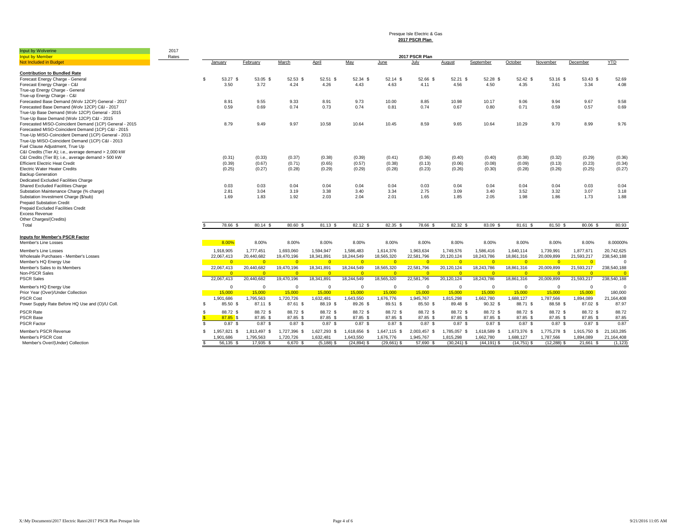Presque Isle Electric & Gas **2017 PSCR Plan** 

|                                                         | 2017  |                              |                              |                              |                              |                         |                              |                        |                        |                        |                        |                        |                              |                                  |
|---------------------------------------------------------|-------|------------------------------|------------------------------|------------------------------|------------------------------|-------------------------|------------------------------|------------------------|------------------------|------------------------|------------------------|------------------------|------------------------------|----------------------------------|
| Input by Wolverine<br><b>Input by Member</b>            | Rates |                              |                              |                              |                              |                         |                              | 2017 PSCR Plan         |                        |                        |                        |                        |                              |                                  |
| Not Included in Budget                                  |       | January                      | February                     | March                        | April                        | May                     | June                         | July                   | August                 | September              | October                | November               | December                     | <b>YTD</b>                       |
|                                                         |       |                              |                              |                              |                              |                         |                              |                        |                        |                        |                        |                        |                              |                                  |
| <b>Contribution to Bundled Rate</b>                     |       |                              |                              |                              |                              |                         |                              |                        |                        |                        |                        |                        |                              |                                  |
| Forecast Energy Charge - General                        |       | 53.27 \$<br>$\mathbf{s}$     | 53.05 \$                     | 52.53 \$                     | 52.51 \$                     | 52.34 \$                | 52.14 \$                     | 52.66 \$               | $52.21$ \$             | $52.28$ \$             | 52.42 \$               | 53.16 \$               | 53.43 \$                     | 52.69                            |
| Forecast Energy Charge - C&I                            |       | 3.50                         | 3.72                         | 4.24                         | 4.26                         | 4.43                    | 4.63                         | 4.11                   | 4.56                   | 4.50                   | 4.35                   | 3.61                   | 3.34                         | 4.08                             |
| True-up Energy Charge - General                         |       |                              |                              |                              |                              |                         |                              |                        |                        |                        |                        |                        |                              |                                  |
| True-up Energy Charge - C&I                             |       |                              |                              |                              |                              |                         |                              |                        |                        |                        |                        |                        |                              |                                  |
| Forecasted Base Demand (Wolv 12CP) General - 2017       |       | 8.91                         | 9.55                         | 9.33                         | 8.91                         | 9.73                    | 10.00                        | 8.85                   | 10.98                  | 10.17                  | 9.06                   | 9.94                   | 9.67                         | 9.58                             |
| Forecasted Base Demand (Wolv 12CP) C&I - 2017           |       | 0.59                         | 0.69                         | 0.74                         | 0.73                         | 0.74                    | 0.81                         | 0.74                   | 0.67                   | 0.80                   | 0.71                   | 0.59                   | 0.57                         | 0.69                             |
| True-Up Base Demand (Wolv 12CP) General - 2015          |       |                              |                              |                              |                              |                         |                              |                        |                        |                        |                        |                        |                              |                                  |
| True-Up Base Demand (Wolv 12CP) C&I - 2015              |       |                              |                              |                              |                              |                         |                              |                        |                        |                        |                        |                        |                              |                                  |
| Forecasted MISO-Coincident Demand (1CP) General - 2015  |       | 8.79                         | 9.49                         | 9.97                         | 10.58                        | 10.64                   | 10.45                        | 8.59                   | 9.65                   | 10.64                  | 10.29                  | 9.70                   | 8.99                         | 9.76                             |
| Forecasted MISO-Coincident Demand (1CP) C&I - 2015      |       |                              |                              |                              |                              |                         |                              |                        |                        |                        |                        |                        |                              |                                  |
| True-Up MISO-Coincident Demand (1CP) General - 2013     |       |                              |                              |                              |                              |                         |                              |                        |                        |                        |                        |                        |                              |                                  |
| True-Up MISO-Coincident Demand (1CP) C&I - 2013         |       |                              |                              |                              |                              |                         |                              |                        |                        |                        |                        |                        |                              |                                  |
| Fuel Clause Adjustment, True Up                         |       |                              |                              |                              |                              |                         |                              |                        |                        |                        |                        |                        |                              |                                  |
| C&I Credits (Tier A); i.e., average demand > 2,000 kW   |       |                              |                              |                              |                              |                         |                              |                        |                        |                        |                        |                        |                              |                                  |
| C&I Credits (Tier B); i.e., average demand > 500 kW     |       | (0.31)                       | (0.33)                       | (0.37)                       | (0.38)                       | (0.39)                  | (0.41)                       | (0.36)                 | (0.40)                 | (0.40)                 | (0.38)                 | (0.32)                 | (0.29)                       | (0.36)                           |
| <b>Efficient Electric Heat Credit</b>                   |       | (0.39)                       | (0.67)                       | (0.71)                       | (0.65)                       | (0.57)                  | (0.38)                       | (0.13)                 | (0.06)                 | (0.08)                 | (0.09)                 | (0.13)                 | (0.23)                       | (0.34)                           |
| <b>Electric Water Heater Credits</b>                    |       | (0.25)                       | (0.27)                       | (0.28)                       | (0.29)                       | (0.29)                  | (0.28)                       | (0.23)                 | (0.26)                 | (0.30)                 | (0.28)                 | (0.26)                 | (0.25)                       | (0.27)                           |
| <b>Backup Generation</b>                                |       |                              |                              |                              |                              |                         |                              |                        |                        |                        |                        |                        |                              |                                  |
| Dedicated Excluded Facilities Charge                    |       |                              |                              |                              |                              |                         |                              |                        |                        |                        |                        |                        |                              |                                  |
| Shared Excluded Facilities Charge                       |       | 0.03                         | 0.03                         | 0.04                         | 0.04                         | 0.04                    | 0.04                         | 0.03                   | 0.04                   | 0.04                   | 0.04                   | 0.04                   | 0.03                         | 0.04                             |
| Substation Maintenance Charge (% charge)                |       | 2.81                         | 3.04                         | 3.19                         | 3.38                         | 3.40                    | 3.34                         | 2.75                   | 3.09                   | 3.40                   | 3.52                   | 3.32                   | 3.07                         | 3.18                             |
| Substation Investment Charge (\$/sub)                   |       | 1.69                         | 1.83                         | 1.92                         | 2.03                         | 2.04                    | 2.01                         | 1.65                   | 1.85                   | 2.05                   | 1.98                   | 1.86                   | 1.73                         | 1.88                             |
| <b>Prepaid Substation Credit</b>                        |       |                              |                              |                              |                              |                         |                              |                        |                        |                        |                        |                        |                              |                                  |
| Prepaid Excluded Facilities Credit                      |       |                              |                              |                              |                              |                         |                              |                        |                        |                        |                        |                        |                              |                                  |
| <b>Excess Revenue</b>                                   |       |                              |                              |                              |                              |                         |                              |                        |                        |                        |                        |                        |                              |                                  |
| Other Charges/(Credits)                                 |       |                              |                              |                              |                              |                         |                              |                        |                        |                        |                        |                        |                              |                                  |
| Total                                                   |       | 78.66 \$                     | 80.14 \$                     | 80.60 \$                     | 81.13 \$                     | 82.12 \$                | 82.35 \$                     | 78.66 \$               | 82.32 \$               | 83.09 \$               | 81.61 \$               | 81.50 \$               | 80.06 \$                     | 80.93                            |
|                                                         |       |                              |                              |                              |                              |                         |                              |                        |                        |                        |                        |                        |                              |                                  |
| <b>Inputs for Member's PSCR Factor</b>                  |       |                              |                              |                              |                              |                         |                              |                        |                        |                        |                        |                        |                              |                                  |
| Member's Line Losses                                    |       | 8.00%                        | 8.00%                        | 8.00%                        | 8.00%                        | 8.00%                   | 8.00%                        | 8.00%                  | 8.00%                  | 8.00%                  | 8.00%                  | 8.00%                  | 8.00%                        | 8.00000%                         |
|                                                         |       |                              |                              |                              |                              |                         |                              |                        |                        |                        |                        |                        |                              |                                  |
| Member's Line Losses                                    |       | 1,918,905                    | 1,777,451                    | 1,693,060                    | 1,594,947                    | 1,586,483               | 1,614,376                    | 1,963,634              | 1,749,576              | 1,586,416              | 1,640,114              | 1,739,991              | 1,877,671                    | 20,742,625                       |
| Wholesale Purchases - Member's Losses                   |       | 22,067,413                   | 20.440.682<br>$\overline{0}$ | 19.470.196                   | 18,341,891                   | 18,244,549<br>$\bullet$ | 18,565,320                   | 22,581,796             | 20,120,124             | 18,243,786<br>$\Omega$ | 18,861,316<br>$\Omega$ | 20,009,899             | 21.593.217                   | 238,540,188<br>$\Omega$          |
| Member's HQ Energy Use<br>Member's Sales to its Members |       | $\overline{0}$               | 20,440,682                   | $\overline{0}$               | $\overline{0}$<br>18,341,891 | 18,244,549              | $\overline{0}$<br>18,565,320 | $\overline{0}$         | $\overline{0}$         | 18,243,786             | 18,861,316             | $\overline{0}$         | $\overline{0}$<br>21,593,217 |                                  |
| Non-PSCR Sales                                          |       | 22,067,413<br>$\Omega$       | $\overline{0}$               | 19,470,196<br>$\overline{0}$ | $\overline{0}$               | $\overline{0}$          | $\overline{0}$               | 22,581,796<br>$\Omega$ | 20,120,124<br>$\Omega$ | $\Omega$               | $\Omega$               | 20,009,899<br>$\Omega$ | $\Omega$                     | 238,540,188<br>$\overline{\ }$ 0 |
| <b>PSCR Sales</b>                                       |       | 22,067,413                   | 20,440,682                   | 19,470,196                   | 18,341,891                   | 18,244,549              | 18,565,320                   | 22,581,796             | 20,120,124             | 18,243,786             | 18,861,316             | 20,009,899             | 21,593,217                   | 238,540,188                      |
|                                                         |       |                              |                              |                              |                              |                         |                              |                        |                        |                        |                        |                        |                              |                                  |
| Member's HQ Enerav Use                                  |       | $\Omega$                     | $\Omega$                     | $\Omega$                     | $\Omega$                     | $\Omega$                | $\mathbf{0}$                 | $\Omega$               | $\Omega$               | $\Omega$               | $\Omega$               | $\Omega$               | $\Omega$                     | $\Omega$                         |
| Prior Year (Over)/Under Collection                      |       | 15,000                       | 15,000                       | 15,000                       | 15,000                       | 15,000                  | 15,000                       | 15,000                 | 15,000                 | 15,000                 | 15,000                 | 15,000                 | 15,000                       | 180,000                          |
| <b>PSCR Cost</b>                                        |       | 1,901,686                    | 1,795,563                    | 1,720,726                    | 1,632,481                    | 1,643,550               | 1,676,776                    | 1,945,767              | 1,815,298              | 1,662,780              | 1,688,127              | 1,787,566              | 1,894,089                    | 21,164,408                       |
| Power Supply Rate Before HQ Use and (O)/U Coll          |       | 85.50 \$<br>-S               | 87.11 \$                     | 87.61 \$                     | 88.19 \$                     | 89.26 \$                | 89.51 \$                     | 85.50 \$               | 89.48 \$               | 90.32 S                | 88.71 \$               | 88.58 \$               | 87.02 \$                     | 87.97                            |
| <b>PSCR Rate</b>                                        |       | 88.72 \$<br>-S               | 88.72 \$                     | 88.72 \$                     | 88.72 \$                     | 88.72 \$                | 88.72 \$                     | 88.72 \$               | 88.72 \$               | 88.72 \$               | 88.72 \$               | 88.72 \$               | 88.72 \$                     | 88.72                            |
| <b>PSCR Base</b>                                        |       | 87.85 \$                     | 87.85 \$                     | 87.85 \$                     | 87.85 \$                     | 87.85 \$                | 87.85 \$                     | 87.85 \$               | 87.85 \$               | 87.85 \$               | 87.85 \$               | 87.85 \$               | 87.85 \$                     | 87.85                            |
| <b>PSCR Factor</b>                                      |       | $0.87$ \$                    | $0.87$ \$                    | 0.87S                        | $0.87$ \$                    | $0.87$ \$               | $0.87$ \$                    | $0.87$ \$              | $0.87$ \$              | 0.87S                  | $0.87$ \$              | $0.87$ \$              | $0.87$ \$                    | 0.87                             |
| Member's PSCR Revenue                                   |       | 1.957.821 \$<br>$\mathbf{R}$ | 1,813,497 \$                 | 1,727,396 \$                 | 1,627,293 \$                 | 1,618,656 \$            | 1,647,115 \$                 | 2.003.457 \$           | 1,785,057 \$           | 1,618,589 \$           | 1,673,376 \$           | 1,775,278 \$           | 1,915,750 \$                 | 21.163.285                       |
| Member's PSCR Cost                                      |       | 1,901,686                    | 1.795.563                    | 1.720.726                    | 1.632.481                    | 1.643.550               | 1.676.776                    | 1.945.767              | 1.815.298              | 1.662.780              | 1.688.127              | 1.787.566              | 1.894.089                    | 21.164.408                       |
| Member's Over/(Under) Collection                        |       | 56.135 \$                    | 17.935 \$                    | 6.670 \$                     | $(5.188)$ \$                 | $(24, 894)$ \$          | $(29,661)$ \$                | 57.690 \$              | $(30,241)$ \$          | $(44.191)$ \$          | $(14, 751)$ \$         | $(12.288)$ \$          | 21.661 \$                    | (1.123)                          |
|                                                         |       |                              |                              |                              |                              |                         |                              |                        |                        |                        |                        |                        |                              |                                  |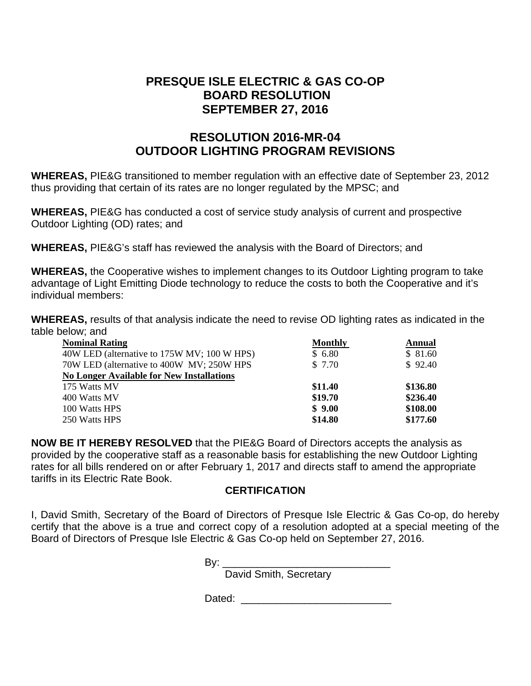# **PRESQUE ISLE ELECTRIC & GAS CO-OP BOARD RESOLUTION SEPTEMBER 27, 2016**

# **RESOLUTION 2016-MR-04 OUTDOOR LIGHTING PROGRAM REVISIONS**

**WHEREAS,** PIE&G transitioned to member regulation with an effective date of September 23, 2012 thus providing that certain of its rates are no longer regulated by the MPSC; and

**WHEREAS,** PIE&G has conducted a cost of service study analysis of current and prospective Outdoor Lighting (OD) rates; and

**WHEREAS,** PIE&G's staff has reviewed the analysis with the Board of Directors; and

**WHEREAS,** the Cooperative wishes to implement changes to its Outdoor Lighting program to take advantage of Light Emitting Diode technology to reduce the costs to both the Cooperative and it's individual members:

**WHEREAS,** results of that analysis indicate the need to revise OD lighting rates as indicated in the table below; and

| <b>Nominal Rating</b>                            | <b>Monthly</b> | <b>Annual</b> |
|--------------------------------------------------|----------------|---------------|
| 40W LED (alternative to 175W MV; 100 W HPS)      | \$6.80         | \$81.60       |
| 70W LED (alternative to 400W MV; 250W HPS)       | \$7.70         | \$92.40       |
| <b>No Longer Available for New Installations</b> |                |               |
| 175 Watts MV                                     | \$11.40        | \$136.80      |
| 400 Watts MV                                     | \$19.70        | \$236.40      |
| 100 Watts HPS                                    | \$9.00         | \$108.00      |
| 250 Watts HPS                                    | \$14.80        | \$177.60      |

**NOW BE IT HEREBY RESOLVED** that the PIE&G Board of Directors accepts the analysis as provided by the cooperative staff as a reasonable basis for establishing the new Outdoor Lighting rates for all bills rendered on or after February 1, 2017 and directs staff to amend the appropriate tariffs in its Electric Rate Book.

# **CERTIFICATION**

I, David Smith, Secretary of the Board of Directors of Presque Isle Electric & Gas Co-op, do hereby certify that the above is a true and correct copy of a resolution adopted at a special meeting of the Board of Directors of Presque Isle Electric & Gas Co-op held on September 27, 2016.

Bv:

David Smith, Secretary

Dated:  $\Box$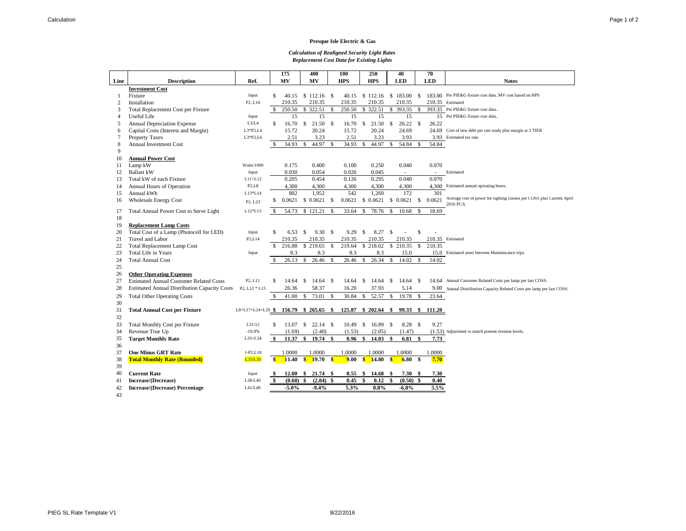#### **Presque Isle Electric & Gas**

#### *Calculation of Realigned Security Light Rates Replacement Cost Data for Existing Lights*

|                |                                                     |                                  |               | 175     |               | 400          |               | 100        |               | 250        |               | 40                     |                    | 70               |                                                                                    |
|----------------|-----------------------------------------------------|----------------------------------|---------------|---------|---------------|--------------|---------------|------------|---------------|------------|---------------|------------------------|--------------------|------------------|------------------------------------------------------------------------------------|
| Line           | <b>Description</b>                                  | Ref.                             |               | MV      |               | MV           |               | <b>HPS</b> |               | <b>HPS</b> |               | <b>LED</b>             |                    | <b>LED</b>       | <b>Notes</b>                                                                       |
|                | <b>Investment Cost</b>                              |                                  |               |         |               |              |               |            |               |            |               |                        |                    |                  |                                                                                    |
| 1              | Fixture                                             | Input                            | \$            | 40.15   |               | \$112.16     | - \$          | 40.15      |               | \$112.16   |               | \$183.00               | <sup>\$</sup>      |                  | 183.00 Per PIE&G fixture cost data. MV cost based on HPS                           |
| 2              | Installation                                        | P <sub>2</sub> , L <sub>16</sub> |               | 210.35  |               | 210.35       |               | 210.35     |               | 210.35     |               | 210.35                 |                    | 210.35 Estimated |                                                                                    |
| 3              | Total Replacement Cost per Fixture                  |                                  | <sup>\$</sup> | 250.50  |               |              |               | 250.50     |               | \$ 322.51  |               | $\overline{\$}$ 393.35 | - \$               |                  | 393.35 Per PIE&G fixture cost data                                                 |
| 4              | Useful Life                                         | Input                            |               | 15      |               | 15           |               | 15         |               | 15         |               | 15                     |                    |                  | 15 Per PIE&G fixture cost data                                                     |
| 5              | <b>Annual Depreciation Expense</b>                  | L3/L4                            | \$            | 16.70   |               | \$21.50      | $\mathcal{S}$ | 16.70      | \$            | 21.50      | $\mathbb{S}$  | 26.22                  | $\mathbf S$        | 26.22            |                                                                                    |
| 6              | Capital Costs (Interest and Margin)                 | $L3*P2,L4$                       |               | 15.72   |               | 20.24        |               | 15.72      |               | 20.24      |               | 24.69                  |                    |                  | 24.69 Cost of new debt per rate study plus margin at 2 TIER                        |
| $\overline{7}$ | <b>Property Taxes</b>                               | $L3*P2,L6$                       |               | 2.51    |               | 3.23         |               | 2.51       |               | 3.23       |               | 3.93                   |                    | 3.93             | Estimated tax rate.                                                                |
| 8              | <b>Annual Investment Cost</b>                       |                                  | \$            | 34.93   | S.            | 44.97        | $\mathcal{S}$ | 34.93      | \$.           | 44.97      | $\mathcal{S}$ | 54.84                  | $\mathbf{\hat{s}}$ | 54.84            |                                                                                    |
| 9              |                                                     |                                  |               |         |               |              |               |            |               |            |               |                        |                    |                  |                                                                                    |
| 10             | <b>Annual Power Cost</b>                            |                                  |               |         |               |              |               |            |               |            |               |                        |                    |                  |                                                                                    |
| 11             | Lamp kW                                             | <b>Watts/1000</b>                |               | 0.175   |               | 0.400        |               | 0.100      |               | 0.250      |               | 0.040                  |                    | 0.070            |                                                                                    |
| 12             | <b>Ballast kW</b>                                   | Input                            |               | 0.030   |               | 0.054        |               | 0.026      |               | 0.045      |               | $\sim$                 |                    |                  | Estimated                                                                          |
| 13             | Total kW of each Fixture                            | $L11+L12$                        |               | 0.205   |               | 0.454        |               | 0.126      |               | 0.295      |               | 0.040                  |                    | 0.070            |                                                                                    |
| 14             | Annual Hours of Operation                           | P2.L8                            |               | 4,300   |               | 4,300        |               | 4,300      |               | 4,300      |               | 4,300                  |                    | 4,300            | Estimated annual operating hours.                                                  |
| 15             | Annual kWh                                          | L13*L14                          |               | 882     |               | 1.952        |               | 542        |               | 1.269      |               | 172                    |                    | 301              |                                                                                    |
| 16             | <b>Wholesale Energy Cost</b>                        | P2, L23                          | \$            | 0.0621  |               | \$0.0621     | \$            | 0.0621     |               | \$0.0621   |               | \$0.0621               | S.                 | 0.0621           | Average cost of power for lighting classes per COSS plus Current April<br>2016 PCA |
| 17             | Total Annual Power Cost to Serve Light              | L12*L13                          | $\mathcal{S}$ | 54.73   |               | \$121.21     | $\mathcal{S}$ | 33.64      |               | 78.76      | \$.           | 10.68                  | \$                 | 18.69            |                                                                                    |
| 18             |                                                     |                                  |               |         |               |              |               |            |               |            |               |                        |                    |                  |                                                                                    |
| 19             | <b>Replacement Lamp Costs</b>                       |                                  |               |         |               |              |               |            |               |            |               |                        |                    |                  |                                                                                    |
| 20             | Total Cost of a Lamp (Photocell for LED)            | Input                            | \$            | 6.53    | <sup>\$</sup> | 9.30 S       |               | 9.29       | \$            | 8.27       | \$            | ÷,                     | \$                 |                  |                                                                                    |
| 21             | <b>Travel and Labor</b>                             | P <sub>2</sub> ,L <sub>14</sub>  |               | 210.35  |               | 210.35       |               | 210.35     |               | 210.35     |               | 210.35                 |                    | 210.35 Estimated |                                                                                    |
| 22             | <b>Total Replacement Lamp Cost</b>                  |                                  | \$.           | 216.88  |               | \$219.65     | $\mathcal{S}$ | 219.64     |               | \$218.62   | $\mathbb{S}$  | 210.35                 | <sup>\$</sup>      | 210.35           |                                                                                    |
| 23             | <b>Total Life in Years</b>                          | Input                            |               | 8.3     |               | 8.3          |               | 8.3        |               | 8.3        |               | 15.0                   |                    |                  | 15.0 Estimated years between Maintencance trips                                    |
| 24             | <b>Total Annual Cost</b>                            |                                  | -S            | 26.13   | \$            | 26.46        | $\mathcal{S}$ | 26.46      | <sup>\$</sup> | 26.34      | \$            | 14.02                  | $\mathbb{S}$       | 14.02            |                                                                                    |
| 25             |                                                     |                                  |               |         |               |              |               |            |               |            |               |                        |                    |                  |                                                                                    |
| 26             | <b>Other Operating Expenses</b>                     |                                  |               |         |               |              |               |            |               |            |               |                        |                    |                  |                                                                                    |
| 27             | <b>Estimated Annual Customer Related Costs</b>      | P2, L11                          | \$            | 14.64   | -S            | 14.64        | <sup>\$</sup> | 14.64      | \$            | 14.64      | <sup>\$</sup> | 14.64                  | <sup>\$</sup>      |                  | 14.64 Annual Customer Related Costs per lamp per last COSS.                        |
| 28             | <b>Estimated Annual Distribution Capacity Costs</b> | P2, L12 * L15                    |               | 26.36   |               | 58.37        |               | 16.20      |               | 37.93      |               | 5.14                   |                    | 9.00             | Annual Distribution Capacity Related Costs per lamp per last COSS.                 |
| 29             | <b>Total Other Operating Costs</b>                  |                                  | \$            | 41.00   | $\mathbb{S}$  | 73.01        | $\mathcal{S}$ | 30.84      | $\mathbb{S}$  | 52.57      | $\mathbb{S}$  | 19.78                  | $\mathbb{S}$       | 23.64            |                                                                                    |
| 30             |                                                     |                                  |               |         |               |              |               |            |               |            |               |                        |                    |                  |                                                                                    |
| 31             | <b>Total Annual Cost per Fixture</b>                | L8+L17+L24+L29 $\frac{6}{9}$     |               | 156.79  |               | $$265.65$ \$ |               | 125.87     |               | \$202.64\$ |               | 99.33 \$               |                    | 111.20           |                                                                                    |
| 32             |                                                     |                                  |               |         |               |              |               |            |               |            |               |                        |                    |                  |                                                                                    |
| 33             | <b>Total Monthly Cost per Fixture</b>               | L31/12                           | \$            | 13.07   | s.            | $22.14$ \$   |               | 10.49      | <sup>\$</sup> | $16.89$ \$ |               | 8.28                   | $\mathcal{S}$      | 9.27             |                                                                                    |
| 34             | Revenue True Up                                     | $-19.9%$                         |               | (1.69)  |               | (2.40)       |               | (1.53)     |               | (2.05)     |               | (1.47)                 |                    |                  | (1.53) Adjustment to match present revenue levels.                                 |
| 35             | <b>Target Monthly Rate</b>                          | $L33+L34$                        | \$            | 11.37   | \$            | 19.74        | S.            | 8.96       | S.            | 14.83      | \$            | 6.81                   | \$                 | 7.73             |                                                                                    |
| 36             |                                                     |                                  |               |         |               |              |               |            |               |            |               |                        |                    |                  |                                                                                    |
| 37             | <b>One Minus GRT Rate</b>                           | $1-P2, L18$                      |               | 1.0000  |               | 1.0000       |               | 1.0000     |               | 1.0000     |               | 1.0000                 |                    | 1.0000           |                                                                                    |
| 38             | <b>Total Monthly Rate (Rounded)</b>                 | L33/L35                          | S             | 11.40   | $\mathbf{s}$  | 19.70        | $\mathbf{s}$  | 9.00       | S             | 14.80      | S             | 6.80                   | - \$               | 7.70             |                                                                                    |
| 39             |                                                     |                                  |               |         |               |              |               |            |               |            |               |                        |                    |                  |                                                                                    |
| 40             | <b>Current Rate</b>                                 | Input                            |               | 12.00   |               | \$21.74\$    |               | 8.55       | - \$          | 14.68      | \$            | 7.30                   | -S                 | 7.30             |                                                                                    |
| 41             | Increase/(Decrease)                                 | L38-L40                          |               | (0.60)  |               | (2.04)       | -9            | 0.45       |               | 0.12       |               | (0.50)                 | -\$                | 0.40             |                                                                                    |
| 42             | <b>Increase/(Decrease) Percentage</b>               | L41/L40                          |               | $-5.0%$ |               | $-9.4%$      |               | 5.3%       |               | 0.8%       |               | $-6.8%$                |                    | 5.5%             |                                                                                    |

43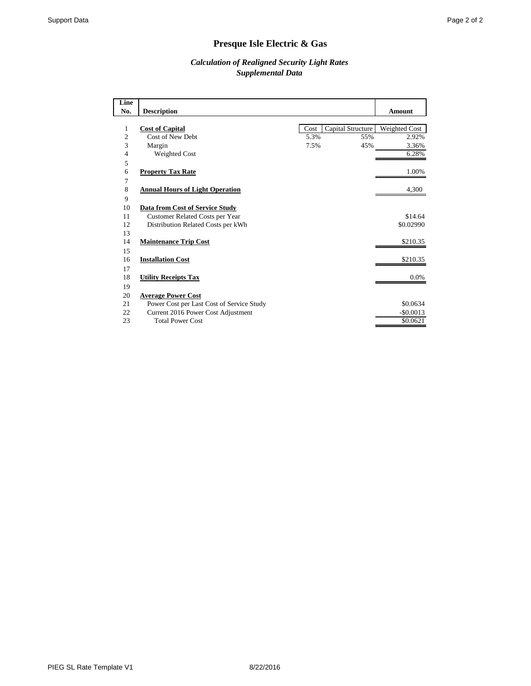# **Presque Isle Electric & Gas**

## *Calculation of Realigned Security Light Rates Supplemental Data*

| Line |                                           |      |                   |               |
|------|-------------------------------------------|------|-------------------|---------------|
| No.  | <b>Description</b>                        |      |                   | <b>Amount</b> |
|      |                                           |      |                   |               |
| 1    | <b>Cost of Capital</b>                    | Cost | Capital Structure | Weighted Cost |
| 2    | Cost of New Debt                          | 5.3% | 55%               | 2.92%         |
| 3    | Margin                                    | 7.5% | 45%               | 3.36%         |
| 4    | Weighted Cost                             |      |                   | 6.28%         |
| 5    |                                           |      |                   |               |
| 6    | <b>Property Tax Rate</b>                  |      |                   | 1.00%         |
| 7    |                                           |      |                   |               |
| 8    | <b>Annual Hours of Light Operation</b>    |      |                   | 4,300         |
| 9    |                                           |      |                   |               |
| 10   | Data from Cost of Service Study           |      |                   |               |
| 11   | Customer Related Costs per Year           |      |                   | \$14.64       |
| 12   | Distribution Related Costs per kWh        |      |                   | \$0.02990     |
| 13   |                                           |      |                   |               |
| 14   | <b>Maintenance Trip Cost</b>              |      |                   | \$210.35      |
| 15   |                                           |      |                   |               |
| 16   | <b>Installation Cost</b>                  |      |                   | \$210.35      |
| 17   |                                           |      |                   |               |
| 18   | <b>Utility Receipts Tax</b>               |      |                   | 0.0%          |
| 19   |                                           |      |                   |               |
| 20   | <b>Average Power Cost</b>                 |      |                   |               |
| 21   | Power Cost per Last Cost of Service Study |      |                   | \$0.0634      |
| 22   | Current 2016 Power Cost Adjustment        |      |                   | $-$ \$0.0013  |
| 23   | <b>Total Power Cost</b>                   |      |                   | \$0.0621      |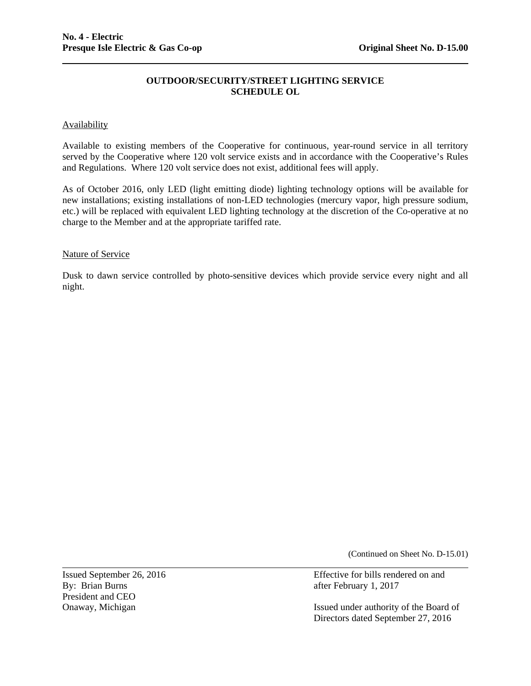### **OUTDOOR/SECURITY/STREET LIGHTING SERVICE SCHEDULE OL**

### Availability

Available to existing members of the Cooperative for continuous, year-round service in all territory served by the Cooperative where 120 volt service exists and in accordance with the Cooperative's Rules and Regulations. Where 120 volt service does not exist, additional fees will apply.

As of October 2016, only LED (light emitting diode) lighting technology options will be available for new installations; existing installations of non-LED technologies (mercury vapor, high pressure sodium, etc.) will be replaced with equivalent LED lighting technology at the discretion of the Co-operative at no charge to the Member and at the appropriate tariffed rate.

#### Nature of Service

Dusk to dawn service controlled by photo-sensitive devices which provide service every night and all night.

(Continued on Sheet No. D-15.01)

President and CEO

l

Issued September 26, 2016 Effective for bills rendered on and By: Brian Burns after February 1, 2017 after February 1, 2017

Onaway, Michigan Issued under authority of the Board of Directors dated September 27, 2016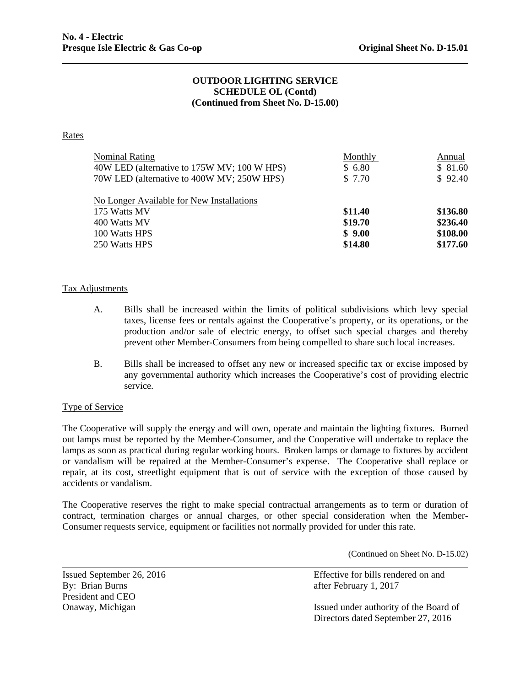## **OUTDOOR LIGHTING SERVICE SCHEDULE OL (Contd) (Continued from Sheet No. D-15.00)**

#### **Rates**

| <b>Nominal Rating</b>                       | Monthly | Annual   |
|---------------------------------------------|---------|----------|
| 40W LED (alternative to 175W MV; 100 W HPS) | \$6.80  | \$81.60  |
| 70W LED (alternative to 400W MV; 250W HPS)  | \$ 7.70 | \$92.40  |
| No Longer Available for New Installations   |         |          |
| 175 Watts MV                                | \$11.40 | \$136.80 |
| 400 Watts MV                                | \$19.70 | \$236.40 |
| 100 Watts HPS                               | \$9.00  | \$108.00 |
| 250 Watts HPS                               | \$14.80 | \$177.60 |

#### Tax Adjustments

- A. Bills shall be increased within the limits of political subdivisions which levy special taxes, license fees or rentals against the Cooperative's property, or its operations, or the production and/or sale of electric energy, to offset such special charges and thereby prevent other Member-Consumers from being compelled to share such local increases.
- B. Bills shall be increased to offset any new or increased specific tax or excise imposed by any governmental authority which increases the Cooperative's cost of providing electric service.

### Type of Service

accidents or vandalism. The Cooperative will supply the energy and will own, operate and maintain the lighting fixtures. Burned out lamps must be reported by the Member-Consumer, and the Cooperative will undertake to replace the lamps as soon as practical during regular working hours. Broken lamps or damage to fixtures by accident or vandalism will be repaired at the Member-Consumer's expense. The Cooperative shall replace or repair, at its cost, streetlight equipment that is out of service with the exception of those caused by

The Cooperative reserves the right to make special contractual arrangements as to term or duration of contract, termination charges or annual charges, or other special consideration when the Member-Consumer requests service, equipment or facilities not normally provided for under this rate.

(Continued on Sheet No. D-15.02)

| Issued September 26, 2016 | Effective for bills rendered on and    |
|---------------------------|----------------------------------------|
| By: Brian Burns           | after February 1, 2017                 |
| President and CEO         |                                        |
| Onaway, Michigan          | Issued under authority of the Board of |
|                           | Directors dated September 27, 2016     |